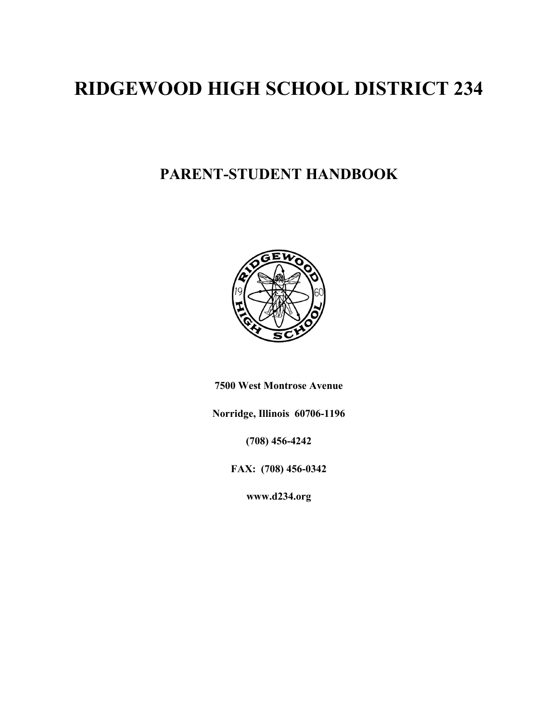# **RIDGEWOOD HIGH SCHOOL DISTRICT 234**

# **PARENT-STUDENT HANDBOOK**



**7500 West Montrose Avenue** 

**Norridge, Illinois 60706-1196** 

**(708) 456-4242** 

**FAX: (708) 456-0342** 

**www.d234.org**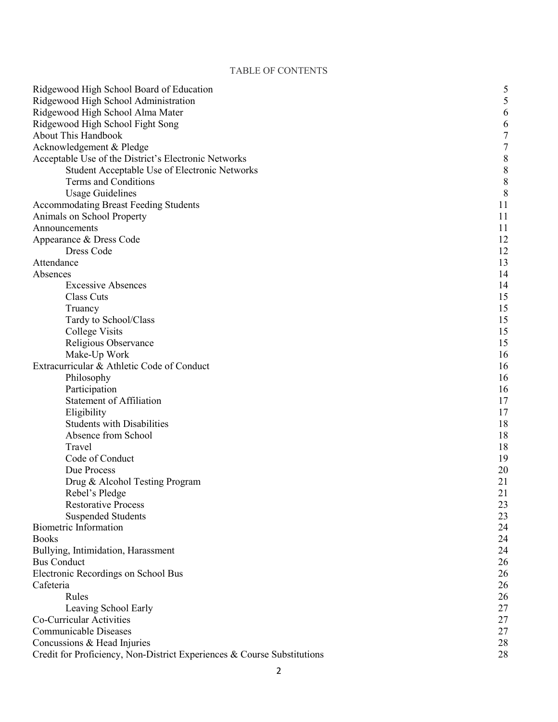### TABLE OF CONTENTS

| Ridgewood High School Board of Education                                | 5         |
|-------------------------------------------------------------------------|-----------|
| Ridgewood High School Administration                                    | 5         |
| Ridgewood High School Alma Mater                                        | 6         |
| Ridgewood High School Fight Song                                        | 6         |
| <b>About This Handbook</b>                                              | 7         |
| Acknowledgement & Pledge                                                | 7         |
| Acceptable Use of the District's Electronic Networks                    | $\,$ $\,$ |
| Student Acceptable Use of Electronic Networks                           | $\,$ $\,$ |
| Terms and Conditions                                                    | $\,$ $\,$ |
| <b>Usage Guidelines</b>                                                 | 8         |
| <b>Accommodating Breast Feeding Students</b>                            | 11        |
| Animals on School Property                                              | 11        |
| Announcements                                                           | 11        |
| Appearance & Dress Code                                                 | 12        |
| Dress Code                                                              | 12        |
| Attendance                                                              | 13        |
| Absences                                                                | 14        |
| <b>Excessive Absences</b>                                               | 14        |
| Class Cuts                                                              | 15        |
| Truancy                                                                 | 15        |
| Tardy to School/Class                                                   | 15        |
| <b>College Visits</b>                                                   | 15        |
| Religious Observance                                                    | 15        |
| Make-Up Work                                                            | 16        |
| Extracurricular & Athletic Code of Conduct                              | 16        |
| Philosophy                                                              | 16        |
| Participation                                                           | 16        |
| <b>Statement of Affiliation</b>                                         | 17        |
| Eligibility                                                             | 17        |
| <b>Students with Disabilities</b>                                       | 18        |
| Absence from School                                                     | 18        |
| Travel                                                                  | 18        |
| Code of Conduct                                                         | 19        |
| Due Process                                                             | 20        |
| Drug & Alcohol Testing Program                                          | 21        |
| Rebel's Pledge                                                          | 21        |
| <b>Restorative Process</b>                                              | 23        |
| <b>Suspended Students</b>                                               | 23        |
| <b>Biometric Information</b>                                            | 24        |
| <b>Books</b>                                                            | 24        |
| Bullying, Intimidation, Harassment                                      | 24        |
| <b>Bus Conduct</b>                                                      | 26        |
| Electronic Recordings on School Bus                                     | 26        |
| Cafeteria                                                               | 26        |
| Rules                                                                   | 26        |
| Leaving School Early                                                    | 27        |
| Co-Curricular Activities                                                | 27        |
| <b>Communicable Diseases</b>                                            | 27        |
| Concussions & Head Injuries                                             | 28        |
| Credit for Proficiency, Non-District Experiences & Course Substitutions | 28        |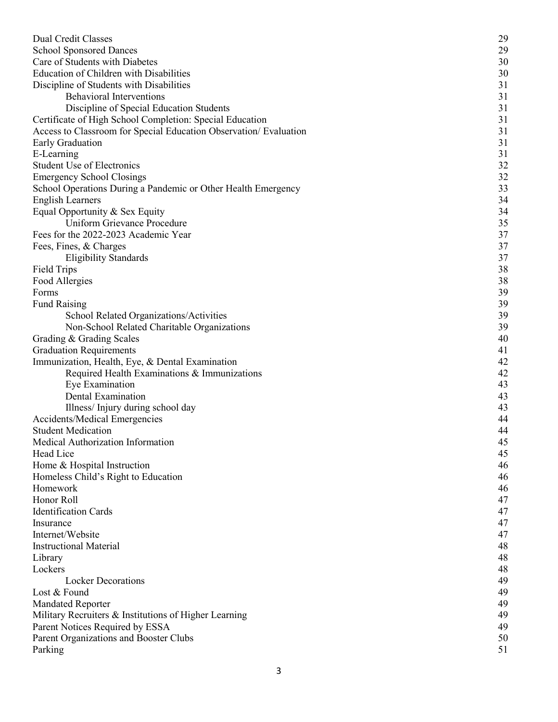| <b>Dual Credit Classes</b>                                        | 29 |
|-------------------------------------------------------------------|----|
| <b>School Sponsored Dances</b>                                    | 29 |
| Care of Students with Diabetes                                    | 30 |
| Education of Children with Disabilities                           | 30 |
| Discipline of Students with Disabilities                          | 31 |
| <b>Behavioral Interventions</b>                                   | 31 |
| Discipline of Special Education Students                          | 31 |
| Certificate of High School Completion: Special Education          | 31 |
| Access to Classroom for Special Education Observation/ Evaluation | 31 |
| Early Graduation                                                  | 31 |
| E-Learning                                                        | 31 |
| <b>Student Use of Electronics</b>                                 | 32 |
| <b>Emergency School Closings</b>                                  | 32 |
| School Operations During a Pandemic or Other Health Emergency     | 33 |
| <b>English Learners</b>                                           | 34 |
| Equal Opportunity & Sex Equity                                    | 34 |
| Uniform Grievance Procedure                                       | 35 |
| Fees for the 2022-2023 Academic Year                              | 37 |
| Fees, Fines, & Charges                                            | 37 |
| <b>Eligibility Standards</b>                                      | 37 |
| <b>Field Trips</b>                                                | 38 |
| Food Allergies                                                    | 38 |
| Forms                                                             | 39 |
| <b>Fund Raising</b>                                               | 39 |
| School Related Organizations/Activities                           | 39 |
| Non-School Related Charitable Organizations                       | 39 |
| Grading & Grading Scales                                          | 40 |
| <b>Graduation Requirements</b>                                    | 41 |
| Immunization, Health, Eye, & Dental Examination                   | 42 |
| Required Health Examinations & Immunizations                      | 42 |
| Eye Examination                                                   | 43 |
| Dental Examination                                                | 43 |
| Illness/Injury during school day                                  | 43 |
| Accidents/Medical Emergencies                                     | 44 |
| <b>Student Medication</b>                                         | 44 |
| Medical Authorization Information                                 | 45 |
| Head Lice                                                         | 45 |
| Home & Hospital Instruction                                       | 46 |
| Homeless Child's Right to Education                               | 46 |
| Homework                                                          | 46 |
| Honor Roll                                                        | 47 |
| <b>Identification Cards</b>                                       | 47 |
| Insurance                                                         | 47 |
| Internet/Website                                                  | 47 |
| <b>Instructional Material</b>                                     | 48 |
| Library                                                           | 48 |
| Lockers                                                           | 48 |
| <b>Locker Decorations</b>                                         | 49 |
| Lost & Found                                                      | 49 |
| <b>Mandated Reporter</b>                                          | 49 |
| Military Recruiters & Institutions of Higher Learning             | 49 |
| Parent Notices Required by ESSA                                   | 49 |
| Parent Organizations and Booster Clubs                            | 50 |
| Parking                                                           | 51 |
|                                                                   |    |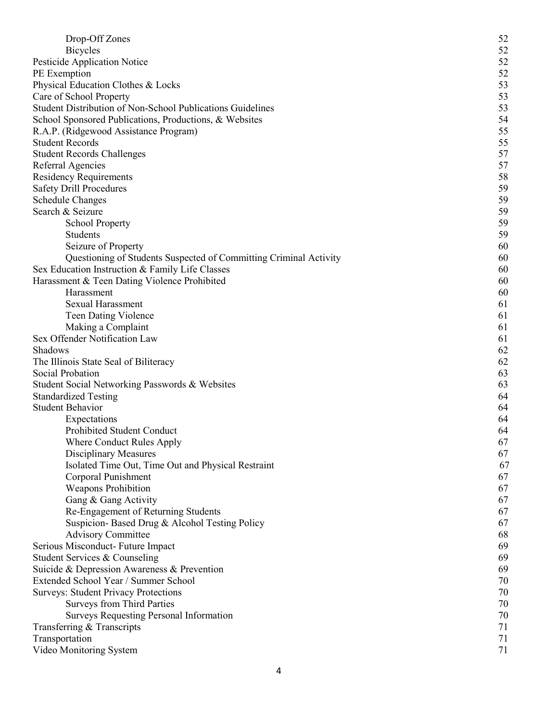| Drop-Off Zones                                                    | 52 |
|-------------------------------------------------------------------|----|
| <b>Bicycles</b>                                                   | 52 |
| Pesticide Application Notice                                      | 52 |
| PE Exemption                                                      | 52 |
| Physical Education Clothes & Locks                                | 53 |
| Care of School Property                                           | 53 |
| Student Distribution of Non-School Publications Guidelines        | 53 |
| School Sponsored Publications, Productions, & Websites            | 54 |
| R.A.P. (Ridgewood Assistance Program)                             | 55 |
| <b>Student Records</b>                                            | 55 |
| <b>Student Records Challenges</b>                                 | 57 |
| Referral Agencies                                                 | 57 |
| <b>Residency Requirements</b>                                     | 58 |
| <b>Safety Drill Procedures</b>                                    | 59 |
| <b>Schedule Changes</b>                                           | 59 |
| Search & Seizure                                                  | 59 |
| <b>School Property</b>                                            | 59 |
| Students                                                          | 59 |
| Seizure of Property                                               | 60 |
| Questioning of Students Suspected of Committing Criminal Activity | 60 |
| Sex Education Instruction & Family Life Classes                   | 60 |
| Harassment & Teen Dating Violence Prohibited                      | 60 |
| Harassment                                                        | 60 |
| <b>Sexual Harassment</b>                                          | 61 |
| Teen Dating Violence                                              | 61 |
| Making a Complaint                                                | 61 |
| Sex Offender Notification Law                                     | 61 |
| Shadows                                                           | 62 |
| The Illinois State Seal of Biliteracy                             | 62 |
| Social Probation                                                  | 63 |
| Student Social Networking Passwords & Websites                    | 63 |
| <b>Standardized Testing</b>                                       | 64 |
| <b>Student Behavior</b>                                           | 64 |
| Expectations                                                      | 64 |
| Prohibited Student Conduct                                        | 64 |
| Where Conduct Rules Apply                                         | 67 |
| <b>Disciplinary Measures</b>                                      | 67 |
| Isolated Time Out, Time Out and Physical Restraint                | 67 |
| Corporal Punishment                                               | 67 |
| <b>Weapons Prohibition</b>                                        | 67 |
| Gang & Gang Activity                                              | 67 |
| Re-Engagement of Returning Students                               | 67 |
| Suspicion-Based Drug & Alcohol Testing Policy                     | 67 |
| <b>Advisory Committee</b>                                         | 68 |
| Serious Misconduct- Future Impact                                 | 69 |
| Student Services & Counseling                                     | 69 |
| Suicide & Depression Awareness & Prevention                       | 69 |
| Extended School Year / Summer School                              | 70 |
| <b>Surveys: Student Privacy Protections</b>                       | 70 |
| <b>Surveys from Third Parties</b>                                 | 70 |
| <b>Surveys Requesting Personal Information</b>                    | 70 |
| Transferring & Transcripts                                        | 71 |
| Transportation                                                    | 71 |
| Video Monitoring System                                           | 71 |
|                                                                   |    |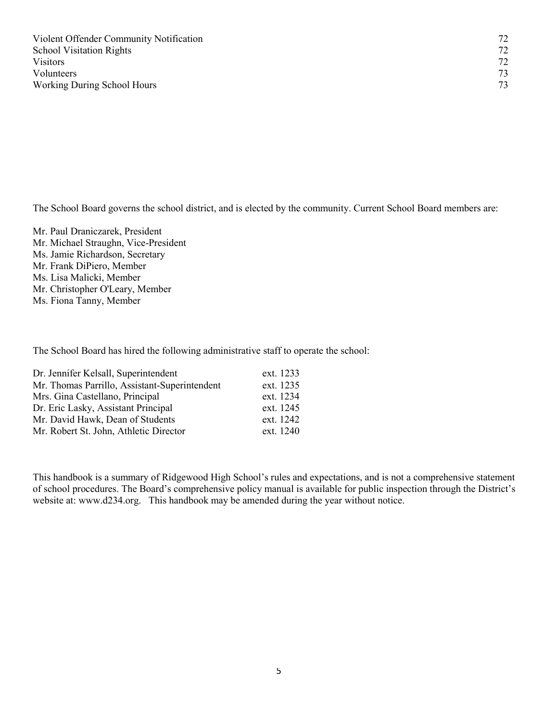The School Board governs the school district, and is elected by the community. Current School Board members are:

Mr. Paul Draniczarek, President Mr. Michael Straughn, Vice-President Ms. Jamie Richardson, Secretary Mr. Frank DiPiero, Member Ms. Lisa Malicki, Member Mr. Christopher O'Leary, Member Ms. Fiona Tanny, Member

The School Board has hired the following administrative staff to operate the school:

| Dr. Jennifer Kelsall, Superintendent          | ext. 1233 |
|-----------------------------------------------|-----------|
| Mr. Thomas Parrillo, Assistant-Superintendent | ext. 1235 |
| Mrs. Gina Castellano, Principal               | ext. 1234 |
| Dr. Eric Lasky, Assistant Principal           | ext. 1245 |
| Mr. David Hawk, Dean of Students              | ext. 1242 |
| Mr. Robert St. John, Athletic Director        | ext. 1240 |

This handbook is a summary of Ridgewood High School's rules and expectations, and is not a comprehensive statement of school procedures. The Board's comprehensive policy manual is available for public inspection through the District's website at: www.d234.org. This handbook may be amended during the year without notice.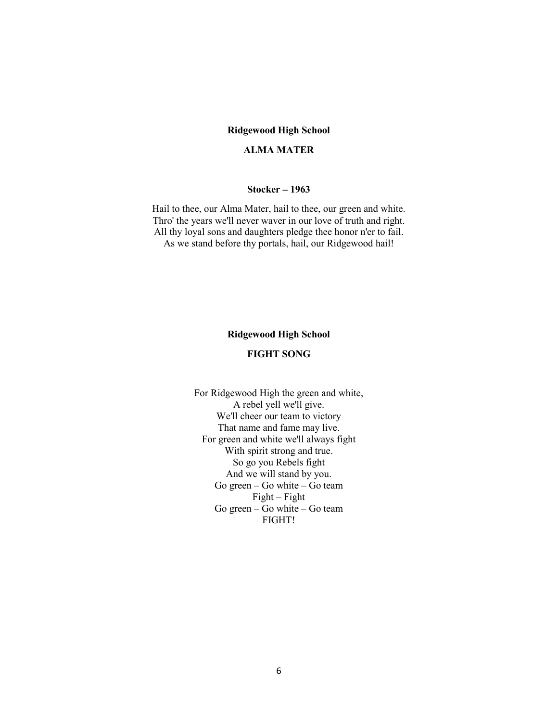#### **Ridgewood High School**

#### **ALMA MATER**

#### **Stocker – 1963**

Hail to thee, our Alma Mater, hail to thee, our green and white. Thro' the years we'll never waver in our love of truth and right. All thy loyal sons and daughters pledge thee honor n'er to fail. As we stand before thy portals, hail, our Ridgewood hail!

#### **Ridgewood High School**

#### **FIGHT SONG**

For Ridgewood High the green and white, A rebel yell we'll give. We'll cheer our team to victory That name and fame may live. For green and white we'll always fight With spirit strong and true. So go you Rebels fight And we will stand by you. Go green – Go white – Go team Fight – Fight Go green – Go white – Go team FIGHT!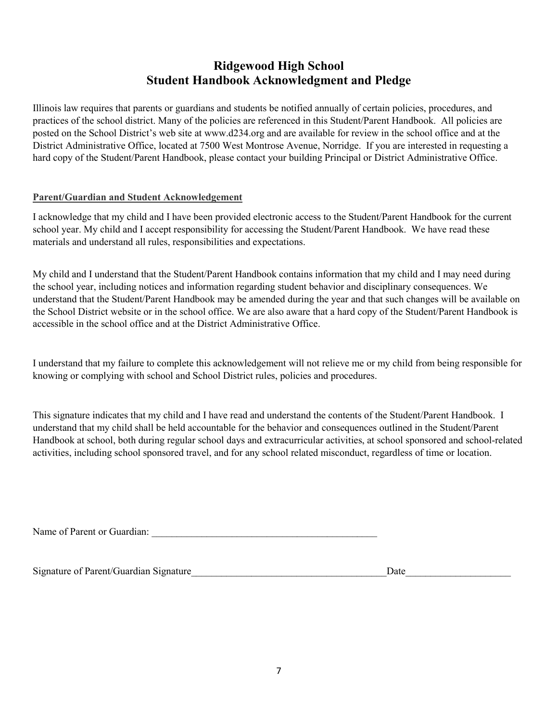## **Ridgewood High School Student Handbook Acknowledgment and Pledge**

Illinois law requires that parents or guardians and students be notified annually of certain policies, procedures, and practices of the school district. Many of the policies are referenced in this Student/Parent Handbook. All policies are posted on the School District's web site at www.d234.org and are available for review in the school office and at the District Administrative Office, located at 7500 West Montrose Avenue, Norridge. If you are interested in requesting a hard copy of the Student/Parent Handbook, please contact your building Principal or District Administrative Office.

### **Parent/Guardian and Student Acknowledgement**

I acknowledge that my child and I have been provided electronic access to the Student/Parent Handbook for the current school year. My child and I accept responsibility for accessing the Student/Parent Handbook. We have read these materials and understand all rules, responsibilities and expectations.

My child and I understand that the Student/Parent Handbook contains information that my child and I may need during the school year, including notices and information regarding student behavior and disciplinary consequences. We understand that the Student/Parent Handbook may be amended during the year and that such changes will be available on the School District website or in the school office. We are also aware that a hard copy of the Student/Parent Handbook is accessible in the school office and at the District Administrative Office.

I understand that my failure to complete this acknowledgement will not relieve me or my child from being responsible for knowing or complying with school and School District rules, policies and procedures.

This signature indicates that my child and I have read and understand the contents of the Student/Parent Handbook. I understand that my child shall be held accountable for the behavior and consequences outlined in the Student/Parent Handbook at school, both during regular school days and extracurricular activities, at school sponsored and school-related activities, including school sponsored travel, and for any school related misconduct, regardless of time or location.

Name of Parent or Guardian:

Signature of Parent/Guardian Signature  $\Box$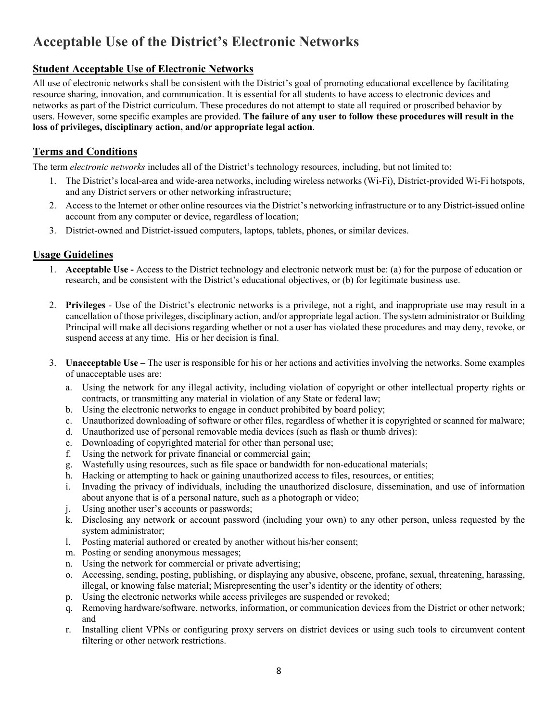# **Acceptable Use of the District's Electronic Networks**

## **Student Acceptable Use of Electronic Networks**

All use of electronic networks shall be consistent with the District's goal of promoting educational excellence by facilitating resource sharing, innovation, and communication. It is essential for all students to have access to electronic devices and networks as part of the District curriculum. These procedures do not attempt to state all required or proscribed behavior by users. However, some specific examples are provided. **The failure of any user to follow these procedures will result in the loss of privileges, disciplinary action, and/or appropriate legal action**.

## **Terms and Conditions**

The term *electronic networks* includes all of the District's technology resources, including, but not limited to:

- 1. The District's local-area and wide-area networks, including wireless networks (Wi-Fi), District-provided Wi-Fi hotspots, and any District servers or other networking infrastructure;
- 2. Access to the Internet or other online resources via the District's networking infrastructure or to any District-issued online account from any computer or device, regardless of location;
- 3. District-owned and District-issued computers, laptops, tablets, phones, or similar devices.

## **Usage Guidelines**

- 1. **Acceptable Use -** Access to the District technology and electronic network must be: (a) for the purpose of education or research, and be consistent with the District's educational objectives, or (b) for legitimate business use.
- 2. **Privileges** Use of the District's electronic networks is a privilege, not a right, and inappropriate use may result in a cancellation of those privileges, disciplinary action, and/or appropriate legal action. The system administrator or Building Principal will make all decisions regarding whether or not a user has violated these procedures and may deny, revoke, or suspend access at any time. His or her decision is final.
- 3. **Unacceptable Use** The user is responsible for his or her actions and activities involving the networks. Some examples of unacceptable uses are:
	- a. Using the network for any illegal activity, including violation of copyright or other intellectual property rights or contracts, or transmitting any material in violation of any State or federal law;
	- b. Using the electronic networks to engage in conduct prohibited by board policy;
	- c. Unauthorized downloading of software or other files, regardless of whether it is copyrighted or scanned for malware;
	- d. Unauthorized use of personal removable media devices (such as flash or thumb drives):
	- e. Downloading of copyrighted material for other than personal use;
	- f. Using the network for private financial or commercial gain;
	- g. Wastefully using resources, such as file space or bandwidth for non-educational materials;
	- h. Hacking or attempting to hack or gaining unauthorized access to files, resources, or entities;
	- i. Invading the privacy of individuals, including the unauthorized disclosure, dissemination, and use of information about anyone that is of a personal nature, such as a photograph or video;
	- j. Using another user's accounts or passwords;
	- k. Disclosing any network or account password (including your own) to any other person, unless requested by the system administrator;
	- l. Posting material authored or created by another without his/her consent;
	- m. Posting or sending anonymous messages;
	- n. Using the network for commercial or private advertising;
	- o. Accessing, sending, posting, publishing, or displaying any abusive, obscene, profane, sexual, threatening, harassing, illegal, or knowing false material; Misrepresenting the user's identity or the identity of others;
	- p. Using the electronic networks while access privileges are suspended or revoked;
	- q. Removing hardware/software, networks, information, or communication devices from the District or other network; and
	- r. Installing client VPNs or configuring proxy servers on district devices or using such tools to circumvent content filtering or other network restrictions.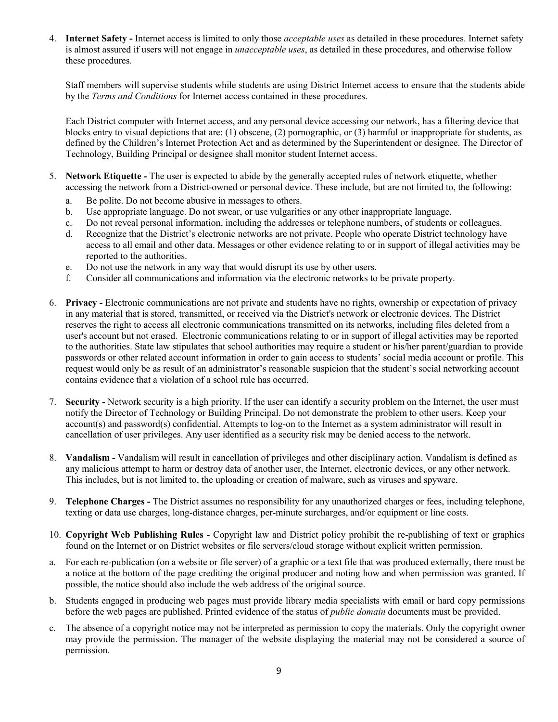4. **Internet Safety -** Internet access is limited to only those *acceptable uses* as detailed in these procedures. Internet safety is almost assured if users will not engage in *unacceptable uses*, as detailed in these procedures, and otherwise follow these procedures.

Staff members will supervise students while students are using District Internet access to ensure that the students abide by the *Terms and Conditions* for Internet access contained in these procedures.

Each District computer with Internet access, and any personal device accessing our network, has a filtering device that blocks entry to visual depictions that are: (1) obscene, (2) pornographic, or (3) harmful or inappropriate for students, as defined by the Children's Internet Protection Act and as determined by the Superintendent or designee. The Director of Technology, Building Principal or designee shall monitor student Internet access.

- 5. **Network Etiquette -** The user is expected to abide by the generally accepted rules of network etiquette, whether accessing the network from a District-owned or personal device. These include, but are not limited to, the following:
	- a. Be polite. Do not become abusive in messages to others.
	- b. Use appropriate language. Do not swear, or use vulgarities or any other inappropriate language.
	- c. Do not reveal personal information, including the addresses or telephone numbers, of students or colleagues.
	- d. Recognize that the District's electronic networks are not private. People who operate District technology have access to all email and other data. Messages or other evidence relating to or in support of illegal activities may be reported to the authorities.
	- e. Do not use the network in any way that would disrupt its use by other users.
	- f. Consider all communications and information via the electronic networks to be private property.
- 6. **Privacy -** Electronic communications are not private and students have no rights, ownership or expectation of privacy in any material that is stored, transmitted, or received via the District's network or electronic devices. The District reserves the right to access all electronic communications transmitted on its networks, including files deleted from a user's account but not erased. Electronic communications relating to or in support of illegal activities may be reported to the authorities. State law stipulates that school authorities may require a student or his/her parent/guardian to provide passwords or other related account information in order to gain access to students' social media account or profile. This request would only be as result of an administrator's reasonable suspicion that the student's social networking account contains evidence that a violation of a school rule has occurred.
- 7. **Security -** Network security is a high priority. If the user can identify a security problem on the Internet, the user must notify the Director of Technology or Building Principal. Do not demonstrate the problem to other users. Keep your  $account(s)$  and password(s) confidential. Attempts to log-on to the Internet as a system administrator will result in cancellation of user privileges. Any user identified as a security risk may be denied access to the network.
- 8. **Vandalism -** Vandalism will result in cancellation of privileges and other disciplinary action. Vandalism is defined as any malicious attempt to harm or destroy data of another user, the Internet, electronic devices, or any other network. This includes, but is not limited to, the uploading or creation of malware, such as viruses and spyware.
- 9. **Telephone Charges -** The District assumes no responsibility for any unauthorized charges or fees, including telephone, texting or data use charges, long-distance charges, per-minute surcharges, and/or equipment or line costs.
- 10. **Copyright Web Publishing Rules -** Copyright law and District policy prohibit the re-publishing of text or graphics found on the Internet or on District websites or file servers/cloud storage without explicit written permission.
- a. For each re-publication (on a website or file server) of a graphic or a text file that was produced externally, there must be a notice at the bottom of the page crediting the original producer and noting how and when permission was granted. If possible, the notice should also include the web address of the original source.
- b. Students engaged in producing web pages must provide library media specialists with email or hard copy permissions before the web pages are published. Printed evidence of the status of *public domain* documents must be provided.
- c. The absence of a copyright notice may not be interpreted as permission to copy the materials. Only the copyright owner may provide the permission. The manager of the website displaying the material may not be considered a source of permission.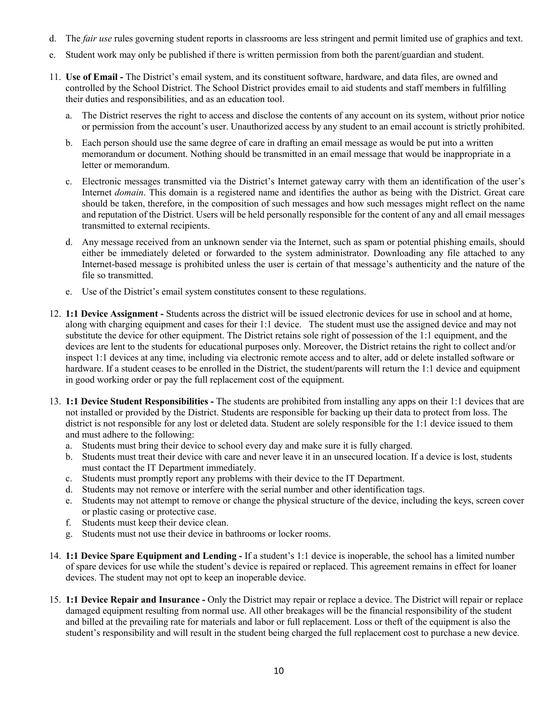- d. The *fair use* rules governing student reports in classrooms are less stringent and permit limited use of graphics and text.
- e. Student work may only be published if there is written permission from both the parent/guardian and student.
- 11. **Use of Email -** The District's email system, and its constituent software, hardware, and data files, are owned and controlled by the School District. The School District provides email to aid students and staff members in fulfilling their duties and responsibilities, and as an education tool.
	- a. The District reserves the right to access and disclose the contents of any account on its system, without prior notice or permission from the account's user. Unauthorized access by any student to an email account is strictly prohibited.
	- b. Each person should use the same degree of care in drafting an email message as would be put into a written memorandum or document. Nothing should be transmitted in an email message that would be inappropriate in a letter or memorandum.
	- c. Electronic messages transmitted via the District's Internet gateway carry with them an identification of the user's Internet *domain*. This domain is a registered name and identifies the author as being with the District. Great care should be taken, therefore, in the composition of such messages and how such messages might reflect on the name and reputation of the District. Users will be held personally responsible for the content of any and all email messages transmitted to external recipients.
	- d. Any message received from an unknown sender via the Internet, such as spam or potential phishing emails, should either be immediately deleted or forwarded to the system administrator. Downloading any file attached to any Internet-based message is prohibited unless the user is certain of that message's authenticity and the nature of the file so transmitted.
	- e. Use of the District's email system constitutes consent to these regulations.
- 12. **1:1 Device Assignment -** Students across the district will be issued electronic devices for use in school and at home, along with charging equipment and cases for their 1:1 device. The student must use the assigned device and may not substitute the device for other equipment. The District retains sole right of possession of the 1:1 equipment, and the devices are lent to the students for educational purposes only. Moreover, the District retains the right to collect and/or inspect 1:1 devices at any time, including via electronic remote access and to alter, add or delete installed software or hardware. If a student ceases to be enrolled in the District, the student/parents will return the 1:1 device and equipment in good working order or pay the full replacement cost of the equipment.
- 13. **1:1 Device Student Responsibilities -** The students are prohibited from installing any apps on their 1:1 devices that are not installed or provided by the District. Students are responsible for backing up their data to protect from loss. The district is not responsible for any lost or deleted data. Student are solely responsible for the 1:1 device issued to them and must adhere to the following:
	- a. Students must bring their device to school every day and make sure it is fully charged.
	- b. Students must treat their device with care and never leave it in an unsecured location. If a device is lost, students must contact the IT Department immediately.
	- c. Students must promptly report any problems with their device to the IT Department.
	- d. Students may not remove or interfere with the serial number and other identification tags.
	- e. Students may not attempt to remove or change the physical structure of the device, including the keys, screen cover or plastic casing or protective case.
	- f. Students must keep their device clean.
	- g. Students must not use their device in bathrooms or locker rooms.
- 14. **1:1 Device Spare Equipment and Lending -** If a student's 1:1 device is inoperable, the school has a limited number of spare devices for use while the student's device is repaired or replaced. This agreement remains in effect for loaner devices. The student may not opt to keep an inoperable device.
- 15. **1:1 Device Repair and Insurance -** Only the District may repair or replace a device. The District will repair or replace damaged equipment resulting from normal use. All other breakages will be the financial responsibility of the student and billed at the prevailing rate for materials and labor or full replacement. Loss or theft of the equipment is also the student's responsibility and will result in the student being charged the full replacement cost to purchase a new device.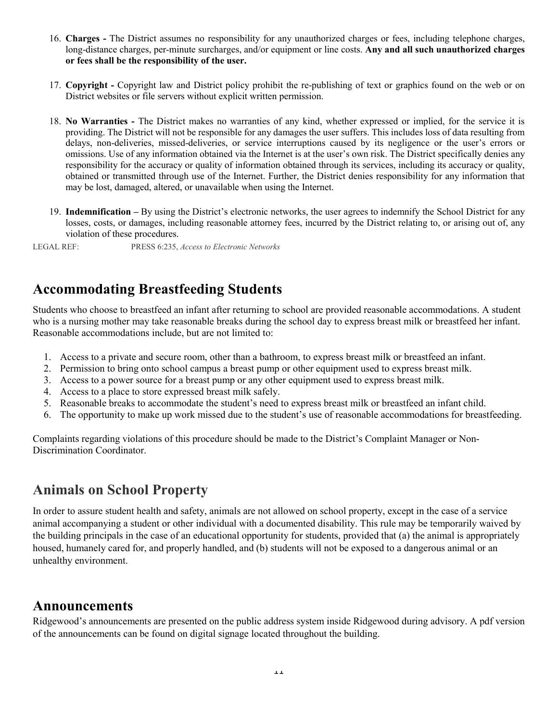- 16. **Charges -** The District assumes no responsibility for any unauthorized charges or fees, including telephone charges, long-distance charges, per-minute surcharges, and/or equipment or line costs. **Any and all such unauthorized charges or fees shall be the responsibility of the user.**
- 17. **Copyright** Copyright law and District policy prohibit the re-publishing of text or graphics found on the web or on District websites or file servers without explicit written permission.
- 18. **No Warranties -** The District makes no warranties of any kind, whether expressed or implied, for the service it is providing. The District will not be responsible for any damages the user suffers. This includes loss of data resulting from delays, non-deliveries, missed-deliveries, or service interruptions caused by its negligence or the user's errors or omissions. Use of any information obtained via the Internet is at the user's own risk. The District specifically denies any responsibility for the accuracy or quality of information obtained through its services, including its accuracy or quality, obtained or transmitted through use of the Internet. Further, the District denies responsibility for any information that may be lost, damaged, altered, or unavailable when using the Internet.
- 19. **Indemnification** By using the District's electronic networks, the user agrees to indemnify the School District for any losses, costs, or damages, including reasonable attorney fees, incurred by the District relating to, or arising out of, any violation of these procedures.

LEGAL REF: PRESS 6:235, *Access to Electronic Networks* 

## **Accommodating Breastfeeding Students**

Students who choose to breastfeed an infant after returning to school are provided reasonable accommodations. A student who is a nursing mother may take reasonable breaks during the school day to express breast milk or breastfeed her infant. Reasonable accommodations include, but are not limited to:

- 1. Access to a private and secure room, other than a bathroom, to express breast milk or breastfeed an infant.
- 2. Permission to bring onto school campus a breast pump or other equipment used to express breast milk.
- 3. Access to a power source for a breast pump or any other equipment used to express breast milk.
- 4. Access to a place to store expressed breast milk safely.
- 5. Reasonable breaks to accommodate the student's need to express breast milk or breastfeed an infant child.
- 6. The opportunity to make up work missed due to the student's use of reasonable accommodations for breastfeeding.

Complaints regarding violations of this procedure should be made to the District's Complaint Manager or Non-Discrimination Coordinator.

## **Animals on School Property**

In order to assure student health and safety, animals are not allowed on school property, except in the case of a service animal accompanying a student or other individual with a documented disability. This rule may be temporarily waived by the building principals in the case of an educational opportunity for students, provided that (a) the animal is appropriately housed, humanely cared for, and properly handled, and (b) students will not be exposed to a dangerous animal or an unhealthy environment.

## **Announcements**

Ridgewood's announcements are presented on the public address system inside Ridgewood during advisory. A pdf version of the announcements can be found on digital signage located throughout the building.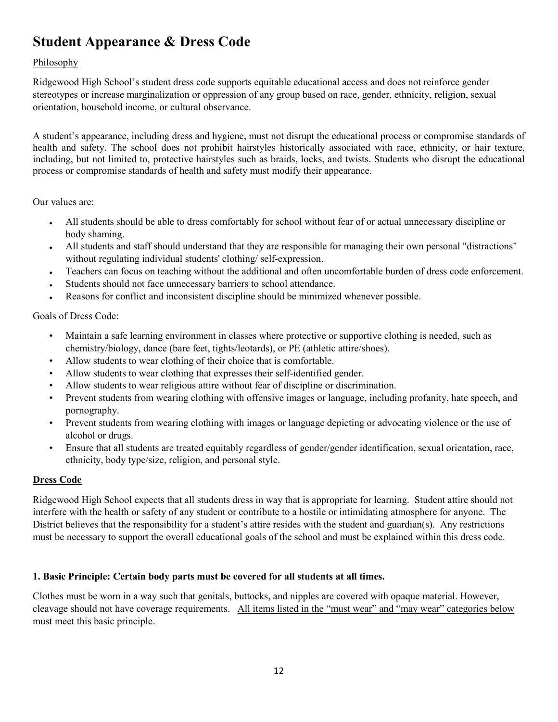# **Student Appearance & Dress Code**

## Philosophy

Ridgewood High School's student dress code supports equitable educational access and does not reinforce gender stereotypes or increase marginalization or oppression of any group based on race, gender, ethnicity, religion, sexual orientation, household income, or cultural observance.

A student's appearance, including dress and hygiene, must not disrupt the educational process or compromise standards of health and safety. The school does not prohibit hairstyles historically associated with race, ethnicity, or hair texture, including, but not limited to, protective hairstyles such as braids, locks, and twists. Students who disrupt the educational process or compromise standards of health and safety must modify their appearance.

## Our values are:

- All students should be able to dress comfortably for school without fear of or actual unnecessary discipline or body shaming.
- All students and staff should understand that they are responsible for managing their own personal "distractions" without regulating individual students' clothing/ self-expression.
- Teachers can focus on teaching without the additional and often uncomfortable burden of dress code enforcement.
- Students should not face unnecessary barriers to school attendance.
- Reasons for conflict and inconsistent discipline should be minimized whenever possible.

Goals of Dress Code:

- Maintain a safe learning environment in classes where protective or supportive clothing is needed, such as chemistry/biology, dance (bare feet, tights/leotards), or PE (athletic attire/shoes).
- Allow students to wear clothing of their choice that is comfortable.
- Allow students to wear clothing that expresses their self-identified gender.
- Allow students to wear religious attire without fear of discipline or discrimination.
- Prevent students from wearing clothing with offensive images or language, including profanity, hate speech, and pornography.
- Prevent students from wearing clothing with images or language depicting or advocating violence or the use of alcohol or drugs.
- Ensure that all students are treated equitably regardless of gender/gender identification, sexual orientation, race, ethnicity, body type/size, religion, and personal style.

### **Dress Code**

Ridgewood High School expects that all students dress in way that is appropriate for learning. Student attire should not interfere with the health or safety of any student or contribute to a hostile or intimidating atmosphere for anyone. The District believes that the responsibility for a student's attire resides with the student and guardian(s). Any restrictions must be necessary to support the overall educational goals of the school and must be explained within this dress code.

## **1. Basic Principle: Certain body parts must be covered for all students at all times.**

Clothes must be worn in a way such that genitals, buttocks, and nipples are covered with opaque material. However, cleavage should not have coverage requirements. All items listed in the "must wear" and "may wear" categories below must meet this basic principle.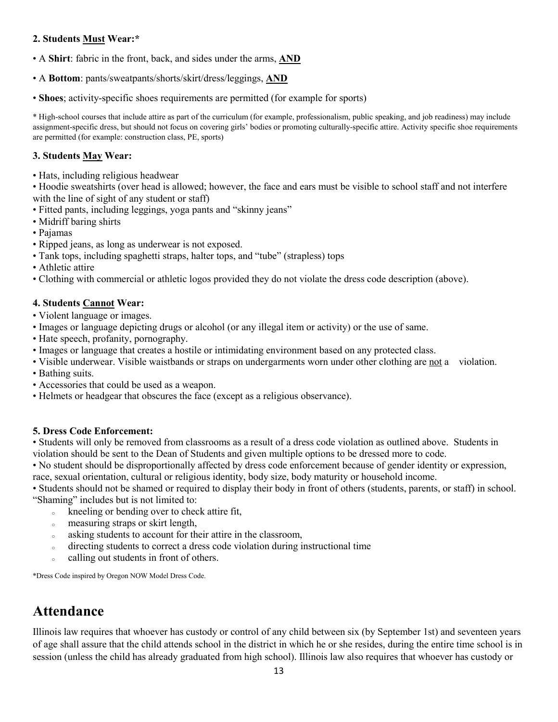#### **2. Students Must Wear:\***

- A **Shirt**: fabric in the front, back, and sides under the arms, **AND**
- A **Bottom**: pants/sweatpants/shorts/skirt/dress/leggings, **AND**
- **Shoes**; activity-specific shoes requirements are permitted (for example for sports)

\* High-school courses that include attire as part of the curriculum (for example, professionalism, public speaking, and job readiness) may include assignment-specific dress, but should not focus on covering girls' bodies or promoting culturally-specific attire. Activity specific shoe requirements are permitted (for example: construction class, PE, sports)

### **3. Students May Wear:**

• Hats, including religious headwear

• Hoodie sweatshirts (over head is allowed; however, the face and ears must be visible to school staff and not interfere with the line of sight of any student or staff)

- Fitted pants, including leggings, yoga pants and "skinny jeans"
- Midriff baring shirts
- Pajamas
- Ripped jeans, as long as underwear is not exposed.
- Tank tops, including spaghetti straps, halter tops, and "tube" (strapless) tops
- Athletic attire
- Clothing with commercial or athletic logos provided they do not violate the dress code description (above).

### **4. Students Cannot Wear:**

• Violent language or images.

- Images or language depicting drugs or alcohol (or any illegal item or activity) or the use of same.
- Hate speech, profanity, pornography.
- Images or language that creates a hostile or intimidating environment based on any protected class.
- Visible underwear. Visible waistbands or straps on undergarments worn under other clothing are not a violation.
- Bathing suits.
- Accessories that could be used as a weapon.
- Helmets or headgear that obscures the face (except as a religious observance).

### **5. Dress Code Enforcement:**

• Students will only be removed from classrooms as a result of a dress code violation as outlined above. Students in violation should be sent to the Dean of Students and given multiple options to be dressed more to code.

• No student should be disproportionally affected by dress code enforcement because of gender identity or expression, race, sexual orientation, cultural or religious identity, body size, body maturity or household income.

• Students should not be shamed or required to display their body in front of others (students, parents, or staff) in school. "Shaming" includes but is not limited to:

- <sup>o</sup> kneeling or bending over to check attire fit,
- <sup>o</sup> measuring straps or skirt length,
- <sup>o</sup> asking students to account for their attire in the classroom,
- <sup>o</sup> directing students to correct a dress code violation during instructional time
- <sup>o</sup> calling out students in front of others.

\*Dress Code inspired by Oregon NOW Model Dress Code.

# **Attendance**

Illinois law requires that whoever has custody or control of any child between six (by September 1st) and seventeen years of age shall assure that the child attends school in the district in which he or she resides, during the entire time school is in session (unless the child has already graduated from high school). Illinois law also requires that whoever has custody or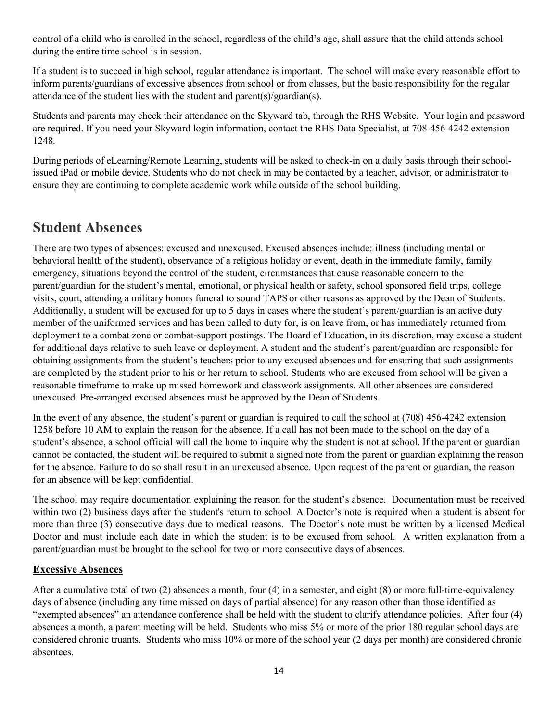control of a child who is enrolled in the school, regardless of the child's age, shall assure that the child attends school during the entire time school is in session.

If a student is to succeed in high school, regular attendance is important. The school will make every reasonable effort to inform parents/guardians of excessive absences from school or from classes, but the basic responsibility for the regular attendance of the student lies with the student and parent(s)/guardian(s).

Students and parents may check their attendance on the Skyward tab, through the RHS Website. Your login and password are required. If you need your Skyward login information, contact the RHS Data Specialist, at 708-456-4242 extension 1248.

During periods of eLearning/Remote Learning, students will be asked to check-in on a daily basis through their schoolissued iPad or mobile device. Students who do not check in may be contacted by a teacher, advisor, or administrator to ensure they are continuing to complete academic work while outside of the school building.

## **Student Absences**

There are two types of absences: excused and unexcused. Excused absences include: illness (including mental or behavioral health of the student), observance of a religious holiday or event, death in the immediate family, family emergency, situations beyond the control of the student, circumstances that cause reasonable concern to the parent/guardian for the student's mental, emotional, or physical health or safety, school sponsored field trips, college visits, court, attending a military honors funeral to sound TAPS or other reasons as approved by the Dean of Students. Additionally, a student will be excused for up to 5 days in cases where the student's parent/guardian is an active duty member of the uniformed services and has been called to duty for, is on leave from, or has immediately returned from deployment to a combat zone or combat-support postings. The Board of Education, in its discretion, may excuse a student for additional days relative to such leave or deployment. A student and the student's parent/guardian are responsible for obtaining assignments from the student's teachers prior to any excused absences and for ensuring that such assignments are completed by the student prior to his or her return to school. Students who are excused from school will be given a reasonable timeframe to make up missed homework and classwork assignments. All other absences are considered unexcused. Pre-arranged excused absences must be approved by the Dean of Students.

In the event of any absence, the student's parent or guardian is required to call the school at (708) 456-4242 extension 1258 before 10 AM to explain the reason for the absence. If a call has not been made to the school on the day of a student's absence, a school official will call the home to inquire why the student is not at school. If the parent or guardian cannot be contacted, the student will be required to submit a signed note from the parent or guardian explaining the reason for the absence. Failure to do so shall result in an unexcused absence. Upon request of the parent or guardian, the reason for an absence will be kept confidential.

The school may require documentation explaining the reason for the student's absence. Documentation must be received within two (2) business days after the student's return to school. A Doctor's note is required when a student is absent for more than three (3) consecutive days due to medical reasons. The Doctor's note must be written by a licensed Medical Doctor and must include each date in which the student is to be excused from school. A written explanation from a parent/guardian must be brought to the school for two or more consecutive days of absences.

## **Excessive Absences**

After a cumulative total of two (2) absences a month, four (4) in a semester, and eight (8) or more full-time-equivalency days of absence (including any time missed on days of partial absence) for any reason other than those identified as "exempted absences" an attendance conference shall be held with the student to clarify attendance policies. After four (4) absences a month, a parent meeting will be held. Students who miss 5% or more of the prior 180 regular school days are considered chronic truants. Students who miss 10% or more of the school year (2 days per month) are considered chronic absentees.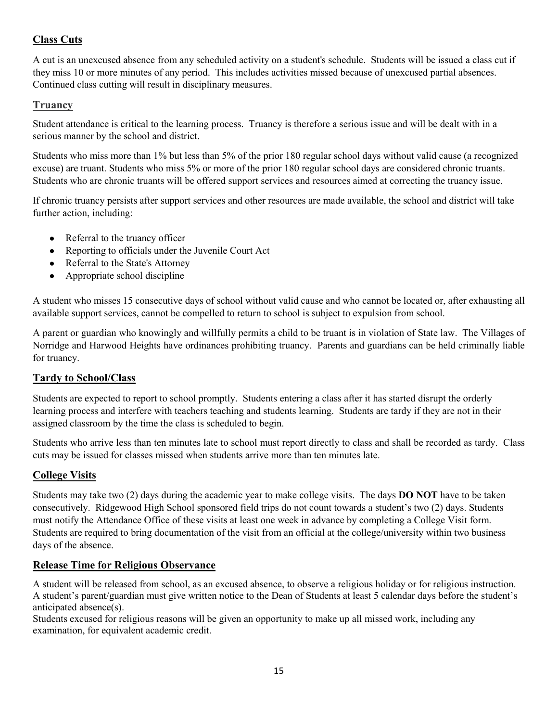## **Class Cuts**

A cut is an unexcused absence from any scheduled activity on a student's schedule. Students will be issued a class cut if they miss 10 or more minutes of any period. This includes activities missed because of unexcused partial absences. Continued class cutting will result in disciplinary measures.

## **Truancy**

Student attendance is critical to the learning process. Truancy is therefore a serious issue and will be dealt with in a serious manner by the school and district.

Students who miss more than 1% but less than 5% of the prior 180 regular school days without valid cause (a recognized excuse) are truant. Students who miss 5% or more of the prior 180 regular school days are considered chronic truants. Students who are chronic truants will be offered support services and resources aimed at correcting the truancy issue.

If chronic truancy persists after support services and other resources are made available, the school and district will take further action, including:

- Referral to the truancy officer
- Reporting to officials under the Juvenile Court Act
- Referral to the State's Attorney
- Appropriate school discipline

A student who misses 15 consecutive days of school without valid cause and who cannot be located or, after exhausting all available support services, cannot be compelled to return to school is subject to expulsion from school.

A parent or guardian who knowingly and willfully permits a child to be truant is in violation of State law. The Villages of Norridge and Harwood Heights have ordinances prohibiting truancy. Parents and guardians can be held criminally liable for truancy.

## **Tardy to School/Class**

Students are expected to report to school promptly. Students entering a class after it has started disrupt the orderly learning process and interfere with teachers teaching and students learning. Students are tardy if they are not in their assigned classroom by the time the class is scheduled to begin.

Students who arrive less than ten minutes late to school must report directly to class and shall be recorded as tardy. Class cuts may be issued for classes missed when students arrive more than ten minutes late.

## **College Visits**

Students may take two (2) days during the academic year to make college visits. The days **DO NOT** have to be taken consecutively. Ridgewood High School sponsored field trips do not count towards a student's two (2) days. Students must notify the Attendance Office of these visits at least one week in advance by completing a College Visit form. Students are required to bring documentation of the visit from an official at the college/university within two business days of the absence.

### **Release Time for Religious Observance**

A student will be released from school, as an excused absence, to observe a religious holiday or for religious instruction. A student's parent/guardian must give written notice to the Dean of Students at least 5 calendar days before the student's anticipated absence(s).

Students excused for religious reasons will be given an opportunity to make up all missed work, including any examination, for equivalent academic credit.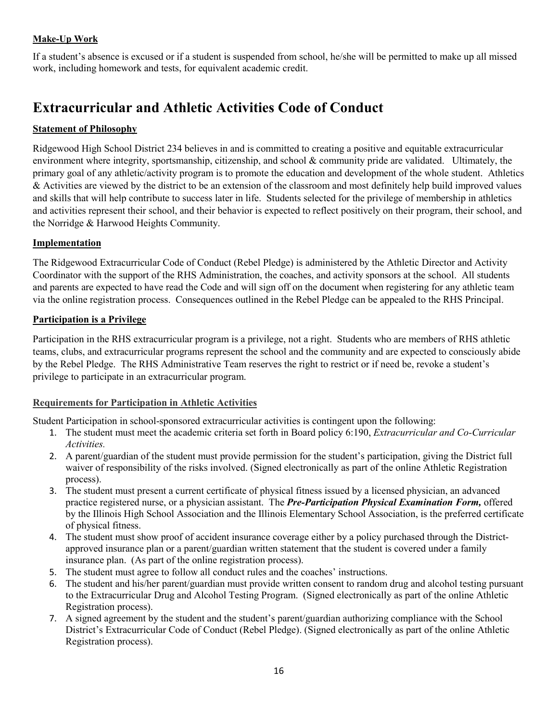## **Make-Up Work**

If a student's absence is excused or if a student is suspended from school, he/she will be permitted to make up all missed work, including homework and tests, for equivalent academic credit.

# **Extracurricular and Athletic Activities Code of Conduct**

### **Statement of Philosophy**

Ridgewood High School District 234 believes in and is committed to creating a positive and equitable extracurricular environment where integrity, sportsmanship, citizenship, and school & community pride are validated. Ultimately, the primary goal of any athletic/activity program is to promote the education and development of the whole student. Athletics & Activities are viewed by the district to be an extension of the classroom and most definitely help build improved values and skills that will help contribute to success later in life. Students selected for the privilege of membership in athletics and activities represent their school, and their behavior is expected to reflect positively on their program, their school, and the Norridge & Harwood Heights Community.

#### **Implementation**

The Ridgewood Extracurricular Code of Conduct (Rebel Pledge) is administered by the Athletic Director and Activity Coordinator with the support of the RHS Administration, the coaches, and activity sponsors at the school. All students and parents are expected to have read the Code and will sign off on the document when registering for any athletic team via the online registration process. Consequences outlined in the Rebel Pledge can be appealed to the RHS Principal.

#### **Participation is a Privilege**

Participation in the RHS extracurricular program is a privilege, not a right. Students who are members of RHS athletic teams, clubs, and extracurricular programs represent the school and the community and are expected to consciously abide by the Rebel Pledge. The RHS Administrative Team reserves the right to restrict or if need be, revoke a student's privilege to participate in an extracurricular program.

#### **Requirements for Participation in Athletic Activities**

Student Participation in school-sponsored extracurricular activities is contingent upon the following:

- 1. The student must meet the academic criteria set forth in Board policy 6:190, *Extracurricular and Co-Curricular Activities.*
- 2. A parent/guardian of the student must provide permission for the student's participation, giving the District full waiver of responsibility of the risks involved. (Signed electronically as part of the online Athletic Registration process).
- 3. The student must present a current certificate of physical fitness issued by a licensed physician, an advanced practice registered nurse, or a physician assistant. The *Pre-Participation Physical Examination Form,* offered by the Illinois High School Association and the Illinois Elementary School Association, is the preferred certificate of physical fitness.
- 4. The student must show proof of accident insurance coverage either by a policy purchased through the Districtapproved insurance plan or a parent/guardian written statement that the student is covered under a family insurance plan. (As part of the online registration process).
- 5. The student must agree to follow all conduct rules and the coaches' instructions.
- 6. The student and his/her parent/guardian must provide written consent to random drug and alcohol testing pursuant to the Extracurricular Drug and Alcohol Testing Program. (Signed electronically as part of the online Athletic Registration process).
- 7. A signed agreement by the student and the student's parent/guardian authorizing compliance with the School District's Extracurricular Code of Conduct (Rebel Pledge). (Signed electronically as part of the online Athletic Registration process).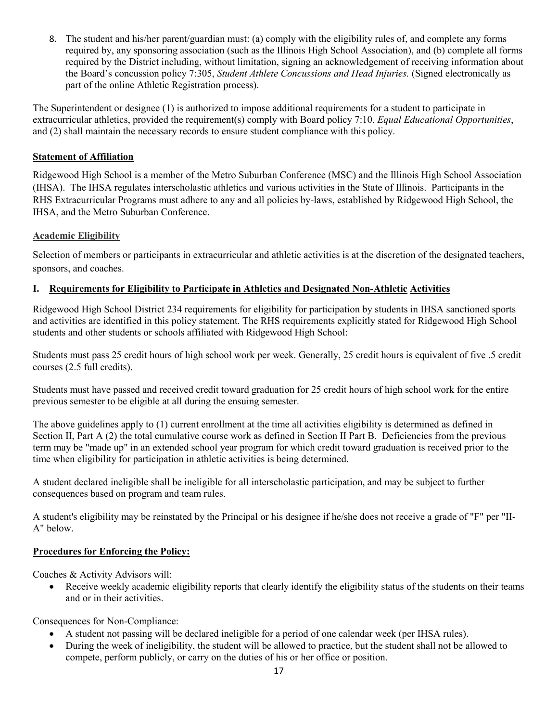8. The student and his/her parent/guardian must: (a) comply with the eligibility rules of, and complete any forms required by, any sponsoring association (such as the Illinois High School Association), and (b) complete all forms required by the District including, without limitation, signing an acknowledgement of receiving information about the Board's concussion policy 7:305, *Student Athlete Concussions and Head Injuries.* (Signed electronically as part of the online Athletic Registration process).

The Superintendent or designee (1) is authorized to impose additional requirements for a student to participate in extracurricular athletics, provided the requirement(s) comply with Board policy 7:10, *Equal Educational Opportunities*, and (2) shall maintain the necessary records to ensure student compliance with this policy.

### **Statement of Affiliation**

Ridgewood High School is a member of the Metro Suburban Conference (MSC) and the Illinois High School Association (IHSA). The IHSA regulates interscholastic athletics and various activities in the State of Illinois. Participants in the RHS Extracurricular Programs must adhere to any and all policies by-laws, established by Ridgewood High School, the IHSA, and the Metro Suburban Conference.

### **Academic Eligibility**

Selection of members or participants in extracurricular and athletic activities is at the discretion of the designated teachers, sponsors, and coaches.

## **I. Requirements for Eligibility to Participate in Athletics and Designated Non-Athletic Activities**

Ridgewood High School District 234 requirements for eligibility for participation by students in IHSA sanctioned sports and activities are identified in this policy statement. The RHS requirements explicitly stated for Ridgewood High School students and other students or schools affiliated with Ridgewood High School:

Students must pass 25 credit hours of high school work per week. Generally, 25 credit hours is equivalent of five .5 credit courses (2.5 full credits).

Students must have passed and received credit toward graduation for 25 credit hours of high school work for the entire previous semester to be eligible at all during the ensuing semester.

The above guidelines apply to (1) current enrollment at the time all activities eligibility is determined as defined in Section II, Part A (2) the total cumulative course work as defined in Section II Part B. Deficiencies from the previous term may be "made up" in an extended school year program for which credit toward graduation is received prior to the time when eligibility for participation in athletic activities is being determined.

A student declared ineligible shall be ineligible for all interscholastic participation, and may be subject to further consequences based on program and team rules.

A student's eligibility may be reinstated by the Principal or his designee if he/she does not receive a grade of "F" per "II-A" below.

### **Procedures for Enforcing the Policy:**

Coaches & Activity Advisors will:

Receive weekly academic eligibility reports that clearly identify the eligibility status of the students on their teams and or in their activities.

Consequences for Non-Compliance:

- A student not passing will be declared ineligible for a period of one calendar week (per IHSA rules).
- During the week of ineligibility, the student will be allowed to practice, but the student shall not be allowed to compete, perform publicly, or carry on the duties of his or her office or position.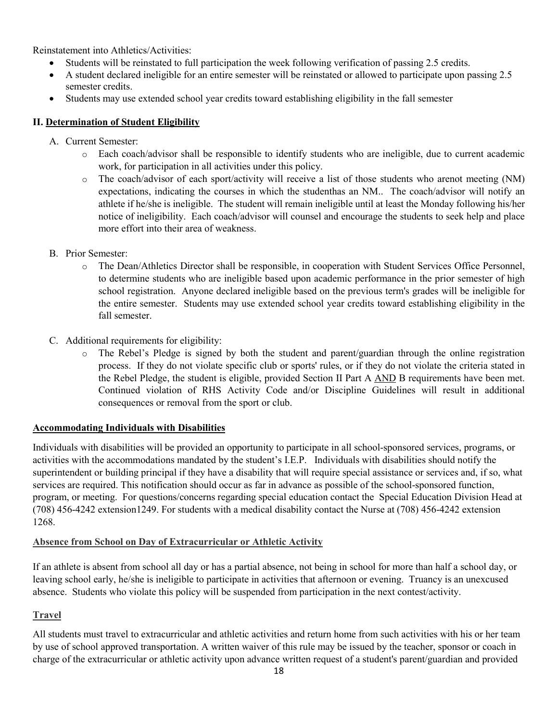Reinstatement into Athletics/Activities:

- Students will be reinstated to full participation the week following verification of passing 2.5 credits.
- A student declared ineligible for an entire semester will be reinstated or allowed to participate upon passing 2.5 semester credits.
- Students may use extended school year credits toward establishing eligibility in the fall semester

### **II. Determination of Student Eligibility**

- A. Current Semester:
	- o Each coach/advisor shall be responsible to identify students who are ineligible, due to current academic work, for participation in all activities under this policy.
	- o The coach/advisor of each sport/activity will receive a list of those students who arenot meeting (NM) expectations, indicating the courses in which the studenthas an NM.. The coach/advisor will notify an athlete if he/she is ineligible. The student will remain ineligible until at least the Monday following his/her notice of ineligibility. Each coach/advisor will counsel and encourage the students to seek help and place more effort into their area of weakness.
- B. Prior Semester:
	- o The Dean/Athletics Director shall be responsible, in cooperation with Student Services Office Personnel, to determine students who are ineligible based upon academic performance in the prior semester of high school registration. Anyone declared ineligible based on the previous term's grades will be ineligible for the entire semester. Students may use extended school year credits toward establishing eligibility in the fall semester.
- C. Additional requirements for eligibility:
	- The Rebel's Pledge is signed by both the student and parent/guardian through the online registration process. If they do not violate specific club or sports' rules, or if they do not violate the criteria stated in the Rebel Pledge, the student is eligible, provided Section II Part A AND B requirements have been met. Continued violation of RHS Activity Code and/or Discipline Guidelines will result in additional consequences or removal from the sport or club.

### **Accommodating Individuals with Disabilities**

Individuals with disabilities will be provided an opportunity to participate in all school-sponsored services, programs, or activities with the accommodations mandated by the student's I.E.P. Individuals with disabilities should notify the superintendent or building principal if they have a disability that will require special assistance or services and, if so, what services are required. This notification should occur as far in advance as possible of the school-sponsored function, program, or meeting. For questions/concerns regarding special education contact the Special Education Division Head at (708) 456-4242 extension1249. For students with a medical disability contact the Nurse at (708) 456-4242 extension 1268.

### **Absence from School on Day of Extracurricular or Athletic Activity**

If an athlete is absent from school all day or has a partial absence, not being in school for more than half a school day, or leaving school early, he/she is ineligible to participate in activities that afternoon or evening. Truancy is an unexcused absence. Students who violate this policy will be suspended from participation in the next contest/activity.

## **Travel**

All students must travel to extracurricular and athletic activities and return home from such activities with his or her team by use of school approved transportation. A written waiver of this rule may be issued by the teacher, sponsor or coach in charge of the extracurricular or athletic activity upon advance written request of a student's parent/guardian and provided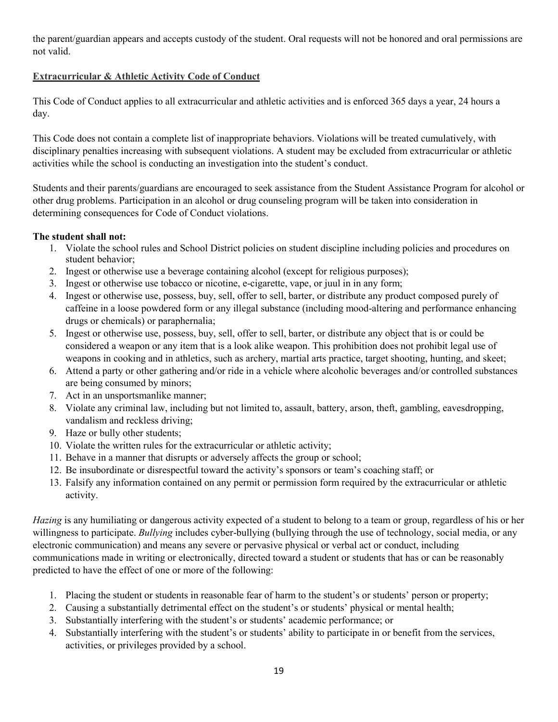the parent/guardian appears and accepts custody of the student. Oral requests will not be honored and oral permissions are not valid.

## **Extracurricular & Athletic Activity Code of Conduct**

This Code of Conduct applies to all extracurricular and athletic activities and is enforced 365 days a year, 24 hours a day.

This Code does not contain a complete list of inappropriate behaviors. Violations will be treated cumulatively, with disciplinary penalties increasing with subsequent violations. A student may be excluded from extracurricular or athletic activities while the school is conducting an investigation into the student's conduct.

Students and their parents/guardians are encouraged to seek assistance from the Student Assistance Program for alcohol or other drug problems. Participation in an alcohol or drug counseling program will be taken into consideration in determining consequences for Code of Conduct violations.

### **The student shall not:**

- 1. Violate the school rules and School District policies on student discipline including policies and procedures on student behavior;
- 2. Ingest or otherwise use a beverage containing alcohol (except for religious purposes);
- 3. Ingest or otherwise use tobacco or nicotine, e-cigarette, vape, or juul in in any form;
- 4. Ingest or otherwise use, possess, buy, sell, offer to sell, barter, or distribute any product composed purely of caffeine in a loose powdered form or any illegal substance (including mood-altering and performance enhancing drugs or chemicals) or paraphernalia;
- 5. Ingest or otherwise use, possess, buy, sell, offer to sell, barter, or distribute any object that is or could be considered a weapon or any item that is a look alike weapon. This prohibition does not prohibit legal use of weapons in cooking and in athletics, such as archery, martial arts practice, target shooting, hunting, and skeet;
- 6. Attend a party or other gathering and/or ride in a vehicle where alcoholic beverages and/or controlled substances are being consumed by minors;
- 7. Act in an unsportsmanlike manner;
- 8. Violate any criminal law, including but not limited to, assault, battery, arson, theft, gambling, eavesdropping, vandalism and reckless driving;
- 9. Haze or bully other students;
- 10. Violate the written rules for the extracurricular or athletic activity;
- 11. Behave in a manner that disrupts or adversely affects the group or school;
- 12. Be insubordinate or disrespectful toward the activity's sponsors or team's coaching staff; or
- 13. Falsify any information contained on any permit or permission form required by the extracurricular or athletic activity.

*Hazing* is any humiliating or dangerous activity expected of a student to belong to a team or group, regardless of his or her willingness to participate. *Bullying* includes cyber-bullying (bullying through the use of technology, social media, or any electronic communication) and means any severe or pervasive physical or verbal act or conduct, including communications made in writing or electronically, directed toward a student or students that has or can be reasonably predicted to have the effect of one or more of the following:

- 1. Placing the student or students in reasonable fear of harm to the student's or students' person or property;
- 2. Causing a substantially detrimental effect on the student's or students' physical or mental health;
- 3. Substantially interfering with the student's or students' academic performance; or
- 4. Substantially interfering with the student's or students' ability to participate in or benefit from the services, activities, or privileges provided by a school.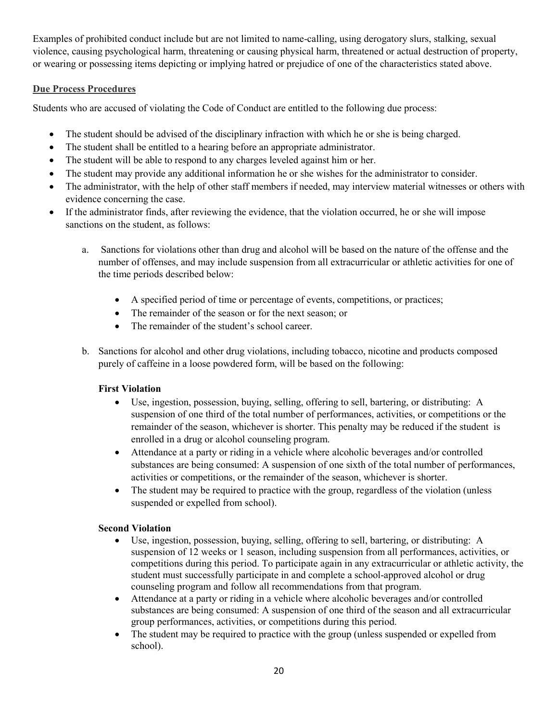Examples of prohibited conduct include but are not limited to name-calling, using derogatory slurs, stalking, sexual violence, causing psychological harm, threatening or causing physical harm, threatened or actual destruction of property, or wearing or possessing items depicting or implying hatred or prejudice of one of the characteristics stated above.

#### **Due Process Procedures**

Students who are accused of violating the Code of Conduct are entitled to the following due process:

- The student should be advised of the disciplinary infraction with which he or she is being charged.
- The student shall be entitled to a hearing before an appropriate administrator.
- The student will be able to respond to any charges leveled against him or her.
- The student may provide any additional information he or she wishes for the administrator to consider.
- The administrator, with the help of other staff members if needed, may interview material witnesses or others with evidence concerning the case.
- If the administrator finds, after reviewing the evidence, that the violation occurred, he or she will impose sanctions on the student, as follows:
	- a. Sanctions for violations other than drug and alcohol will be based on the nature of the offense and the number of offenses, and may include suspension from all extracurricular or athletic activities for one of the time periods described below:
		- A specified period of time or percentage of events, competitions, or practices;
		- The remainder of the season or for the next season; or
		- The remainder of the student's school career.
	- b. Sanctions for alcohol and other drug violations, including tobacco, nicotine and products composed purely of caffeine in a loose powdered form, will be based on the following:

### **First Violation**

- Use, ingestion, possession, buying, selling, offering to sell, bartering, or distributing: A suspension of one third of the total number of performances, activities, or competitions or the remainder of the season, whichever is shorter. This penalty may be reduced if the student is enrolled in a drug or alcohol counseling program.
- Attendance at a party or riding in a vehicle where alcoholic beverages and/or controlled substances are being consumed: A suspension of one sixth of the total number of performances, activities or competitions, or the remainder of the season, whichever is shorter.
- The student may be required to practice with the group, regardless of the violation (unless suspended or expelled from school).

### **Second Violation**

- Use, ingestion, possession, buying, selling, offering to sell, bartering, or distributing: A suspension of 12 weeks or 1 season, including suspension from all performances, activities, or competitions during this period. To participate again in any extracurricular or athletic activity, the student must successfully participate in and complete a school-approved alcohol or drug counseling program and follow all recommendations from that program.
- Attendance at a party or riding in a vehicle where alcoholic beverages and/or controlled substances are being consumed: A suspension of one third of the season and all extracurricular group performances, activities, or competitions during this period.
- The student may be required to practice with the group (unless suspended or expelled from school).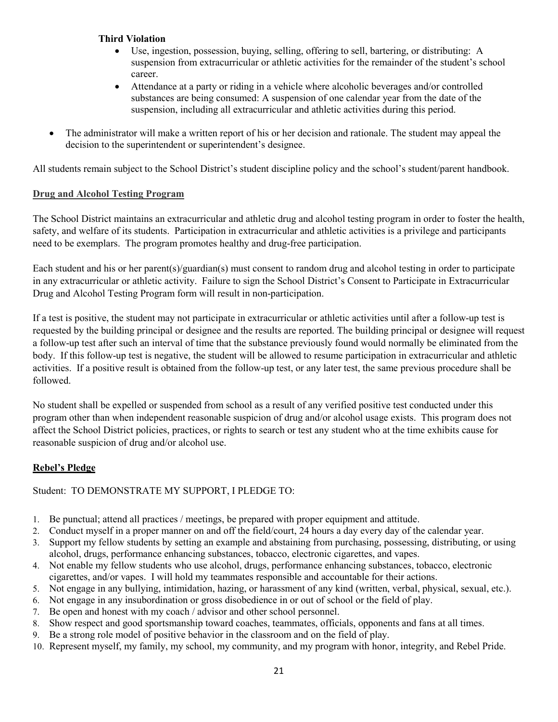#### **Third Violation**

- Use, ingestion, possession, buying, selling, offering to sell, bartering, or distributing: A suspension from extracurricular or athletic activities for the remainder of the student's school career.
- Attendance at a party or riding in a vehicle where alcoholic beverages and/or controlled substances are being consumed: A suspension of one calendar year from the date of the suspension, including all extracurricular and athletic activities during this period.
- The administrator will make a written report of his or her decision and rationale. The student may appeal the decision to the superintendent or superintendent's designee.

All students remain subject to the School District's student discipline policy and the school's student/parent handbook.

#### **Drug and Alcohol Testing Program**

The School District maintains an extracurricular and athletic drug and alcohol testing program in order to foster the health, safety, and welfare of its students. Participation in extracurricular and athletic activities is a privilege and participants need to be exemplars. The program promotes healthy and drug-free participation.

Each student and his or her parent(s)/guardian(s) must consent to random drug and alcohol testing in order to participate in any extracurricular or athletic activity. Failure to sign the School District's Consent to Participate in Extracurricular Drug and Alcohol Testing Program form will result in non-participation.

If a test is positive, the student may not participate in extracurricular or athletic activities until after a follow-up test is requested by the building principal or designee and the results are reported. The building principal or designee will request a follow-up test after such an interval of time that the substance previously found would normally be eliminated from the body. If this follow-up test is negative, the student will be allowed to resume participation in extracurricular and athletic activities. If a positive result is obtained from the follow-up test, or any later test, the same previous procedure shall be followed.

No student shall be expelled or suspended from school as a result of any verified positive test conducted under this program other than when independent reasonable suspicion of drug and/or alcohol usage exists. This program does not affect the School District policies, practices, or rights to search or test any student who at the time exhibits cause for reasonable suspicion of drug and/or alcohol use.

### **Rebel's Pledge**

Student: TO DEMONSTRATE MY SUPPORT, I PLEDGE TO:

- 1. Be punctual; attend all practices / meetings, be prepared with proper equipment and attitude.
- 2. Conduct myself in a proper manner on and off the field/court, 24 hours a day every day of the calendar year.
- 3. Support my fellow students by setting an example and abstaining from purchasing, possessing, distributing, or using alcohol, drugs, performance enhancing substances, tobacco, electronic cigarettes, and vapes.
- 4. Not enable my fellow students who use alcohol, drugs, performance enhancing substances, tobacco, electronic cigarettes, and/or vapes. I will hold my teammates responsible and accountable for their actions.
- 5. Not engage in any bullying, intimidation, hazing, or harassment of any kind (written, verbal, physical, sexual, etc.).
- 6. Not engage in any insubordination or gross disobedience in or out of school or the field of play.
- 7. Be open and honest with my coach / advisor and other school personnel.
- 8. Show respect and good sportsmanship toward coaches, teammates, officials, opponents and fans at all times.
- 9. Be a strong role model of positive behavior in the classroom and on the field of play.
- 10. Represent myself, my family, my school, my community, and my program with honor, integrity, and Rebel Pride.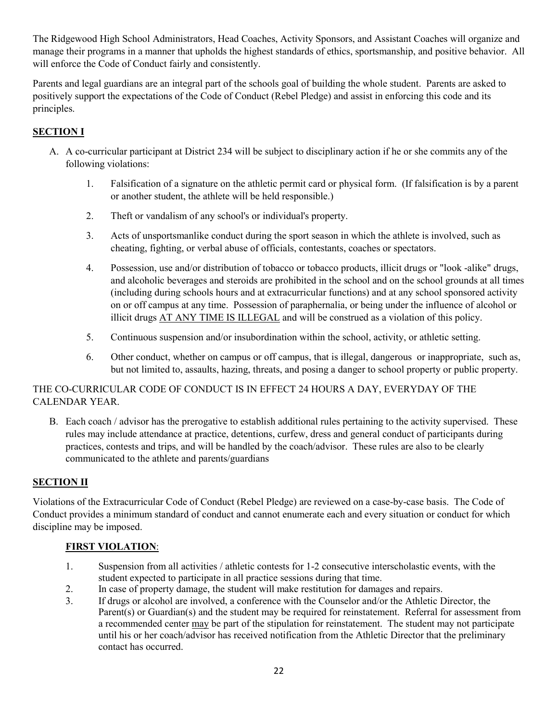The Ridgewood High School Administrators, Head Coaches, Activity Sponsors, and Assistant Coaches will organize and manage their programs in a manner that upholds the highest standards of ethics, sportsmanship, and positive behavior. All will enforce the Code of Conduct fairly and consistently.

Parents and legal guardians are an integral part of the schools goal of building the whole student. Parents are asked to positively support the expectations of the Code of Conduct (Rebel Pledge) and assist in enforcing this code and its principles.

## **SECTION I**

- A. A co-curricular participant at District 234 will be subject to disciplinary action if he or she commits any of the following violations:
	- 1. Falsification of a signature on the athletic permit card or physical form. (If falsification is by a parent or another student, the athlete will be held responsible.)
	- 2. Theft or vandalism of any school's or individual's property.
	- 3. Acts of unsportsmanlike conduct during the sport season in which the athlete is involved, such as cheating, fighting, or verbal abuse of officials, contestants, coaches or spectators.
	- 4. Possession, use and/or distribution of tobacco or tobacco products, illicit drugs or "look -alike" drugs, and alcoholic beverages and steroids are prohibited in the school and on the school grounds at all times (including during schools hours and at extracurricular functions) and at any school sponsored activity on or off campus at any time. Possession of paraphernalia, or being under the influence of alcohol or illicit drugs AT ANY TIME IS ILLEGAL and will be construed as a violation of this policy.
	- 5. Continuous suspension and/or insubordination within the school, activity, or athletic setting.
	- 6. Other conduct, whether on campus or off campus, that is illegal, dangerous or inappropriate, such as, but not limited to, assaults, hazing, threats, and posing a danger to school property or public property.

## THE CO-CURRICULAR CODE OF CONDUCT IS IN EFFECT 24 HOURS A DAY, EVERYDAY OF THE CALENDAR YEAR.

B. Each coach / advisor has the prerogative to establish additional rules pertaining to the activity supervised. These rules may include attendance at practice, detentions, curfew, dress and general conduct of participants during practices, contests and trips, and will be handled by the coach/advisor. These rules are also to be clearly communicated to the athlete and parents/guardians

### **SECTION II**

Violations of the Extracurricular Code of Conduct (Rebel Pledge) are reviewed on a case-by-case basis. The Code of Conduct provides a minimum standard of conduct and cannot enumerate each and every situation or conduct for which discipline may be imposed.

## **FIRST VIOLATION**:

- 1. Suspension from all activities / athletic contests for 1-2 consecutive interscholastic events, with the student expected to participate in all practice sessions during that time.
- 2. In case of property damage, the student will make restitution for damages and repairs.
- 3. If drugs or alcohol are involved, a conference with the Counselor and/or the Athletic Director, the Parent(s) or Guardian(s) and the student may be required for reinstatement. Referral for assessment from a recommended center may be part of the stipulation for reinstatement. The student may not participate until his or her coach/advisor has received notification from the Athletic Director that the preliminary contact has occurred.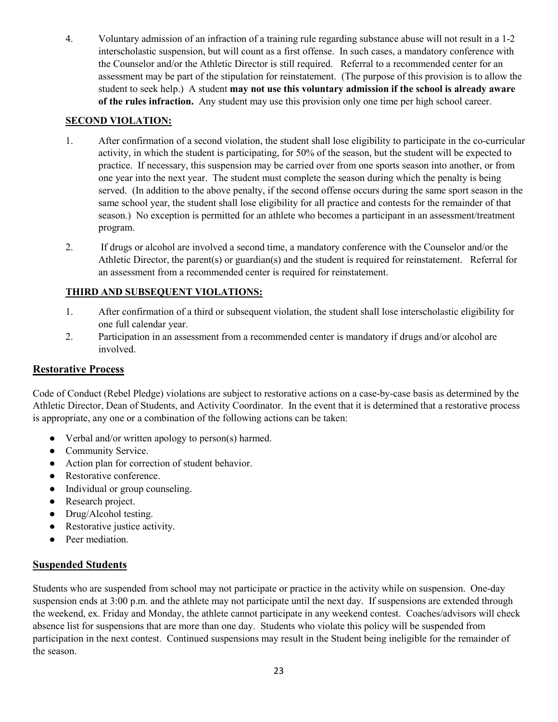4. Voluntary admission of an infraction of a training rule regarding substance abuse will not result in a 1-2 interscholastic suspension, but will count as a first offense. In such cases, a mandatory conference with the Counselor and/or the Athletic Director is still required. Referral to a recommended center for an assessment may be part of the stipulation for reinstatement. (The purpose of this provision is to allow the student to seek help.) A student **may not use this voluntary admission if the school is already aware of the rules infraction.** Any student may use this provision only one time per high school career.

### **SECOND VIOLATION:**

- 1. After confirmation of a second violation, the student shall lose eligibility to participate in the co-curricular activity, in which the student is participating, for 50% of the season, but the student will be expected to practice. If necessary, this suspension may be carried over from one sports season into another, or from one year into the next year. The student must complete the season during which the penalty is being served. (In addition to the above penalty, if the second offense occurs during the same sport season in the same school year, the student shall lose eligibility for all practice and contests for the remainder of that season.) No exception is permitted for an athlete who becomes a participant in an assessment/treatment program.
- 2. If drugs or alcohol are involved a second time, a mandatory conference with the Counselor and/or the Athletic Director, the parent(s) or guardian(s) and the student is required for reinstatement. Referral for an assessment from a recommended center is required for reinstatement.

#### **THIRD AND SUBSEQUENT VIOLATIONS:**

- 1. After confirmation of a third or subsequent violation, the student shall lose interscholastic eligibility for one full calendar year.
- 2. Participation in an assessment from a recommended center is mandatory if drugs and/or alcohol are involved.

### **Restorative Process**

Code of Conduct (Rebel Pledge) violations are subject to restorative actions on a case-by-case basis as determined by the Athletic Director, Dean of Students, and Activity Coordinator. In the event that it is determined that a restorative process is appropriate, any one or a combination of the following actions can be taken:

- Verbal and/or written apology to person(s) harmed.
- Community Service.
- Action plan for correction of student behavior.
- Restorative conference.
- Individual or group counseling.
- Research project.
- Drug/Alcohol testing.
- Restorative justice activity.
- Peer mediation.

### **Suspended Students**

Students who are suspended from school may not participate or practice in the activity while on suspension. One-day suspension ends at 3:00 p.m. and the athlete may not participate until the next day. If suspensions are extended through the weekend, ex. Friday and Monday, the athlete cannot participate in any weekend contest. Coaches/advisors will check absence list for suspensions that are more than one day. Students who violate this policy will be suspended from participation in the next contest. Continued suspensions may result in the Student being ineligible for the remainder of the season.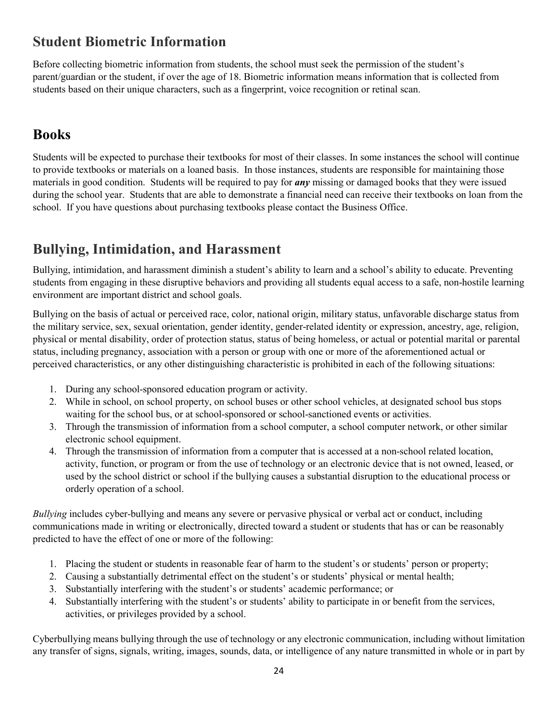# **Student Biometric Information**

Before collecting biometric information from students, the school must seek the permission of the student's parent/guardian or the student, if over the age of 18. Biometric information means information that is collected from students based on their unique characters, such as a fingerprint, voice recognition or retinal scan.

# **Books**

Students will be expected to purchase their textbooks for most of their classes. In some instances the school will continue to provide textbooks or materials on a loaned basis. In those instances, students are responsible for maintaining those materials in good condition. Students will be required to pay for *any* missing or damaged books that they were issued during the school year. Students that are able to demonstrate a financial need can receive their textbooks on loan from the school. If you have questions about purchasing textbooks please contact the Business Office.

# **Bullying, Intimidation, and Harassment**

Bullying, intimidation, and harassment diminish a student's ability to learn and a school's ability to educate. Preventing students from engaging in these disruptive behaviors and providing all students equal access to a safe, non-hostile learning environment are important district and school goals.

Bullying on the basis of actual or perceived race, color, national origin, military status, unfavorable discharge status from the military service, sex, sexual orientation, gender identity, gender-related identity or expression, ancestry, age, religion, physical or mental disability, order of protection status, status of being homeless, or actual or potential marital or parental status, including pregnancy, association with a person or group with one or more of the aforementioned actual or perceived characteristics, or any other distinguishing characteristic is prohibited in each of the following situations:

- 1. During any school-sponsored education program or activity.
- 2. While in school, on school property, on school buses or other school vehicles, at designated school bus stops waiting for the school bus, or at school-sponsored or school-sanctioned events or activities.
- 3. Through the transmission of information from a school computer, a school computer network, or other similar electronic school equipment.
- 4. Through the transmission of information from a computer that is accessed at a non-school related location, activity, function, or program or from the use of technology or an electronic device that is not owned, leased, or used by the school district or school if the bullying causes a substantial disruption to the educational process or orderly operation of a school.

*Bullying* includes cyber-bullying and means any severe or pervasive physical or verbal act or conduct, including communications made in writing or electronically, directed toward a student or students that has or can be reasonably predicted to have the effect of one or more of the following:

- 1. Placing the student or students in reasonable fear of harm to the student's or students' person or property;
- 2. Causing a substantially detrimental effect on the student's or students' physical or mental health;
- 3. Substantially interfering with the student's or students' academic performance; or
- 4. Substantially interfering with the student's or students' ability to participate in or benefit from the services, activities, or privileges provided by a school.

Cyberbullying means bullying through the use of technology or any electronic communication, including without limitation any transfer of signs, signals, writing, images, sounds, data, or intelligence of any nature transmitted in whole or in part by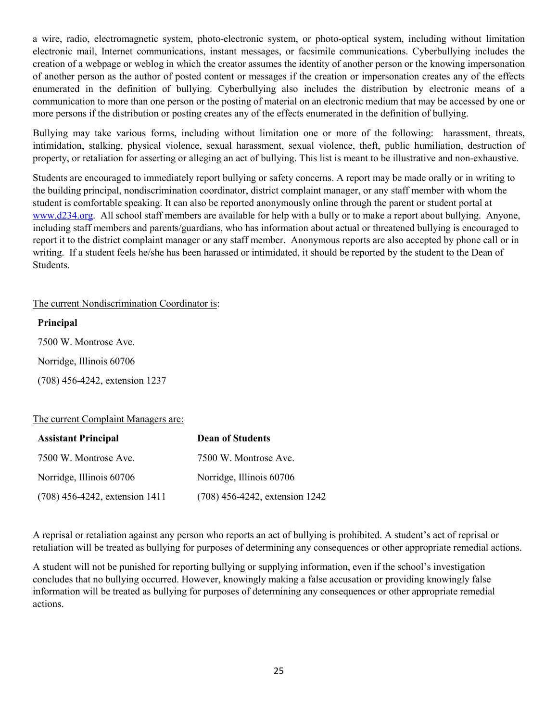a wire, radio, electromagnetic system, photo-electronic system, or photo-optical system, including without limitation electronic mail, Internet communications, instant messages, or facsimile communications. Cyberbullying includes the creation of a webpage or weblog in which the creator assumes the identity of another person or the knowing impersonation of another person as the author of posted content or messages if the creation or impersonation creates any of the effects enumerated in the definition of bullying. Cyberbullying also includes the distribution by electronic means of a communication to more than one person or the posting of material on an electronic medium that may be accessed by one or more persons if the distribution or posting creates any of the effects enumerated in the definition of bullying.

Bullying may take various forms, including without limitation one or more of the following: harassment, threats, intimidation, stalking, physical violence, sexual harassment, sexual violence, theft, public humiliation, destruction of property, or retaliation for asserting or alleging an act of bullying. This list is meant to be illustrative and non-exhaustive.

Students are encouraged to immediately report bullying or safety concerns. A report may be made orally or in writing to the building principal, nondiscrimination coordinator, district complaint manager, or any staff member with whom the student is comfortable speaking. It can also be reported anonymously online through the parent or student portal at [www.d234.org.](http://www.d234.org/) All school staff members are available for help with a bully or to make a report about bullying. Anyone, including staff members and parents/guardians, who has information about actual or threatened bullying is encouraged to report it to the district complaint manager or any staff member. Anonymous reports are also accepted by phone call or in writing. If a student feels he/she has been harassed or intimidated, it should be reported by the student to the Dean of Students.

#### The current Nondiscrimination Coordinator is:

#### **Principal**

7500 W. Montrose Ave.

Norridge, Illinois 60706

(708) 456-4242, extension 1237

### The current Complaint Managers are:

| <b>Assistant Principal</b>     | <b>Dean of Students</b>        |
|--------------------------------|--------------------------------|
| 7500 W. Montrose Ave.          | 7500 W. Montrose Ave.          |
| Norridge, Illinois 60706       | Norridge, Illinois 60706       |
| (708) 456-4242, extension 1411 | (708) 456-4242, extension 1242 |

A reprisal or retaliation against any person who reports an act of bullying is prohibited. A student's act of reprisal or retaliation will be treated as bullying for purposes of determining any consequences or other appropriate remedial actions.

A student will not be punished for reporting bullying or supplying information, even if the school's investigation concludes that no bullying occurred. However, knowingly making a false accusation or providing knowingly false information will be treated as bullying for purposes of determining any consequences or other appropriate remedial actions.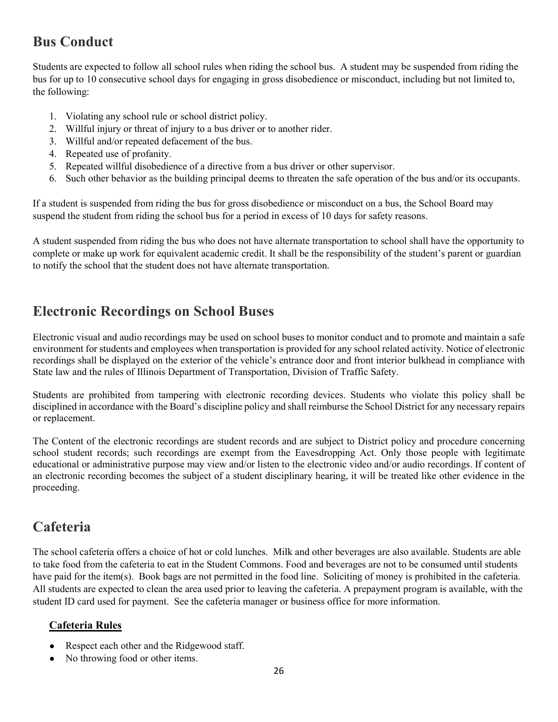# **Bus Conduct**

Students are expected to follow all school rules when riding the school bus. A student may be suspended from riding the bus for up to 10 consecutive school days for engaging in gross disobedience or misconduct, including but not limited to, the following:

- 1. Violating any school rule or school district policy.
- 2. Willful injury or threat of injury to a bus driver or to another rider.
- 3. Willful and/or repeated defacement of the bus.
- 4. Repeated use of profanity.
- 5. Repeated willful disobedience of a directive from a bus driver or other supervisor.
- 6. Such other behavior as the building principal deems to threaten the safe operation of the bus and/or its occupants.

If a student is suspended from riding the bus for gross disobedience or misconduct on a bus, the School Board may suspend the student from riding the school bus for a period in excess of 10 days for safety reasons.

A student suspended from riding the bus who does not have alternate transportation to school shall have the opportunity to complete or make up work for equivalent academic credit. It shall be the responsibility of the student's parent or guardian to notify the school that the student does not have alternate transportation.

## **Electronic Recordings on School Buses**

Electronic visual and audio recordings may be used on school buses to monitor conduct and to promote and maintain a safe environment for students and employees when transportation is provided for any school related activity. Notice of electronic recordings shall be displayed on the exterior of the vehicle's entrance door and front interior bulkhead in compliance with State law and the rules of Illinois Department of Transportation, Division of Traffic Safety.

Students are prohibited from tampering with electronic recording devices. Students who violate this policy shall be disciplined in accordance with the Board's discipline policy and shall reimburse the School District for any necessary repairs or replacement.

The Content of the electronic recordings are student records and are subject to District policy and procedure concerning school student records; such recordings are exempt from the Eavesdropping Act. Only those people with legitimate educational or administrative purpose may view and/or listen to the electronic video and/or audio recordings. If content of an electronic recording becomes the subject of a student disciplinary hearing, it will be treated like other evidence in the proceeding.

## **Cafeteria**

The school cafeteria offers a choice of hot or cold lunches. Milk and other beverages are also available. Students are able to take food from the cafeteria to eat in the Student Commons. Food and beverages are not to be consumed until students have paid for the item(s). Book bags are not permitted in the food line. Soliciting of money is prohibited in the cafeteria. All students are expected to clean the area used prior to leaving the cafeteria. A prepayment program is available, with the student ID card used for payment. See the cafeteria manager or business office for more information.

## **Cafeteria Rules**

- Respect each other and the Ridgewood staff.
- No throwing food or other items.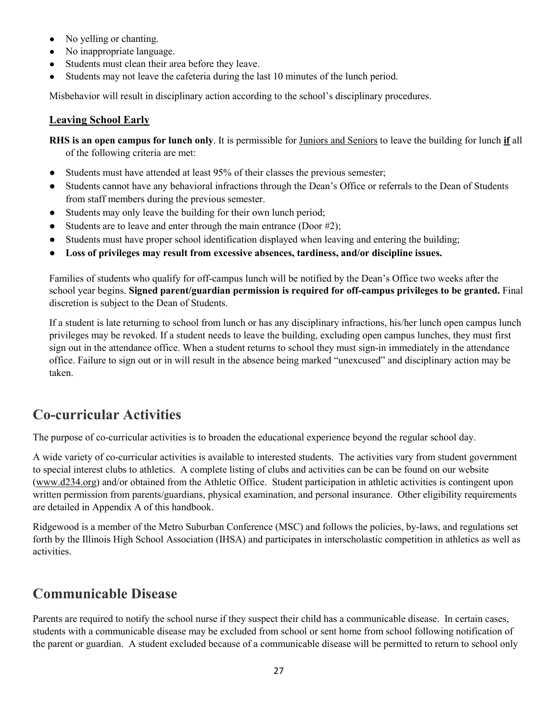- No yelling or chanting.
- No inappropriate language.
- Students must clean their area before they leave.
- Students may not leave the cafeteria during the last 10 minutes of the lunch period.

Misbehavior will result in disciplinary action according to the school's disciplinary procedures.

### **Leaving School Early**

**RHS is an open campus for lunch only**. It is permissible for Juniors and Seniors to leave the building for lunch **if** all of the following criteria are met:

- Students must have attended at least 95% of their classes the previous semester;
- Students cannot have any behavioral infractions through the Dean's Office or referrals to the Dean of Students from staff members during the previous semester.
- Students may only leave the building for their own lunch period;
- Students are to leave and enter through the main entrance (Door #2);
- Students must have proper school identification displayed when leaving and entering the building;
- **Loss of privileges may result from excessive absences, tardiness, and/or discipline issues.**

Families of students who qualify for off-campus lunch will be notified by the Dean's Office two weeks after the school year begins. **Signed parent/guardian permission is required for off-campus privileges to be granted.** Final discretion is subject to the Dean of Students.

If a student is late returning to school from lunch or has any disciplinary infractions, his/her lunch open campus lunch privileges may be revoked. If a student needs to leave the building, excluding open campus lunches, they must first sign out in the attendance office. When a student returns to school they must sign-in immediately in the attendance office. Failure to sign out or in will result in the absence being marked "unexcused" and disciplinary action may be taken.

## **Co-curricular Activities**

The purpose of co-curricular activities is to broaden the educational experience beyond the regular school day.

A wide variety of co-curricular activities is available to interested students. The activities vary from student government to special interest clubs to athletics. A complete listing of clubs and activities can be can be found on our website [\(www.d234.org\)](http://www.d234.org/) and/or obtained from the Athletic Office. Student participation in athletic activities is contingent upon written permission from parents/guardians, physical examination, and personal insurance. Other eligibility requirements are detailed in Appendix A of this handbook.

Ridgewood is a member of the Metro Suburban Conference (MSC) and follows the policies, by-laws, and regulations set forth by the Illinois High School Association (IHSA) and participates in interscholastic competition in athletics as well as activities.

## **Communicable Disease**

Parents are required to notify the school nurse if they suspect their child has a communicable disease. In certain cases, students with a communicable disease may be excluded from school or sent home from school following notification of the parent or guardian. A student excluded because of a communicable disease will be permitted to return to school only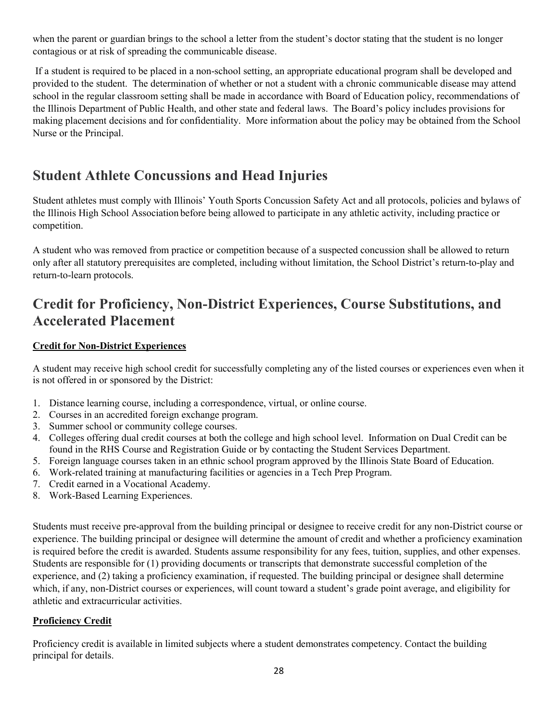when the parent or guardian brings to the school a letter from the student's doctor stating that the student is no longer contagious or at risk of spreading the communicable disease.

 If a student is required to be placed in a non-school setting, an appropriate educational program shall be developed and provided to the student. The determination of whether or not a student with a chronic communicable disease may attend school in the regular classroom setting shall be made in accordance with Board of Education policy, recommendations of the Illinois Department of Public Health, and other state and federal laws. The Board's policy includes provisions for making placement decisions and for confidentiality. More information about the policy may be obtained from the School Nurse or the Principal.

# **Student Athlete Concussions and Head Injuries**

Student athletes must comply with Illinois' Youth Sports Concussion Safety Act and all protocols, policies and bylaws of the Illinois High School Association before being allowed to participate in any athletic activity, including practice or competition.

A student who was removed from practice or competition because of a suspected concussion shall be allowed to return only after all statutory prerequisites are completed, including without limitation, the School District's return-to-play and return-to-learn protocols.

## **Credit for Proficiency, Non-District Experiences, Course Substitutions, and Accelerated Placement**

### **Credit for Non-District Experiences**

A student may receive high school credit for successfully completing any of the listed courses or experiences even when it is not offered in or sponsored by the District:

- 1. Distance learning course, including a correspondence, virtual, or online course.
- 2. Courses in an accredited foreign exchange program.
- 3. Summer school or community college courses.
- 4. Colleges offering dual credit courses at both the college and high school level. Information on Dual Credit can be found in the RHS Course and Registration Guide or by contacting the Student Services Department.
- 5. Foreign language courses taken in an ethnic school program approved by the Illinois State Board of Education.
- 6. Work-related training at manufacturing facilities or agencies in a Tech Prep Program.
- 7. Credit earned in a Vocational Academy.
- 8. Work-Based Learning Experiences.

Students must receive pre-approval from the building principal or designee to receive credit for any non-District course or experience. The building principal or designee will determine the amount of credit and whether a proficiency examination is required before the credit is awarded. Students assume responsibility for any fees, tuition, supplies, and other expenses. Students are responsible for (1) providing documents or transcripts that demonstrate successful completion of the experience, and (2) taking a proficiency examination, if requested. The building principal or designee shall determine which, if any, non-District courses or experiences, will count toward a student's grade point average, and eligibility for athletic and extracurricular activities.

## **Proficiency Credit**

Proficiency credit is available in limited subjects where a student demonstrates competency. Contact the building principal for details.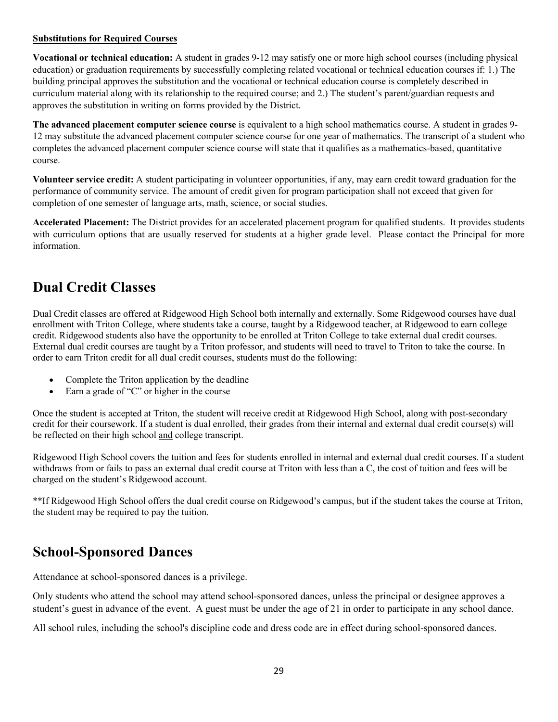#### **Substitutions for Required Courses**

**Vocational or technical education:** A student in grades 9-12 may satisfy one or more high school courses (including physical education) or graduation requirements by successfully completing related vocational or technical education courses if: 1.) The building principal approves the substitution and the vocational or technical education course is completely described in curriculum material along with its relationship to the required course; and 2.) The student's parent/guardian requests and approves the substitution in writing on forms provided by the District.

**The advanced placement computer science course** is equivalent to a high school mathematics course. A student in grades 9- 12 may substitute the advanced placement computer science course for one year of mathematics. The transcript of a student who completes the advanced placement computer science course will state that it qualifies as a mathematics-based, quantitative course.

**Volunteer service credit:** A student participating in volunteer opportunities, if any, may earn credit toward graduation for the performance of community service. The amount of credit given for program participation shall not exceed that given for completion of one semester of language arts, math, science, or social studies.

**Accelerated Placement:** The District provides for an accelerated placement program for qualified students. It provides students with curriculum options that are usually reserved for students at a higher grade level. Please contact the Principal for more information.

# **Dual Credit Classes**

Dual Credit classes are offered at Ridgewood High School both internally and externally. Some Ridgewood courses have dual enrollment with Triton College, where students take a course, taught by a Ridgewood teacher, at Ridgewood to earn college credit. Ridgewood students also have the opportunity to be enrolled at Triton College to take external dual credit courses. External dual credit courses are taught by a Triton professor, and students will need to travel to Triton to take the course. In order to earn Triton credit for all dual credit courses, students must do the following:

- Complete the Triton application by the deadline
- Earn a grade of "C" or higher in the course

Once the student is accepted at Triton, the student will receive credit at Ridgewood High School, along with post-secondary credit for their coursework. If a student is dual enrolled, their grades from their internal and external dual credit course(s) will be reflected on their high school and college transcript.

Ridgewood High School covers the tuition and fees for students enrolled in internal and external dual credit courses. If a student withdraws from or fails to pass an external dual credit course at Triton with less than a C, the cost of tuition and fees will be charged on the student's Ridgewood account.

\*\*If Ridgewood High School offers the dual credit course on Ridgewood's campus, but if the student takes the course at Triton, the student may be required to pay the tuition.

## **School-Sponsored Dances**

Attendance at school-sponsored dances is a privilege.

Only students who attend the school may attend school-sponsored dances, unless the principal or designee approves a student's guest in advance of the event. A guest must be under the age of 21 in order to participate in any school dance.

All school rules, including the school's discipline code and dress code are in effect during school-sponsored dances.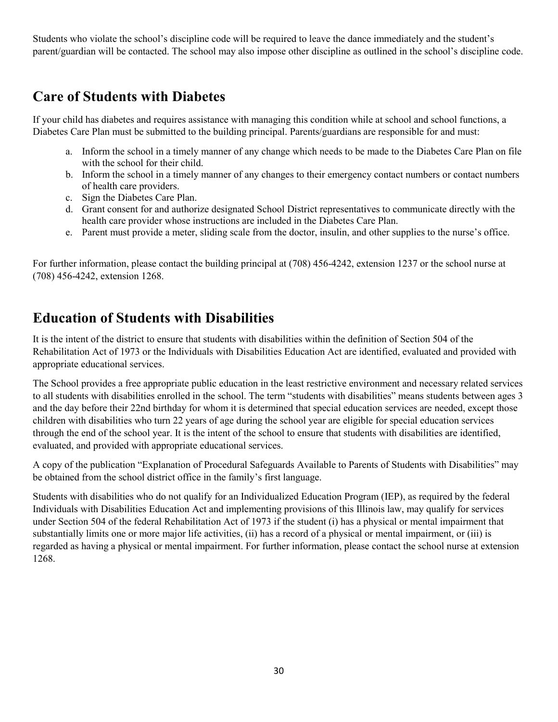Students who violate the school's discipline code will be required to leave the dance immediately and the student's parent/guardian will be contacted. The school may also impose other discipline as outlined in the school's discipline code.

## **Care of Students with Diabetes**

If your child has diabetes and requires assistance with managing this condition while at school and school functions, a Diabetes Care Plan must be submitted to the building principal. Parents/guardians are responsible for and must:

- a. Inform the school in a timely manner of any change which needs to be made to the Diabetes Care Plan on file with the school for their child.
- b. Inform the school in a timely manner of any changes to their emergency contact numbers or contact numbers of health care providers.
- c. Sign the Diabetes Care Plan.
- d. Grant consent for and authorize designated School District representatives to communicate directly with the health care provider whose instructions are included in the Diabetes Care Plan.
- e. Parent must provide a meter, sliding scale from the doctor, insulin, and other supplies to the nurse's office.

For further information, please contact the building principal at (708) 456-4242, extension 1237 or the school nurse at (708) 456-4242, extension 1268.

## **Education of Students with Disabilities**

It is the intent of the district to ensure that students with disabilities within the definition of Section 504 of the Rehabilitation Act of 1973 or the Individuals with Disabilities Education Act are identified, evaluated and provided with appropriate educational services.

The School provides a free appropriate public education in the least restrictive environment and necessary related services to all students with disabilities enrolled in the school. The term "students with disabilities" means students between ages 3 and the day before their 22nd birthday for whom it is determined that special education services are needed, except those children with disabilities who turn 22 years of age during the school year are eligible for special education services through the end of the school year. It is the intent of the school to ensure that students with disabilities are identified, evaluated, and provided with appropriate educational services.

A copy of the publication "Explanation of Procedural Safeguards Available to Parents of Students with Disabilities" may be obtained from the school district office in the family's first language.

Students with disabilities who do not qualify for an Individualized Education Program (IEP), as required by the federal Individuals with Disabilities Education Act and implementing provisions of this Illinois law, may qualify for services under Section 504 of the federal Rehabilitation Act of 1973 if the student (i) has a physical or mental impairment that substantially limits one or more major life activities, (ii) has a record of a physical or mental impairment, or (iii) is regarded as having a physical or mental impairment. For further information, please contact the school nurse at extension 1268.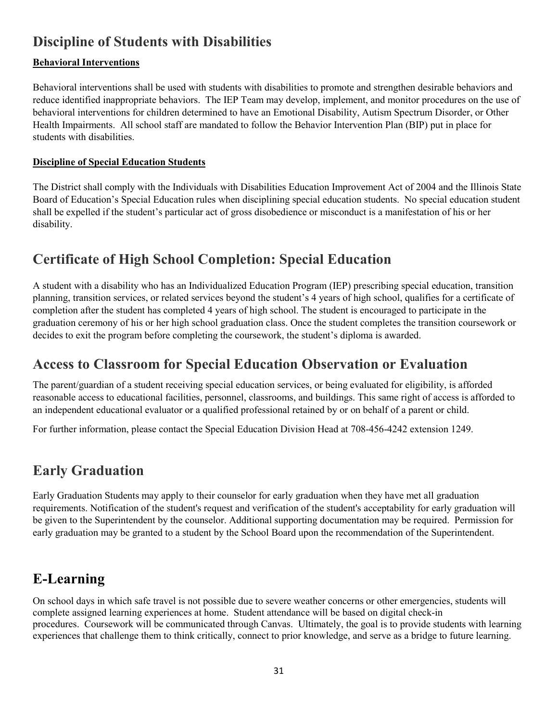# **Discipline of Students with Disabilities**

## **Behavioral Interventions**

Behavioral interventions shall be used with students with disabilities to promote and strengthen desirable behaviors and reduce identified inappropriate behaviors. The IEP Team may develop, implement, and monitor procedures on the use of behavioral interventions for children determined to have an Emotional Disability, Autism Spectrum Disorder, or Other Health Impairments. All school staff are mandated to follow the Behavior Intervention Plan (BIP) put in place for students with disabilities.

## **Discipline of Special Education Students**

The District shall comply with the Individuals with Disabilities Education Improvement Act of 2004 and the Illinois State Board of Education's Special Education rules when disciplining special education students. No special education student shall be expelled if the student's particular act of gross disobedience or misconduct is a manifestation of his or her disability.

# **Certificate of High School Completion: Special Education**

A student with a disability who has an Individualized Education Program (IEP) prescribing special education, transition planning, transition services, or related services beyond the student's 4 years of high school, qualifies for a certificate of completion after the student has completed 4 years of high school. The student is encouraged to participate in the graduation ceremony of his or her high school graduation class. Once the student completes the transition coursework or decides to exit the program before completing the coursework, the student's diploma is awarded.

## **Access to Classroom for Special Education Observation or Evaluation**

The parent/guardian of a student receiving special education services, or being evaluated for eligibility, is afforded reasonable access to educational facilities, personnel, classrooms, and buildings. This same right of access is afforded to an independent educational evaluator or a qualified professional retained by or on behalf of a parent or child.

For further information, please contact the Special Education Division Head at 708-456-4242 extension 1249.

# **Early Graduation**

Early Graduation Students may apply to their counselor for early graduation when they have met all graduation requirements. Notification of the student's request and verification of the student's acceptability for early graduation will be given to the Superintendent by the counselor. Additional supporting documentation may be required. Permission for early graduation may be granted to a student by the School Board upon the recommendation of the Superintendent.

# **E-Learning**

On school days in which safe travel is not possible due to severe weather concerns or other emergencies, students will complete assigned learning experiences at home. Student attendance will be based on digital check-in procedures. Coursework will be communicated through Canvas. Ultimately, the goal is to provide students with learning experiences that challenge them to think critically, connect to prior knowledge, and serve as a bridge to future learning.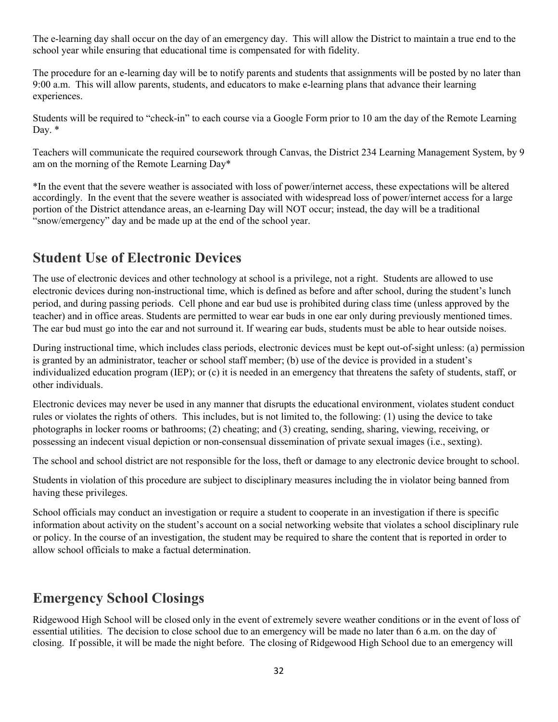The e-learning day shall occur on the day of an emergency day. This will allow the District to maintain a true end to the school year while ensuring that educational time is compensated for with fidelity.

The procedure for an e-learning day will be to notify parents and students that assignments will be posted by no later than 9:00 a.m. This will allow parents, students, and educators to make e-learning plans that advance their learning experiences.

Students will be required to "check-in" to each course via a Google Form prior to 10 am the day of the Remote Learning Day. \*

Teachers will communicate the required coursework through Canvas, the District 234 Learning Management System, by 9 am on the morning of the Remote Learning Day\*

\*In the event that the severe weather is associated with loss of power/internet access, these expectations will be altered accordingly. In the event that the severe weather is associated with widespread loss of power/internet access for a large portion of the District attendance areas, an e-learning Day will NOT occur; instead, the day will be a traditional "snow/emergency" day and be made up at the end of the school year.

## **Student Use of Electronic Devices**

The use of electronic devices and other technology at school is a privilege, not a right. Students are allowed to use electronic devices during non-instructional time, which is defined as before and after school, during the student's lunch period, and during passing periods. Cell phone and ear bud use is prohibited during class time (unless approved by the teacher) and in office areas. Students are permitted to wear ear buds in one ear only during previously mentioned times. The ear bud must go into the ear and not surround it. If wearing ear buds, students must be able to hear outside noises.

During instructional time, which includes class periods, electronic devices must be kept out-of-sight unless: (a) permission is granted by an administrator, teacher or school staff member; (b) use of the device is provided in a student's individualized education program (IEP); or (c) it is needed in an emergency that threatens the safety of students, staff, or other individuals.

Electronic devices may never be used in any manner that disrupts the educational environment, violates student conduct rules or violates the rights of others. This includes, but is not limited to, the following: (1) using the device to take photographs in locker rooms or bathrooms; (2) cheating; and (3) creating, sending, sharing, viewing, receiving, or possessing an indecent visual depiction or non-consensual dissemination of private sexual images (i.e., sexting).

The school and school district are not responsible for the loss, theft or damage to any electronic device brought to school.

Students in violation of this procedure are subject to disciplinary measures including the in violator being banned from having these privileges.

School officials may conduct an investigation or require a student to cooperate in an investigation if there is specific information about activity on the student's account on a social networking website that violates a school disciplinary rule or policy. In the course of an investigation, the student may be required to share the content that is reported in order to allow school officials to make a factual determination.

## **Emergency School Closings**

Ridgewood High School will be closed only in the event of extremely severe weather conditions or in the event of loss of essential utilities. The decision to close school due to an emergency will be made no later than 6 a.m. on the day of closing. If possible, it will be made the night before. The closing of Ridgewood High School due to an emergency will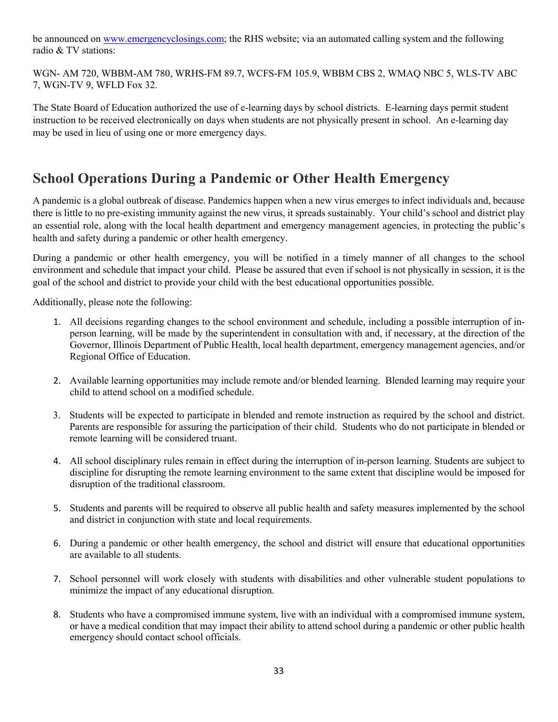be announced on [www.emergencyclosings.com;](http://www.emergencyclosings.com/) the RHS website; via an automated calling system and the following radio & TV stations:

WGN- AM 720, WBBM-AM 780, WRHS-FM 89.7, WCFS-FM 105.9, WBBM CBS 2, WMAQ NBC 5, WLS-TV ABC 7, WGN-TV 9, WFLD Fox 32.

The State Board of Education authorized the use of e-learning days by school districts. E-learning days permit student instruction to be received electronically on days when students are not physically present in school. An e-learning day may be used in lieu of using one or more emergency days.

## **School Operations During a Pandemic or Other Health Emergency**

A pandemic is a global outbreak of disease. Pandemics happen when a new virus emerges to infect individuals and, because there is little to no pre-existing immunity against the new virus, it spreads sustainably. Your child's school and district play an essential role, along with the local health department and emergency management agencies, in protecting the public's health and safety during a pandemic or other health emergency.

During a pandemic or other health emergency, you will be notified in a timely manner of all changes to the school environment and schedule that impact your child. Please be assured that even if school is not physically in session, it is the goal of the school and district to provide your child with the best educational opportunities possible.

Additionally, please note the following:

- 1. All decisions regarding changes to the school environment and schedule, including a possible interruption of inperson learning, will be made by the superintendent in consultation with and, if necessary, at the direction of the Governor, Illinois Department of Public Health, local health department, emergency management agencies, and/or Regional Office of Education.
- 2. Available learning opportunities may include remote and/or blended learning. Blended learning may require your child to attend school on a modified schedule.
- 3. Students will be expected to participate in blended and remote instruction as required by the school and district. Parents are responsible for assuring the participation of their child. Students who do not participate in blended or remote learning will be considered truant.
- 4. All school disciplinary rules remain in effect during the interruption of in-person learning. Students are subject to discipline for disrupting the remote learning environment to the same extent that discipline would be imposed for disruption of the traditional classroom.
- 5. Students and parents will be required to observe all public health and safety measures implemented by the school and district in conjunction with state and local requirements.
- 6. During a pandemic or other health emergency, the school and district will ensure that educational opportunities are available to all students.
- 7. School personnel will work closely with students with disabilities and other vulnerable student populations to minimize the impact of any educational disruption.
- 8. Students who have a compromised immune system, live with an individual with a compromised immune system, or have a medical condition that may impact their ability to attend school during a pandemic or other public health emergency should contact school officials.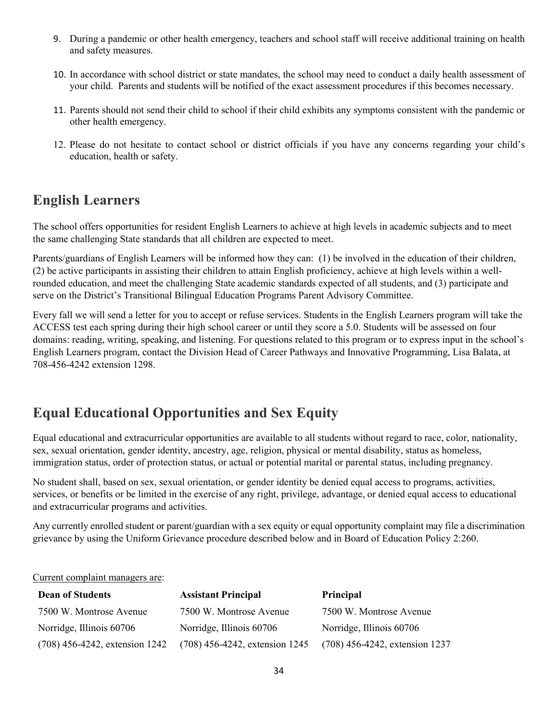- 9. During a pandemic or other health emergency, teachers and school staff will receive additional training on health and safety measures.
- 10. In accordance with school district or state mandates, the school may need to conduct a daily health assessment of your child. Parents and students will be notified of the exact assessment procedures if this becomes necessary.
- 11. Parents should not send their child to school if their child exhibits any symptoms consistent with the pandemic or other health emergency.
- 12. Please do not hesitate to contact school or district officials if you have any concerns regarding your child's education, health or safety.

## **English Learners**

The school offers opportunities for resident English Learners to achieve at high levels in academic subjects and to meet the same challenging State standards that all children are expected to meet.

Parents/guardians of English Learners will be informed how they can: (1) be involved in the education of their children, (2) be active participants in assisting their children to attain English proficiency, achieve at high levels within a wellrounded education, and meet the challenging State academic standards expected of all students, and (3) participate and serve on the District's Transitional Bilingual Education Programs Parent Advisory Committee.

Every fall we will send a letter for you to accept or refuse services. Students in the English Learners program will take the ACCESS test each spring during their high school career or until they score a 5.0. Students will be assessed on four domains: reading, writing, speaking, and listening. For questions related to this program or to express input in the school's English Learners program, contact the Division Head of Career Pathways and Innovative Programming, Lisa Balata, at 708-456-4242 extension 1298.

# **Equal Educational Opportunities and Sex Equity**

Equal educational and extracurricular opportunities are available to all students without regard to race, color, nationality, sex, sexual orientation, gender identity, ancestry, age, religion, physical or mental disability, status as homeless, immigration status, order of protection status, or actual or potential marital or parental status, including pregnancy.

No student shall, based on sex, sexual orientation, or gender identity be denied equal access to programs, activities, services, or benefits or be limited in the exercise of any right, privilege, advantage, or denied equal access to educational and extracurricular programs and activities.

Any currently enrolled student or parent/guardian with a sex equity or equal opportunity complaint may file a discrimination grievance by using the Uniform Grievance procedure described below and in Board of Education Policy 2:260.

#### Current complaint managers are:

| <b>Dean of Students</b>        | <b>Assistant Principal</b>     | <b>Principal</b>               |
|--------------------------------|--------------------------------|--------------------------------|
| 7500 W. Montrose Avenue        | 7500 W. Montrose Avenue        | 7500 W. Montrose Avenue        |
| Norridge, Illinois 60706       | Norridge, Illinois 60706       | Norridge, Illinois 60706       |
| (708) 456-4242, extension 1242 | (708) 456-4242, extension 1245 | (708) 456-4242, extension 1237 |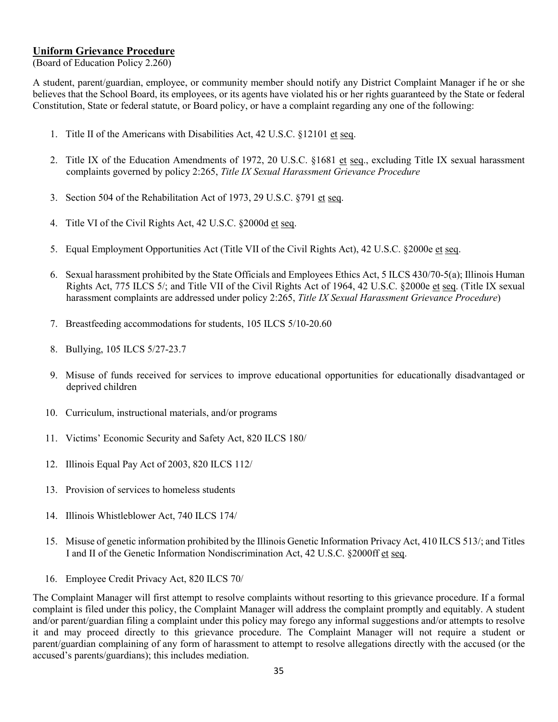#### **Uniform Grievance Procedure**

(Board of Education Policy 2.260)

A student, parent/guardian, employee, or community member should notify any District Complaint Manager if he or she believes that the School Board, its employees, or its agents have violated his or her rights guaranteed by the State or federal Constitution, State or federal statute, or Board policy, or have a complaint regarding any one of the following:

- 1. Title II of the Americans with Disabilities Act, 42 U.S.C. §12101 et seq.
- 2. Title IX of the Education Amendments of 1972, 20 U.S.C. §1681 et seq., excluding Title IX sexual harassment complaints governed by policy 2:265, *Title IX Sexual Harassment Grievance Procedure*
- 3. Section 504 of the Rehabilitation Act of 1973, 29 U.S.C. §791 et seq.
- 4. Title VI of the Civil Rights Act, 42 U.S.C. §2000d et seq.
- 5. Equal Employment Opportunities Act (Title VII of the Civil Rights Act), 42 U.S.C. §2000e et seq.
- 6. Sexual harassment prohibited by the State Officials and Employees Ethics Act, 5 ILCS 430/70-5(a); Illinois Human Rights Act, 775 ILCS 5/; and Title VII of the Civil Rights Act of 1964, 42 U.S.C. §2000e et seq. (Title IX sexual harassment complaints are addressed under policy 2:265, *Title IX Sexual Harassment Grievance Procedure*)
- 7. Breastfeeding accommodations for students, 105 ILCS 5/10-20.60
- 8. Bullying, 105 ILCS 5/27-23.7
- 9. Misuse of funds received for services to improve educational opportunities for educationally disadvantaged or deprived children
- 10. Curriculum, instructional materials, and/or programs
- 11. Victims' Economic Security and Safety Act, 820 ILCS 180/
- 12. Illinois Equal Pay Act of 2003, 820 ILCS 112/
- 13. Provision of services to homeless students
- 14. Illinois Whistleblower Act, 740 ILCS 174/
- 15. Misuse of genetic information prohibited by the Illinois Genetic Information Privacy Act, 410 ILCS 513/; and Titles I and II of the Genetic Information Nondiscrimination Act, 42 U.S.C. §2000ff et seq.
- 16. Employee Credit Privacy Act, 820 ILCS 70/

The Complaint Manager will first attempt to resolve complaints without resorting to this grievance procedure. If a formal complaint is filed under this policy, the Complaint Manager will address the complaint promptly and equitably. A student and/or parent/guardian filing a complaint under this policy may forego any informal suggestions and/or attempts to resolve it and may proceed directly to this grievance procedure. The Complaint Manager will not require a student or parent/guardian complaining of any form of harassment to attempt to resolve allegations directly with the accused (or the accused's parents/guardians); this includes mediation.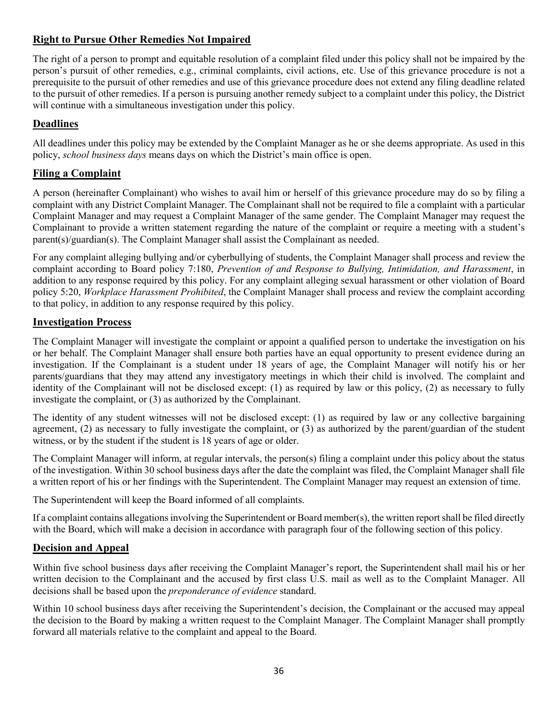## **Right to Pursue Other Remedies Not Impaired**

The right of a person to prompt and equitable resolution of a complaint filed under this policy shall not be impaired by the person's pursuit of other remedies, e.g., criminal complaints, civil actions, etc. Use of this grievance procedure is not a prerequisite to the pursuit of other remedies and use of this grievance procedure does not extend any filing deadline related to the pursuit of other remedies. If a person is pursuing another remedy subject to a complaint under this policy, the District will continue with a simultaneous investigation under this policy.

## **Deadlines**

All deadlines under this policy may be extended by the Complaint Manager as he or she deems appropriate. As used in this policy, *school business days* means days on which the District's main office is open.

## **Filing a Complaint**

A person (hereinafter Complainant) who wishes to avail him or herself of this grievance procedure may do so by filing a complaint with any District Complaint Manager. The Complainant shall not be required to file a complaint with a particular Complaint Manager and may request a Complaint Manager of the same gender. The Complaint Manager may request the Complainant to provide a written statement regarding the nature of the complaint or require a meeting with a student's parent(s)/guardian(s). The Complaint Manager shall assist the Complainant as needed.

For any complaint alleging bullying and/or cyberbullying of students, the Complaint Manager shall process and review the complaint according to Board policy 7:180, *Prevention of and Response to Bullying, Intimidation, and Harassment*, in addition to any response required by this policy. For any complaint alleging sexual harassment or other violation of Board policy 5:20, *Workplace Harassment Prohibited*, the Complaint Manager shall process and review the complaint according to that policy, in addition to any response required by this policy.

## **Investigation Process**

The Complaint Manager will investigate the complaint or appoint a qualified person to undertake the investigation on his or her behalf. The Complaint Manager shall ensure both parties have an equal opportunity to present evidence during an investigation. If the Complainant is a student under 18 years of age, the Complaint Manager will notify his or her parents/guardians that they may attend any investigatory meetings in which their child is involved. The complaint and identity of the Complainant will not be disclosed except: (1) as required by law or this policy, (2) as necessary to fully investigate the complaint, or (3) as authorized by the Complainant.

The identity of any student witnesses will not be disclosed except: (1) as required by law or any collective bargaining agreement, (2) as necessary to fully investigate the complaint, or (3) as authorized by the parent/guardian of the student witness, or by the student if the student is 18 years of age or older.

The Complaint Manager will inform, at regular intervals, the person(s) filing a complaint under this policy about the status of the investigation. Within 30 school business days after the date the complaint was filed, the Complaint Manager shall file a written report of his or her findings with the Superintendent. The Complaint Manager may request an extension of time.

The Superintendent will keep the Board informed of all complaints.

If a complaint contains allegations involving the Superintendent or Board member(s), the written report shall be filed directly with the Board, which will make a decision in accordance with paragraph four of the following section of this policy.

## **Decision and Appeal**

Within five school business days after receiving the Complaint Manager's report, the Superintendent shall mail his or her written decision to the Complainant and the accused by first class U.S. mail as well as to the Complaint Manager. All decisions shall be based upon the *preponderance of evidence* standard.

Within 10 school business days after receiving the Superintendent's decision, the Complainant or the accused may appeal the decision to the Board by making a written request to the Complaint Manager. The Complaint Manager shall promptly forward all materials relative to the complaint and appeal to the Board.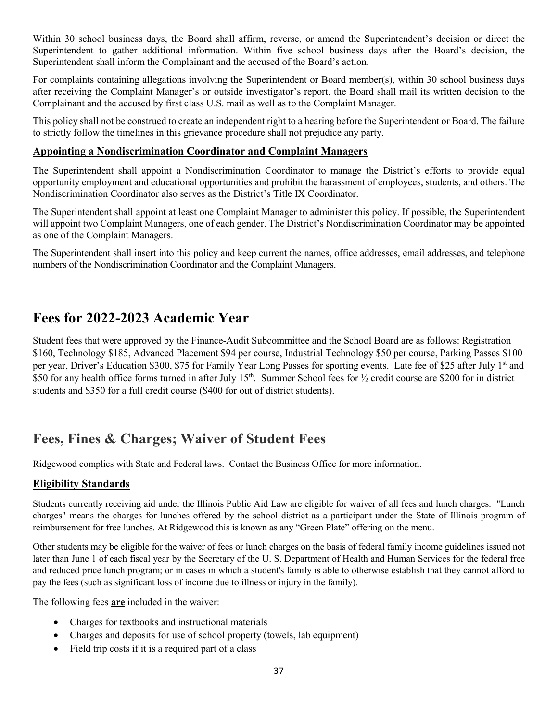Within 30 school business days, the Board shall affirm, reverse, or amend the Superintendent's decision or direct the Superintendent to gather additional information. Within five school business days after the Board's decision, the Superintendent shall inform the Complainant and the accused of the Board's action.

For complaints containing allegations involving the Superintendent or Board member(s), within 30 school business days after receiving the Complaint Manager's or outside investigator's report, the Board shall mail its written decision to the Complainant and the accused by first class U.S. mail as well as to the Complaint Manager.

This policy shall not be construed to create an independent right to a hearing before the Superintendent or Board. The failure to strictly follow the timelines in this grievance procedure shall not prejudice any party.

## **Appointing a Nondiscrimination Coordinator and Complaint Managers**

The Superintendent shall appoint a Nondiscrimination Coordinator to manage the District's efforts to provide equal opportunity employment and educational opportunities and prohibit the harassment of employees, students, and others. The Nondiscrimination Coordinator also serves as the District's Title IX Coordinator.

The Superintendent shall appoint at least one Complaint Manager to administer this policy. If possible, the Superintendent will appoint two Complaint Managers, one of each gender. The District's Nondiscrimination Coordinator may be appointed as one of the Complaint Managers.

The Superintendent shall insert into this policy and keep current the names, office addresses, email addresses, and telephone numbers of the Nondiscrimination Coordinator and the Complaint Managers.

# **Fees for 2022-2023 Academic Year**

Student fees that were approved by the Finance-Audit Subcommittee and the School Board are as follows: Registration \$160, Technology \$185, Advanced Placement \$94 per course, Industrial Technology \$50 per course, Parking Passes \$100 per year, Driver's Education \$300, \$75 for Family Year Long Passes for sporting events. Late fee of \$25 after July 1st and \$50 for any health office forms turned in after July 15<sup>th</sup>. Summer School fees for  $\frac{1}{2}$  credit course are \$200 for in district students and \$350 for a full credit course (\$400 for out of district students).

# **Fees, Fines & Charges; Waiver of Student Fees**

Ridgewood complies with State and Federal laws. Contact the Business Office for more information.

## **Eligibility Standards**

Students currently receiving aid under the Illinois Public Aid Law are eligible for waiver of all fees and lunch charges. "Lunch charges" means the charges for lunches offered by the school district as a participant under the State of Illinois program of reimbursement for free lunches. At Ridgewood this is known as any "Green Plate" offering on the menu.

Other students may be eligible for the waiver of fees or lunch charges on the basis of federal family income guidelines issued not later than June 1 of each fiscal year by the Secretary of the U. S. Department of Health and Human Services for the federal free and reduced price lunch program; or in cases in which a student's family is able to otherwise establish that they cannot afford to pay the fees (such as significant loss of income due to illness or injury in the family).

The following fees **are** included in the waiver:

- Charges for textbooks and instructional materials
- Charges and deposits for use of school property (towels, lab equipment)
- Field trip costs if it is a required part of a class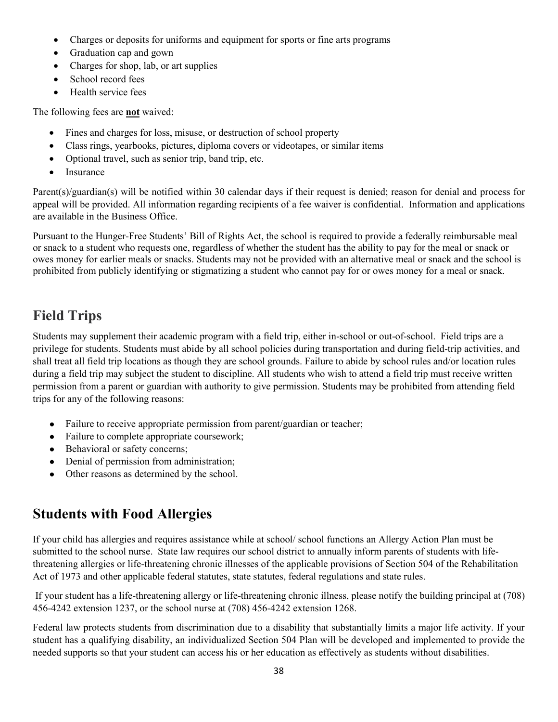- Charges or deposits for uniforms and equipment for sports or fine arts programs
- Graduation cap and gown
- Charges for shop, lab, or art supplies
- School record fees
- Health service fees

The following fees are **not** waived:

- Fines and charges for loss, misuse, or destruction of school property
- Class rings, yearbooks, pictures, diploma covers or videotapes, or similar items
- Optional travel, such as senior trip, band trip, etc.
- Insurance

Parent(s)/guardian(s) will be notified within 30 calendar days if their request is denied; reason for denial and process for appeal will be provided. All information regarding recipients of a fee waiver is confidential. Information and applications are available in the Business Office.

Pursuant to the Hunger-Free Students' Bill of Rights Act, the school is required to provide a federally reimbursable meal or snack to a student who requests one, regardless of whether the student has the ability to pay for the meal or snack or owes money for earlier meals or snacks. Students may not be provided with an alternative meal or snack and the school is prohibited from publicly identifying or stigmatizing a student who cannot pay for or owes money for a meal or snack.

# **Field Trips**

Students may supplement their academic program with a field trip, either in-school or out-of-school. Field trips are a privilege for students. Students must abide by all school policies during transportation and during field-trip activities, and shall treat all field trip locations as though they are school grounds. Failure to abide by school rules and/or location rules during a field trip may subject the student to discipline. All students who wish to attend a field trip must receive written permission from a parent or guardian with authority to give permission. Students may be prohibited from attending field trips for any of the following reasons:

- Failure to receive appropriate permission from parent/guardian or teacher;
- Failure to complete appropriate coursework;
- Behavioral or safety concerns;
- Denial of permission from administration;
- Other reasons as determined by the school.

# **Students with Food Allergies**

If your child has allergies and requires assistance while at school/ school functions an Allergy Action Plan must be submitted to the school nurse. State law requires our school district to annually inform parents of students with lifethreatening allergies or life-threatening chronic illnesses of the applicable provisions of Section 504 of the Rehabilitation Act of 1973 and other applicable federal statutes, state statutes, federal regulations and state rules.

If your student has a life-threatening allergy or life-threatening chronic illness, please notify the building principal at (708) 456-4242 extension 1237, or the school nurse at (708) 456-4242 extension 1268.

Federal law protects students from discrimination due to a disability that substantially limits a major life activity. If your student has a qualifying disability, an individualized Section 504 Plan will be developed and implemented to provide the needed supports so that your student can access his or her education as effectively as students without disabilities.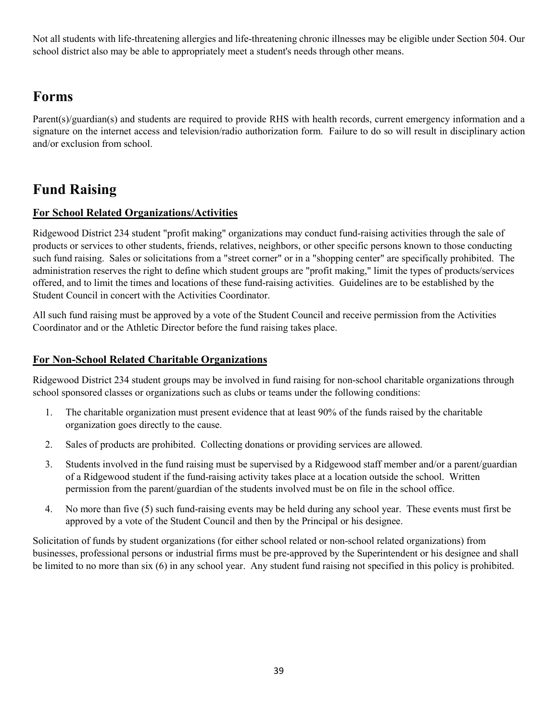Not all students with life-threatening allergies and life-threatening chronic illnesses may be eligible under Section 504. Our school district also may be able to appropriately meet a student's needs through other means.

# **Forms**

Parent(s)/guardian(s) and students are required to provide RHS with health records, current emergency information and a signature on the internet access and television/radio authorization form. Failure to do so will result in disciplinary action and/or exclusion from school.

# **Fund Raising**

## **For School Related Organizations/Activities**

Ridgewood District 234 student "profit making" organizations may conduct fund-raising activities through the sale of products or services to other students, friends, relatives, neighbors, or other specific persons known to those conducting such fund raising. Sales or solicitations from a "street corner" or in a "shopping center" are specifically prohibited. The administration reserves the right to define which student groups are "profit making," limit the types of products/services offered, and to limit the times and locations of these fund-raising activities. Guidelines are to be established by the Student Council in concert with the Activities Coordinator.

All such fund raising must be approved by a vote of the Student Council and receive permission from the Activities Coordinator and or the Athletic Director before the fund raising takes place.

## **For Non-School Related Charitable Organizations**

Ridgewood District 234 student groups may be involved in fund raising for non-school charitable organizations through school sponsored classes or organizations such as clubs or teams under the following conditions:

- 1. The charitable organization must present evidence that at least 90% of the funds raised by the charitable organization goes directly to the cause.
- 2. Sales of products are prohibited. Collecting donations or providing services are allowed.
- 3. Students involved in the fund raising must be supervised by a Ridgewood staff member and/or a parent/guardian of a Ridgewood student if the fund-raising activity takes place at a location outside the school. Written permission from the parent/guardian of the students involved must be on file in the school office.
- 4. No more than five (5) such fund-raising events may be held during any school year. These events must first be approved by a vote of the Student Council and then by the Principal or his designee.

Solicitation of funds by student organizations (for either school related or non-school related organizations) from businesses, professional persons or industrial firms must be pre-approved by the Superintendent or his designee and shall be limited to no more than six (6) in any school year. Any student fund raising not specified in this policy is prohibited.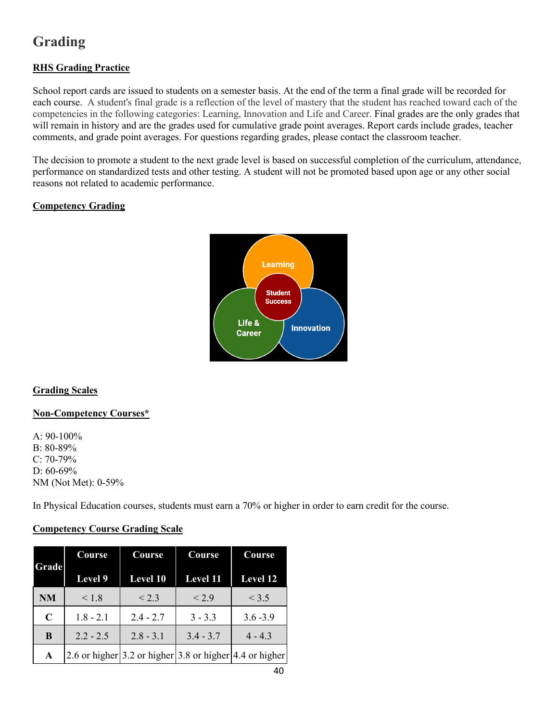# **Grading**

## **RHS Grading Practice**

School report cards are issued to students on a semester basis. At the end of the term a final grade will be recorded for each course. A student's final grade is a reflection of the level of mastery that the student has reached toward each of the competencies in the following categories: Learning, Innovation and Life and Career. Final grades are the only grades that will remain in history and are the grades used for cumulative grade point averages. Report cards include grades, teacher comments, and grade point averages. For questions regarding grades, please contact the classroom teacher.

The decision to promote a student to the next grade level is based on successful completion of the curriculum, attendance, performance on standardized tests and other testing. A student will not be promoted based upon age or any other social reasons not related to academic performance.

## **Competency Grading**



## **Grading Scales**

## **Non-Competency Courses\***

A:  $90-100\%$ B: 80-89% C: 70-79% D: 60-69% NM (Not Met): 0-59%

In Physical Education courses, students must earn a 70% or higher in order to earn credit for the course.

## **Competency Course Grading Scale**

| Grade       | Course          | Course                                                           | Course      | Course      |
|-------------|-----------------|------------------------------------------------------------------|-------------|-------------|
|             | Level 9         | <b>Level 10</b>                                                  | Level 11    | Level 12    |
| <b>NM</b>   | ${}_{\leq 1.8}$ | < 2.3                                                            | < 2.9       | < 3.5       |
| $\mathbf C$ | $1.8 - 2.1$     | $2.4 - 2.7$                                                      | $3 - 3.3$   | $3.6 - 3.9$ |
| B           | $2.2 - 2.5$     | $2.8 - 3.1$                                                      | $3.4 - 3.7$ | $4 - 4.3$   |
| A           |                 | 2.6 or higher $ 3.2$ or higher $ 3.8$ or higher $ 4.4$ or higher |             |             |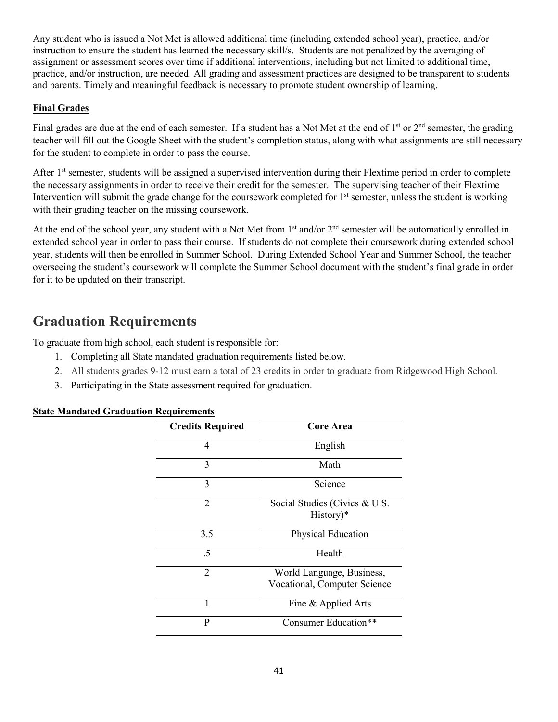Any student who is issued a Not Met is allowed additional time (including extended school year), practice, and/or instruction to ensure the student has learned the necessary skill/s. Students are not penalized by the averaging of assignment or assessment scores over time if additional interventions, including but not limited to additional time, practice, and/or instruction, are needed. All grading and assessment practices are designed to be transparent to students and parents. Timely and meaningful feedback is necessary to promote student ownership of learning.

## **Final Grades**

Final grades are due at the end of each semester. If a student has a Not Met at the end of  $1<sup>st</sup>$  or  $2<sup>nd</sup>$  semester, the grading teacher will fill out the Google Sheet with the student's completion status, along with what assignments are still necessary for the student to complete in order to pass the course.

After 1<sup>st</sup> semester, students will be assigned a supervised intervention during their Flextime period in order to complete the necessary assignments in order to receive their credit for the semester. The supervising teacher of their Flextime Intervention will submit the grade change for the coursework completed for  $1<sup>st</sup>$  semester, unless the student is working with their grading teacher on the missing coursework.

At the end of the school year, any student with a Not Met from 1<sup>st</sup> and/or 2<sup>nd</sup> semester will be automatically enrolled in extended school year in order to pass their course. If students do not complete their coursework during extended school year, students will then be enrolled in Summer School. During Extended School Year and Summer School, the teacher overseeing the student's coursework will complete the Summer School document with the student's final grade in order for it to be updated on their transcript.

# **Graduation Requirements**

To graduate from high school, each student is responsible for:

- 1. Completing all State mandated graduation requirements listed below.
- 2. All students grades 9-12 must earn a total of 23 credits in order to graduate from Ridgewood High School.
- 3. Participating in the State assessment required for graduation.

## **State Mandated Graduation Requirements**

| <b>Credits Required</b> | Core Area                                                 |
|-------------------------|-----------------------------------------------------------|
| 4                       | English                                                   |
| 3                       | Math                                                      |
| 3                       | Science                                                   |
| 2                       | Social Studies (Civics & U.S.<br>History)*                |
| 3.5                     | Physical Education                                        |
| .5                      | Health                                                    |
| $\overline{2}$          | World Language, Business,<br>Vocational, Computer Science |
| 1                       | Fine & Applied Arts                                       |
| P                       | Consumer Education**                                      |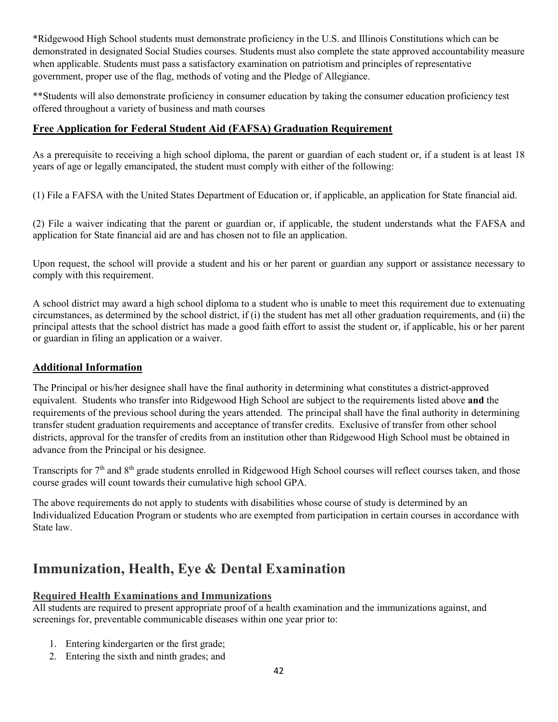\*Ridgewood High School students must demonstrate proficiency in the U.S. and Illinois Constitutions which can be demonstrated in designated Social Studies courses. Students must also complete the state approved accountability measure when applicable. Students must pass a satisfactory examination on patriotism and principles of representative government, proper use of the flag, methods of voting and the Pledge of Allegiance.

\*\*Students will also demonstrate proficiency in consumer education by taking the consumer education proficiency test offered throughout a variety of business and math courses

## **Free Application for Federal Student Aid (FAFSA) Graduation Requirement**

As a prerequisite to receiving a high school diploma, the parent or guardian of each student or, if a student is at least 18 years of age or legally emancipated, the student must comply with either of the following:

(1) File a FAFSA with the United States Department of Education or, if applicable, an application for State financial aid.

(2) File a waiver indicating that the parent or guardian or, if applicable, the student understands what the FAFSA and application for State financial aid are and has chosen not to file an application.

Upon request, the school will provide a student and his or her parent or guardian any support or assistance necessary to comply with this requirement.

A school district may award a high school diploma to a student who is unable to meet this requirement due to extenuating circumstances, as determined by the school district, if (i) the student has met all other graduation requirements, and (ii) the principal attests that the school district has made a good faith effort to assist the student or, if applicable, his or her parent or guardian in filing an application or a waiver.

## **Additional Information**

The Principal or his/her designee shall have the final authority in determining what constitutes a district-approved equivalent. Students who transfer into Ridgewood High School are subject to the requirements listed above **and** the requirements of the previous school during the years attended. The principal shall have the final authority in determining transfer student graduation requirements and acceptance of transfer credits. Exclusive of transfer from other school districts, approval for the transfer of credits from an institution other than Ridgewood High School must be obtained in advance from the Principal or his designee.

Transcripts for 7<sup>th</sup> and 8<sup>th</sup> grade students enrolled in Ridgewood High School courses will reflect courses taken, and those course grades will count towards their cumulative high school GPA.

The above requirements do not apply to students with disabilities whose course of study is determined by an Individualized Education Program or students who are exempted from participation in certain courses in accordance with State law.

# **Immunization, Health, Eye & Dental Examination**

## **Required Health Examinations and Immunizations**

All students are required to present appropriate proof of a health examination and the immunizations against, and screenings for, preventable communicable diseases within one year prior to:

- 1. Entering kindergarten or the first grade;
- 2. Entering the sixth and ninth grades; and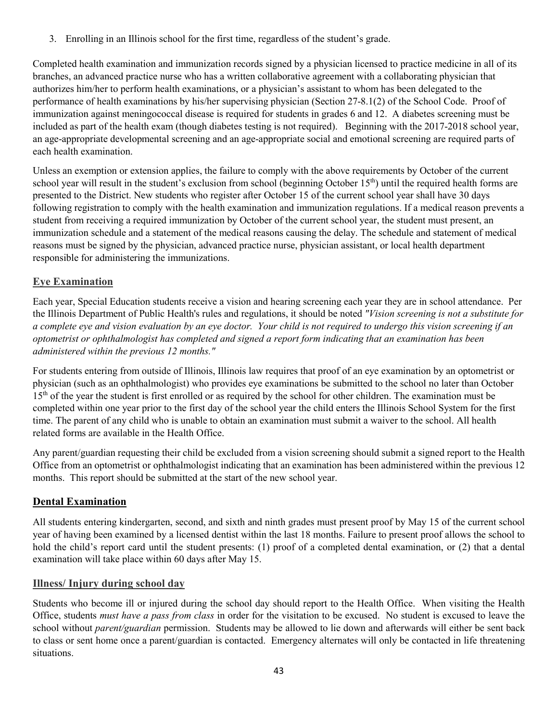3. Enrolling in an Illinois school for the first time, regardless of the student's grade.

Completed health examination and immunization records signed by a physician licensed to practice medicine in all of its branches, an advanced practice nurse who has a written collaborative agreement with a collaborating physician that authorizes him/her to perform health examinations, or a physician's assistant to whom has been delegated to the performance of health examinations by his/her supervising physician (Section 27-8.1(2) of the School Code. Proof of immunization against meningococcal disease is required for students in grades 6 and 12. A diabetes screening must be included as part of the health exam (though diabetes testing is not required). Beginning with the 2017-2018 school year, an age-appropriate developmental screening and an age-appropriate social and emotional screening are required parts of each health examination.

Unless an exemption or extension applies, the failure to comply with the above requirements by October of the current school year will result in the student's exclusion from school (beginning October 15<sup>th</sup>) until the required health forms are presented to the District. New students who register after October 15 of the current school year shall have 30 days following registration to comply with the health examination and immunization regulations. If a medical reason prevents a student from receiving a required immunization by October of the current school year, the student must present, an immunization schedule and a statement of the medical reasons causing the delay. The schedule and statement of medical reasons must be signed by the physician, advanced practice nurse, physician assistant, or local health department responsible for administering the immunizations.

## **Eye Examination**

Each year, Special Education students receive a vision and hearing screening each year they are in school attendance. Per the Illinois Department of Public Health's rules and regulations, it should be noted *"Vision screening is not a substitute for a complete eye and vision evaluation by an eye doctor. Your child is not required to undergo this vision screening if an optometrist or ophthalmologist has completed and signed a report form indicating that an examination has been administered within the previous 12 months."*

For students entering from outside of Illinois, Illinois law requires that proof of an eye examination by an optometrist or physician (such as an ophthalmologist) who provides eye examinations be submitted to the school no later than October 15<sup>th</sup> of the year the student is first enrolled or as required by the school for other children. The examination must be completed within one year prior to the first day of the school year the child enters the Illinois School System for the first time. The parent of any child who is unable to obtain an examination must submit a waiver to the school. All health related forms are available in the Health Office.

Any parent/guardian requesting their child be excluded from a vision screening should submit a signed report to the Health Office from an optometrist or ophthalmologist indicating that an examination has been administered within the previous 12 months. This report should be submitted at the start of the new school year.

## **Dental Examination**

All students entering kindergarten, second, and sixth and ninth grades must present proof by May 15 of the current school year of having been examined by a licensed dentist within the last 18 months. Failure to present proof allows the school to hold the child's report card until the student presents: (1) proof of a completed dental examination, or (2) that a dental examination will take place within 60 days after May 15.

## **Illness/ Injury during school day**

Students who become ill or injured during the school day should report to the Health Office. When visiting the Health Office, students *must have a pass from class* in order for the visitation to be excused.No student is excused to leave the school without *parent/guardian* permission. Students may be allowed to lie down and afterwards will either be sent back to class or sent home once a parent/guardian is contacted. Emergency alternates will only be contacted in life threatening situations.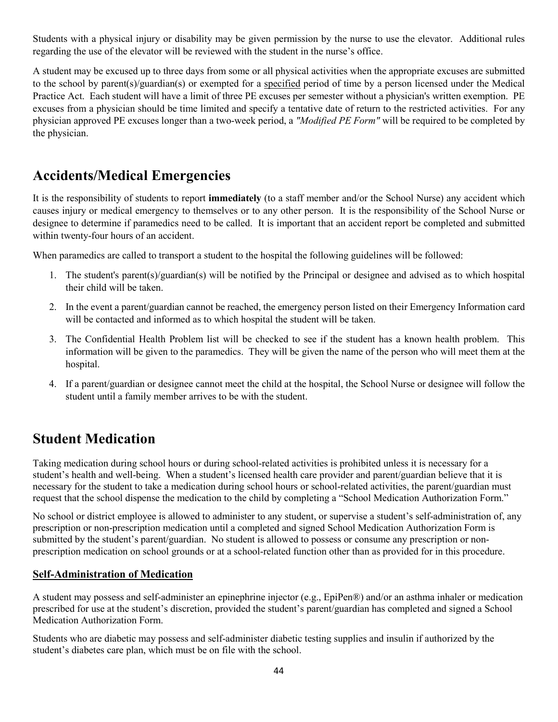Students with a physical injury or disability may be given permission by the nurse to use the elevator. Additional rules regarding the use of the elevator will be reviewed with the student in the nurse's office.

A student may be excused up to three days from some or all physical activities when the appropriate excuses are submitted to the school by parent(s)/guardian(s) or exempted for a specified period of time by a person licensed under the Medical Practice Act. Each student will have a limit of three PE excuses per semester without a physician's written exemption. PE excuses from a physician should be time limited and specify a tentative date of return to the restricted activities. For any physician approved PE excuses longer than a two-week period, a *"Modified PE Form"* will be required to be completed by the physician.

# **Accidents/Medical Emergencies**

It is the responsibility of students to report **immediately** (to a staff member and/or the School Nurse) any accident which causes injury or medical emergency to themselves or to any other person. It is the responsibility of the School Nurse or designee to determine if paramedics need to be called. It is important that an accident report be completed and submitted within twenty-four hours of an accident.

When paramedics are called to transport a student to the hospital the following guidelines will be followed:

- 1. The student's parent(s)/guardian(s) will be notified by the Principal or designee and advised as to which hospital their child will be taken.
- 2. In the event a parent/guardian cannot be reached, the emergency person listed on their Emergency Information card will be contacted and informed as to which hospital the student will be taken.
- 3. The Confidential Health Problem list will be checked to see if the student has a known health problem. This information will be given to the paramedics. They will be given the name of the person who will meet them at the hospital.
- 4. If a parent/guardian or designee cannot meet the child at the hospital, the School Nurse or designee will follow the student until a family member arrives to be with the student.

# **Student Medication**

Taking medication during school hours or during school-related activities is prohibited unless it is necessary for a student's health and well-being. When a student's licensed health care provider and parent/guardian believe that it is necessary for the student to take a medication during school hours or school-related activities, the parent/guardian must request that the school dispense the medication to the child by completing a "School Medication Authorization Form."

No school or district employee is allowed to administer to any student, or supervise a student's self-administration of, any prescription or non-prescription medication until a completed and signed School Medication Authorization Form is submitted by the student's parent/guardian. No student is allowed to possess or consume any prescription or nonprescription medication on school grounds or at a school-related function other than as provided for in this procedure.

## **Self-Administration of Medication**

A student may possess and self-administer an epinephrine injector (e.g., EpiPen®) and/or an asthma inhaler or medication prescribed for use at the student's discretion, provided the student's parent/guardian has completed and signed a School Medication Authorization Form.

Students who are diabetic may possess and self-administer diabetic testing supplies and insulin if authorized by the student's diabetes care plan, which must be on file with the school.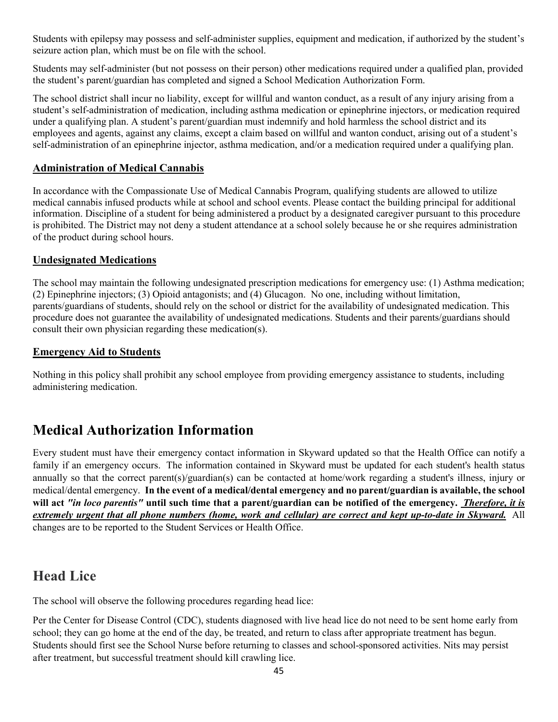Students with epilepsy may possess and self-administer supplies, equipment and medication, if authorized by the student's seizure action plan, which must be on file with the school.

Students may self-administer (but not possess on their person) other medications required under a qualified plan, provided the student's parent/guardian has completed and signed a School Medication Authorization Form.

The school district shall incur no liability, except for willful and wanton conduct, as a result of any injury arising from a student's self-administration of medication, including asthma medication or epinephrine injectors, or medication required under a qualifying plan. A student's parent/guardian must indemnify and hold harmless the school district and its employees and agents, against any claims, except a claim based on willful and wanton conduct, arising out of a student's self-administration of an epinephrine injector, asthma medication, and/or a medication required under a qualifying plan.

## **Administration of Medical Cannabis**

In accordance with the Compassionate Use of Medical Cannabis Program, qualifying students are allowed to utilize medical cannabis infused products while at school and school events. Please contact the building principal for additional information. Discipline of a student for being administered a product by a designated caregiver pursuant to this procedure is prohibited. The District may not deny a student attendance at a school solely because he or she requires administration of the product during school hours.

## **Undesignated Medications**

The school may maintain the following undesignated prescription medications for emergency use: (1) Asthma medication; (2) Epinephrine injectors; (3) Opioid antagonists; and (4) Glucagon. No one, including without limitation, parents/guardians of students, should rely on the school or district for the availability of undesignated medication. This procedure does not guarantee the availability of undesignated medications. Students and their parents/guardians should consult their own physician regarding these medication(s).

## **Emergency Aid to Students**

Nothing in this policy shall prohibit any school employee from providing emergency assistance to students, including administering medication.

# **Medical Authorization Information**

Every student must have their emergency contact information in Skyward updated so that the Health Office can notify a family if an emergency occurs. The information contained in Skyward must be updated for each student's health status annually so that the correct parent(s)/guardian(s) can be contacted at home/work regarding a student's illness, injury or medical/dental emergency. **In the event of a medical/dental emergency and no parent/guardian is available, the school will act** *"in loco parentis"* **until such time that a parent/guardian can be notified of the emergency.** *Therefore, it is extremely urgent that all phone numbers (home, work and cellular) are correct and kept up-to-date in Skyward.* All changes are to be reported to the Student Services or Health Office.

# **Head Lice**

The school will observe the following procedures regarding head lice:

Per the Center for Disease Control (CDC), students diagnosed with live head lice do not need to be sent home early from school; they can go home at the end of the day, be treated, and return to class after appropriate treatment has begun. Students should first see the School Nurse before returning to classes and school-sponsored activities. Nits may persist after treatment, but successful treatment should kill crawling lice.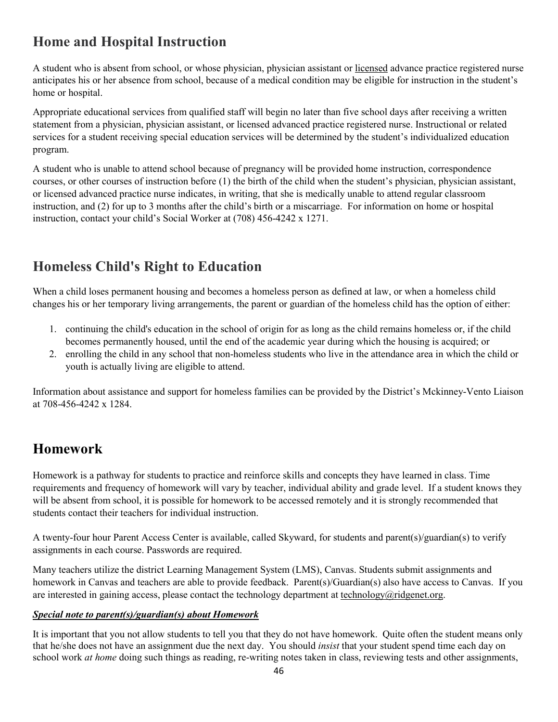# **Home and Hospital Instruction**

A student who is absent from school, or whose physician, physician assistant or licensed advance practice registered nurse anticipates his or her absence from school, because of a medical condition may be eligible for instruction in the student's home or hospital.

Appropriate educational services from qualified staff will begin no later than five school days after receiving a written statement from a physician, physician assistant, or licensed advanced practice registered nurse. Instructional or related services for a student receiving special education services will be determined by the student's individualized education program.

A student who is unable to attend school because of pregnancy will be provided home instruction, correspondence courses, or other courses of instruction before (1) the birth of the child when the student's physician, physician assistant, or licensed advanced practice nurse indicates, in writing, that she is medically unable to attend regular classroom instruction, and (2) for up to 3 months after the child's birth or a miscarriage. For information on home or hospital instruction, contact your child's Social Worker at (708) 456-4242 x 1271.

# **Homeless Child's Right to Education**

When a child loses permanent housing and becomes a homeless person as defined at law, or when a homeless child changes his or her temporary living arrangements, the parent or guardian of the homeless child has the option of either:

- 1. continuing the child's education in the school of origin for as long as the child remains homeless or, if the child becomes permanently housed, until the end of the academic year during which the housing is acquired; or
- 2. enrolling the child in any school that non-homeless students who live in the attendance area in which the child or youth is actually living are eligible to attend.

Information about assistance and support for homeless families can be provided by the District's Mckinney-Vento Liaison at 708-456-4242 x 1284.

# **Homework**

Homework is a pathway for students to practice and reinforce skills and concepts they have learned in class. Time requirements and frequency of homework will vary by teacher, individual ability and grade level. If a student knows they will be absent from school, it is possible for homework to be accessed remotely and it is strongly recommended that students contact their teachers for individual instruction.

A twenty-four hour Parent Access Center is available, called Skyward, for students and parent(s)/guardian(s) to verify assignments in each course. Passwords are required.

Many teachers utilize the district Learning Management System (LMS), Canvas. Students submit assignments and homework in Canvas and teachers are able to provide feedback. Parent(s)/Guardian(s) also have access to Canvas. If you are interested in gaining access, please contact the technology department at technology @ridgenet.org.

## *Special note to parent(s)/guardian(s) about Homework*

It is important that you not allow students to tell you that they do not have homework. Quite often the student means only that he/she does not have an assignment due the next day. You should *insist* that your student spend time each day on school work *at home* doing such things as reading, re-writing notes taken in class, reviewing tests and other assignments,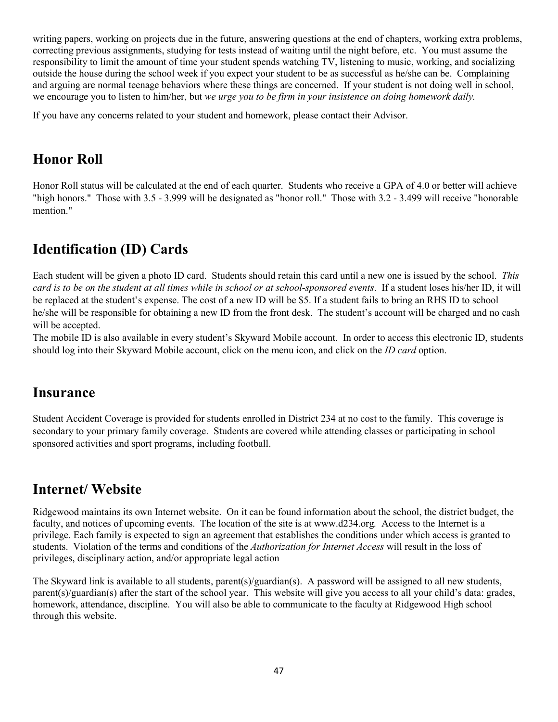writing papers, working on projects due in the future, answering questions at the end of chapters, working extra problems, correcting previous assignments, studying for tests instead of waiting until the night before, etc. You must assume the responsibility to limit the amount of time your student spends watching TV, listening to music, working, and socializing outside the house during the school week if you expect your student to be as successful as he/she can be. Complaining and arguing are normal teenage behaviors where these things are concerned. If your student is not doing well in school, we encourage you to listen to him/her, but *we urge you to be firm in your insistence on doing homework daily.* 

If you have any concerns related to your student and homework, please contact their Advisor.

# **Honor Roll**

Honor Roll status will be calculated at the end of each quarter. Students who receive a GPA of 4.0 or better will achieve "high honors." Those with 3.5 - 3.999 will be designated as "honor roll." Those with 3.2 - 3.499 will receive "honorable mention."

# **Identification (ID) Cards**

Each student will be given a photo ID card. Students should retain this card until a new one is issued by the school. *This card is to be on the student at all times while in school or at school-sponsored events*. If a student loses his/her ID, it will be replaced at the student's expense. The cost of a new ID will be \$5. If a student fails to bring an RHS ID to school he/she will be responsible for obtaining a new ID from the front desk. The student's account will be charged and no cash will be accepted.

The mobile ID is also available in every student's Skyward Mobile account. In order to access this electronic ID, students should log into their Skyward Mobile account, click on the menu icon, and click on the *ID card* option.

## **Insurance**

Student Accident Coverage is provided for students enrolled in District 234 at no cost to the family. This coverage is secondary to your primary family coverage. Students are covered while attending classes or participating in school sponsored activities and sport programs, including football.

# **Internet/ Website**

Ridgewood maintains its own Internet website. On it can be found information about the school, the district budget, the faculty, and notices of upcoming events. The location of the site is at www.d234.org*.* Access to the Internet is a privilege. Each family is expected to sign an agreement that establishes the conditions under which access is granted to students. Violation of the terms and conditions of the *Authorization for Internet Access* will result in the loss of privileges, disciplinary action, and/or appropriate legal action

The Skyward link is available to all students, parent(s)/guardian(s). A password will be assigned to all new students, parent(s)/guardian(s) after the start of the school year. This website will give you access to all your child's data: grades, homework, attendance, discipline. You will also be able to communicate to the faculty at Ridgewood High school through this website.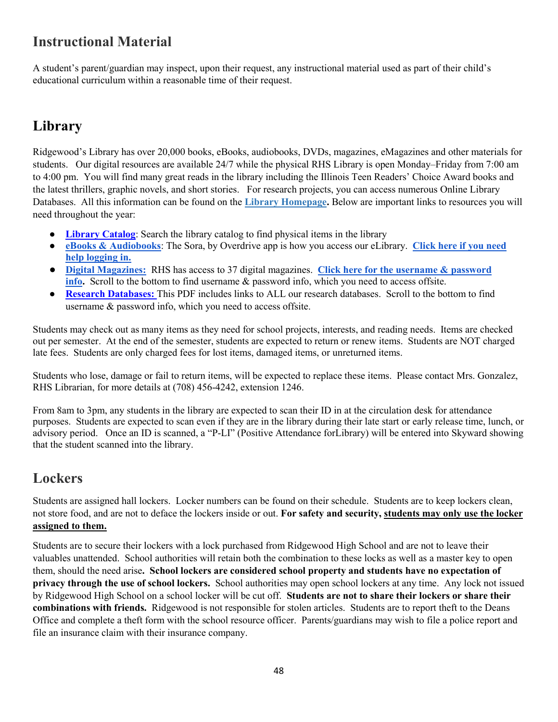# **Instructional Material**

A student's parent/guardian may inspect, upon their request, any instructional material used as part of their child's educational curriculum within a reasonable time of their request.

# **Library**

Ridgewood's Library has over 20,000 books, eBooks, audiobooks, DVDs, magazines, eMagazines and other materials for students. Our digital resources are available 24/7 while the physical RHS Library is open Monday–Friday from 7:00 am to 4:00 pm. You will find many great reads in the library including the Illinois Teen Readers' Choice Award books and the latest thrillers, graphic novels, and short stories. For research projects, you can access numerous Online Library Databases. All this information can be found on the **[Library Homepage.](https://www.d234.org/directory/library/)** Below are important links to resources you will need throughout the year:

- **[Library Catalog](https://ridgewood.follettdestiny.com/):** Search the library catalog to find physical items in the library
- **[eBooks & Audiobooks](https://soraapp.com/welcome):** The Sora, by Overdrive app is how you access our eLibrary. Click here if you need **[help logging in.](https://docs.google.com/document/d/189S1XyuxQ8l2DiKoba9YnzLz0_V5YTzHZNJ5ImzrEus/edit?usp=sharing)**
- **[Digital Magazines:](https://search.ebscohost.com/login.aspx?authtype=ip,uid&custid=s9470220&profile=eon&groupid=main)** RHS has access to 37 digital magazines. **[Click here for the username & password](https://drive.google.com/open?id=1lBr667JbrTLe1abKZikdaRqA6vEltmIF)  [info.](https://drive.google.com/open?id=1lBr667JbrTLe1abKZikdaRqA6vEltmIF)** Scroll to the bottom to find username & password info, which you need to access offsite.
- **[Research Databases:](https://drive.google.com/file/d/1qQtsj2gKyF4q1V93enUb7v1CxwPBpK0z/view?usp=sharing)** This PDF includes links to ALL our research databases. Scroll to the bottom to find username & password info, which you need to access offsite.

Students may check out as many items as they need for school projects, interests, and reading needs. Items are checked out per semester. At the end of the semester, students are expected to return or renew items. Students are NOT charged late fees. Students are only charged fees for lost items, damaged items, or unreturned items.

Students who lose, damage or fail to return items, will be expected to replace these items. Please contact Mrs. Gonzalez, RHS Librarian, for more details at (708) 456-4242, extension 1246.

From 8am to 3pm, any students in the library are expected to scan their ID in at the circulation desk for attendance purposes. Students are expected to scan even if they are in the library during their late start or early release time, lunch, or advisory period. Once an ID is scanned, a "P-LI" (Positive Attendance forLibrary) will be entered into Skyward showing that the student scanned into the library.

# **Lockers**

Students are assigned hall lockers. Locker numbers can be found on their schedule. Students are to keep lockers clean, not store food, and are not to deface the lockers inside or out. **For safety and security, students may only use the locker assigned to them.** 

Students are to secure their lockers with a lock purchased from Ridgewood High School and are not to leave their valuables unattended. School authorities will retain both the combination to these locks as well as a master key to open them, should the need arise**. School lockers are considered school property and students have no expectation of privacy through the use of school lockers.** School authorities may open school lockers at any time. Any lock not issued by Ridgewood High School on a school locker will be cut off. **Students are not to share their lockers or share their combinations with friends.** Ridgewood is not responsible for stolen articles. Students are to report theft to the Deans Office and complete a theft form with the school resource officer. Parents/guardians may wish to file a police report and file an insurance claim with their insurance company.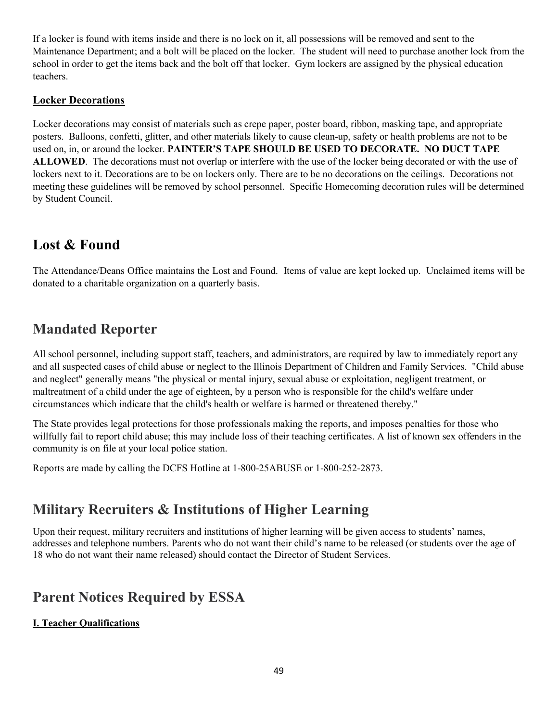If a locker is found with items inside and there is no lock on it, all possessions will be removed and sent to the Maintenance Department; and a bolt will be placed on the locker. The student will need to purchase another lock from the school in order to get the items back and the bolt off that locker. Gym lockers are assigned by the physical education teachers.

## **Locker Decorations**

Locker decorations may consist of materials such as crepe paper, poster board, ribbon, masking tape, and appropriate posters. Balloons, confetti, glitter, and other materials likely to cause clean-up, safety or health problems are not to be used on, in, or around the locker. **PAINTER'S TAPE SHOULD BE USED TO DECORATE. NO DUCT TAPE ALLOWED**. The decorations must not overlap or interfere with the use of the locker being decorated or with the use of lockers next to it. Decorations are to be on lockers only. There are to be no decorations on the ceilings. Decorations not meeting these guidelines will be removed by school personnel. Specific Homecoming decoration rules will be determined by Student Council.

# **Lost & Found**

The Attendance/Deans Office maintains the Lost and Found. Items of value are kept locked up. Unclaimed items will be donated to a charitable organization on a quarterly basis.

# **Mandated Reporter**

All school personnel, including support staff, teachers, and administrators, are required by law to immediately report any and all suspected cases of child abuse or neglect to the Illinois Department of Children and Family Services. "Child abuse and neglect" generally means "the physical or mental injury, sexual abuse or exploitation, negligent treatment, or maltreatment of a child under the age of eighteen, by a person who is responsible for the child's welfare under circumstances which indicate that the child's health or welfare is harmed or threatened thereby."

The State provides legal protections for those professionals making the reports, and imposes penalties for those who willfully fail to report child abuse; this may include loss of their teaching certificates. A list of known sex offenders in the community is on file at your local police station.

Reports are made by calling the DCFS Hotline at 1-800-25ABUSE or 1-800-252-2873.

# **Military Recruiters & Institutions of Higher Learning**

Upon their request, military recruiters and institutions of higher learning will be given access to students' names, addresses and telephone numbers. Parents who do not want their child's name to be released (or students over the age of 18 who do not want their name released) should contact the Director of Student Services.

# **Parent Notices Required by ESSA**

## **I. Teacher Qualifications**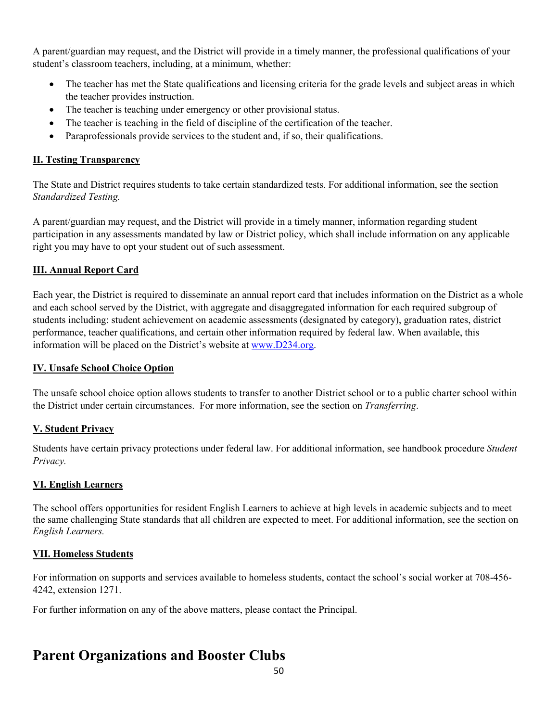A parent/guardian may request, and the District will provide in a timely manner, the professional qualifications of your student's classroom teachers, including, at a minimum, whether:

- The teacher has met the State qualifications and licensing criteria for the grade levels and subject areas in which the teacher provides instruction.
- The teacher is teaching under emergency or other provisional status.
- The teacher is teaching in the field of discipline of the certification of the teacher.
- Paraprofessionals provide services to the student and, if so, their qualifications.

## **II. Testing Transparency**

The State and District requires students to take certain standardized tests. For additional information, see the section *Standardized Testing.* 

A parent/guardian may request, and the District will provide in a timely manner, information regarding student participation in any assessments mandated by law or District policy, which shall include information on any applicable right you may have to opt your student out of such assessment.

## **III. Annual Report Card**

Each year, the District is required to disseminate an annual report card that includes information on the District as a whole and each school served by the District, with aggregate and disaggregated information for each required subgroup of students including: student achievement on academic assessments (designated by category), graduation rates, district performance, teacher qualifications, and certain other information required by federal law. When available, this information will be placed on the District's website at [www.D234.org.](http://www.d234.org/)

## **IV. Unsafe School Choice Option**

The unsafe school choice option allows students to transfer to another District school or to a public charter school within the District under certain circumstances. For more information, see the section on *Transferring*.

## **V. Student Privacy**

Students have certain privacy protections under federal law. For additional information, see handbook procedure *Student Privacy.*

## **VI. English Learners**

The school offers opportunities for resident English Learners to achieve at high levels in academic subjects and to meet the same challenging State standards that all children are expected to meet. For additional information, see the section on *English Learners.*

## **VII. Homeless Students**

For information on supports and services available to homeless students, contact the school's social worker at 708-456- 4242, extension 1271.

For further information on any of the above matters, please contact the Principal.

# **Parent Organizations and Booster Clubs**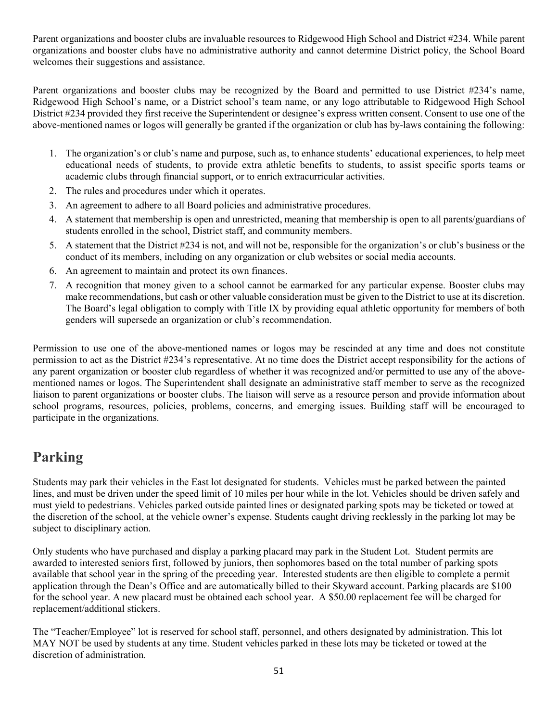Parent organizations and booster clubs are invaluable resources to Ridgewood High School and District #234. While parent organizations and booster clubs have no administrative authority and cannot determine District policy, the School Board welcomes their suggestions and assistance.

Parent organizations and booster clubs may be recognized by the Board and permitted to use District #234's name, Ridgewood High School's name, or a District school's team name, or any logo attributable to Ridgewood High School District #234 provided they first receive the Superintendent or designee's express written consent. Consent to use one of the above-mentioned names or logos will generally be granted if the organization or club has by-laws containing the following:

- 1. The organization's or club's name and purpose, such as, to enhance students' educational experiences, to help meet educational needs of students, to provide extra athletic benefits to students, to assist specific sports teams or academic clubs through financial support, or to enrich extracurricular activities.
- 2. The rules and procedures under which it operates.
- 3. An agreement to adhere to all Board policies and administrative procedures.
- 4. A statement that membership is open and unrestricted, meaning that membership is open to all parents/guardians of students enrolled in the school, District staff, and community members.
- 5. A statement that the District #234 is not, and will not be, responsible for the organization's or club's business or the conduct of its members, including on any organization or club websites or social media accounts.
- 6. An agreement to maintain and protect its own finances.
- 7. A recognition that money given to a school cannot be earmarked for any particular expense. Booster clubs may make recommendations, but cash or other valuable consideration must be given to the District to use at its discretion. The Board's legal obligation to comply with Title IX by providing equal athletic opportunity for members of both genders will supersede an organization or club's recommendation.

Permission to use one of the above-mentioned names or logos may be rescinded at any time and does not constitute permission to act as the District #234's representative. At no time does the District accept responsibility for the actions of any parent organization or booster club regardless of whether it was recognized and/or permitted to use any of the abovementioned names or logos. The Superintendent shall designate an administrative staff member to serve as the recognized liaison to parent organizations or booster clubs. The liaison will serve as a resource person and provide information about school programs, resources, policies, problems, concerns, and emerging issues. Building staff will be encouraged to participate in the organizations.

# **Parking**

Students may park their vehicles in the East lot designated for students. Vehicles must be parked between the painted lines, and must be driven under the speed limit of 10 miles per hour while in the lot. Vehicles should be driven safely and must yield to pedestrians. Vehicles parked outside painted lines or designated parking spots may be ticketed or towed at the discretion of the school, at the vehicle owner's expense. Students caught driving recklessly in the parking lot may be subject to disciplinary action.

Only students who have purchased and display a parking placard may park in the Student Lot. Student permits are awarded to interested seniors first, followed by juniors, then sophomores based on the total number of parking spots available that school year in the spring of the preceding year. Interested students are then eligible to complete a permit application through the Dean's Office and are automatically billed to their Skyward account. Parking placards are \$100 for the school year. A new placard must be obtained each school year. A \$50.00 replacement fee will be charged for replacement/additional stickers.

The "Teacher/Employee" lot is reserved for school staff, personnel, and others designated by administration. This lot MAY NOT be used by students at any time. Student vehicles parked in these lots may be ticketed or towed at the discretion of administration.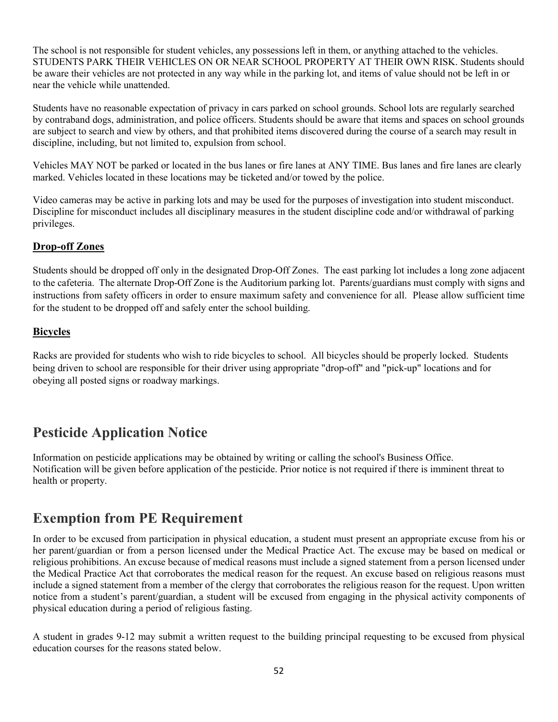The school is not responsible for student vehicles, any possessions left in them, or anything attached to the vehicles. STUDENTS PARK THEIR VEHICLES ON OR NEAR SCHOOL PROPERTY AT THEIR OWN RISK. Students should be aware their vehicles are not protected in any way while in the parking lot, and items of value should not be left in or near the vehicle while unattended.

Students have no reasonable expectation of privacy in cars parked on school grounds. School lots are regularly searched by contraband dogs, administration, and police officers. Students should be aware that items and spaces on school grounds are subject to search and view by others, and that prohibited items discovered during the course of a search may result in discipline, including, but not limited to, expulsion from school.

Vehicles MAY NOT be parked or located in the bus lanes or fire lanes at ANY TIME. Bus lanes and fire lanes are clearly marked. Vehicles located in these locations may be ticketed and/or towed by the police.

Video cameras may be active in parking lots and may be used for the purposes of investigation into student misconduct. Discipline for misconduct includes all disciplinary measures in the student discipline code and/or withdrawal of parking privileges.

## **Drop-off Zones**

Students should be dropped off only in the designated Drop-Off Zones. The east parking lot includes a long zone adjacent to the cafeteria. The alternate Drop-Off Zone is the Auditorium parking lot. Parents/guardians must comply with signs and instructions from safety officers in order to ensure maximum safety and convenience for all. Please allow sufficient time for the student to be dropped off and safely enter the school building.

#### **Bicycles**

Racks are provided for students who wish to ride bicycles to school. All bicycles should be properly locked. Students being driven to school are responsible for their driver using appropriate "drop-off" and "pick-up" locations and for obeying all posted signs or roadway markings.

# **Pesticide Application Notice**

Information on pesticide applications may be obtained by writing or calling the school's Business Office. Notification will be given before application of the pesticide. Prior notice is not required if there is imminent threat to health or property.

## **Exemption from PE Requirement**

In order to be excused from participation in physical education, a student must present an appropriate excuse from his or her parent/guardian or from a person licensed under the Medical Practice Act. The excuse may be based on medical or religious prohibitions. An excuse because of medical reasons must include a signed statement from a person licensed under the Medical Practice Act that corroborates the medical reason for the request. An excuse based on religious reasons must include a signed statement from a member of the clergy that corroborates the religious reason for the request. Upon written notice from a student's parent/guardian, a student will be excused from engaging in the physical activity components of physical education during a period of religious fasting.

A student in grades 9-12 may submit a written request to the building principal requesting to be excused from physical education courses for the reasons stated below.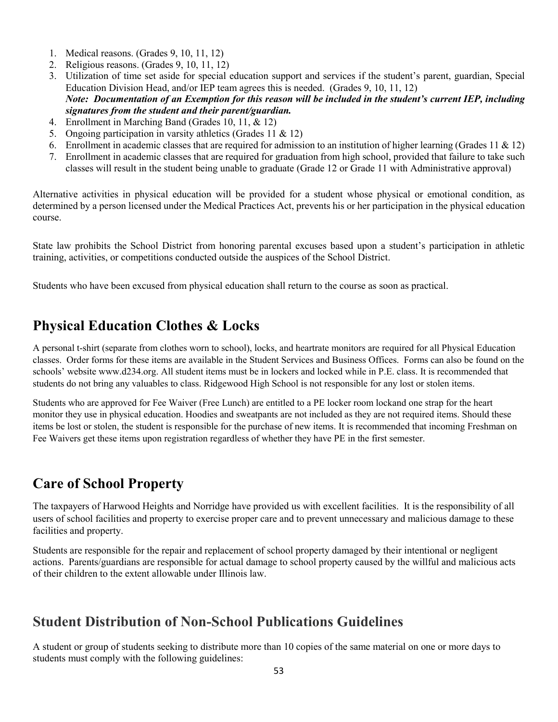- 1. Medical reasons. (Grades 9, 10, 11, 12)
- 2. Religious reasons. (Grades 9, 10, 11, 12)
- 3. Utilization of time set aside for special education support and services if the student's parent, guardian, Special Education Division Head, and/or IEP team agrees this is needed. (Grades 9, 10, 11, 12) *Note: Documentation of an Exemption for this reason will be included in the student's current IEP, including signatures from the student and their parent/guardian.*
- 4. Enrollment in Marching Band (Grades 10, 11, & 12)
- 5. Ongoing participation in varsity athletics (Grades 11 & 12)
- 6. Enrollment in academic classes that are required for admission to an institution of higher learning (Grades 11  $\&$  12)
- 7. Enrollment in academic classes that are required for graduation from high school, provided that failure to take such classes will result in the student being unable to graduate (Grade 12 or Grade 11 with Administrative approval)

Alternative activities in physical education will be provided for a student whose physical or emotional condition, as determined by a person licensed under the Medical Practices Act, prevents his or her participation in the physical education course.

State law prohibits the School District from honoring parental excuses based upon a student's participation in athletic training, activities, or competitions conducted outside the auspices of the School District.

Students who have been excused from physical education shall return to the course as soon as practical.

# **Physical Education Clothes & Locks**

A personal t-shirt (separate from clothes worn to school), locks, and heartrate monitors are required for all Physical Education classes. Order forms for these items are available in the Student Services and Business Offices. Forms can also be found on the schools' website www.d234.org. All student items must be in lockers and locked while in P.E. class. It is recommended that students do not bring any valuables to class. Ridgewood High School is not responsible for any lost or stolen items.

Students who are approved for Fee Waiver (Free Lunch) are entitled to a PE locker room lockand one strap for the heart monitor they use in physical education. Hoodies and sweatpants are not included as they are not required items. Should these items be lost or stolen, the student is responsible for the purchase of new items. It is recommended that incoming Freshman on Fee Waivers get these items upon registration regardless of whether they have PE in the first semester.

# **Care of School Property**

The taxpayers of Harwood Heights and Norridge have provided us with excellent facilities. It is the responsibility of all users of school facilities and property to exercise proper care and to prevent unnecessary and malicious damage to these facilities and property.

Students are responsible for the repair and replacement of school property damaged by their intentional or negligent actions. Parents/guardians are responsible for actual damage to school property caused by the willful and malicious acts of their children to the extent allowable under Illinois law.

# **Student Distribution of Non-School Publications Guidelines**

A student or group of students seeking to distribute more than 10 copies of the same material on one or more days to students must comply with the following guidelines: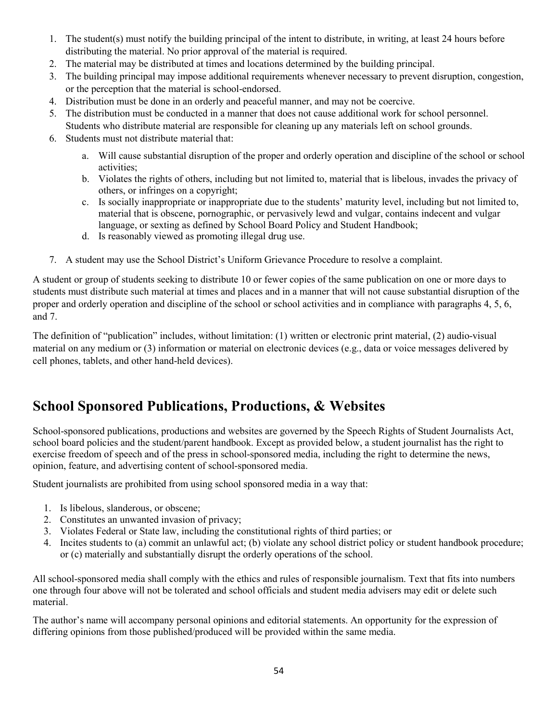- 1. The student(s) must notify the building principal of the intent to distribute, in writing, at least 24 hours before distributing the material. No prior approval of the material is required.
- 2. The material may be distributed at times and locations determined by the building principal.
- 3. The building principal may impose additional requirements whenever necessary to prevent disruption, congestion, or the perception that the material is school-endorsed.
- 4. Distribution must be done in an orderly and peaceful manner, and may not be coercive.
- 5. The distribution must be conducted in a manner that does not cause additional work for school personnel.
- Students who distribute material are responsible for cleaning up any materials left on school grounds.
- 6. Students must not distribute material that:
	- a. Will cause substantial disruption of the proper and orderly operation and discipline of the school or school activities;
	- b. Violates the rights of others, including but not limited to, material that is libelous, invades the privacy of others, or infringes on a copyright;
	- c. Is socially inappropriate or inappropriate due to the students' maturity level, including but not limited to, material that is obscene, pornographic, or pervasively lewd and vulgar, contains indecent and vulgar language, or sexting as defined by School Board Policy and Student Handbook;
	- d. Is reasonably viewed as promoting illegal drug use.
- 7. A student may use the School District's Uniform Grievance Procedure to resolve a complaint.

A student or group of students seeking to distribute 10 or fewer copies of the same publication on one or more days to students must distribute such material at times and places and in a manner that will not cause substantial disruption of the proper and orderly operation and discipline of the school or school activities and in compliance with paragraphs 4, 5, 6, and 7.

The definition of "publication" includes, without limitation: (1) written or electronic print material, (2) audio-visual material on any medium or (3) information or material on electronic devices (e.g., data or voice messages delivered by cell phones, tablets, and other hand-held devices).

# **School Sponsored Publications, Productions, & Websites**

School-sponsored publications, productions and websites are governed by the Speech Rights of Student Journalists Act, school board policies and the student/parent handbook. Except as provided below, a student journalist has the right to exercise freedom of speech and of the press in school-sponsored media, including the right to determine the news, opinion, feature, and advertising content of school-sponsored media.

Student journalists are prohibited from using school sponsored media in a way that:

- 1. Is libelous, slanderous, or obscene;
- 2. Constitutes an unwanted invasion of privacy;
- 3. Violates Federal or State law, including the constitutional rights of third parties; or
- 4. Incites students to (a) commit an unlawful act; (b) violate any school district policy or student handbook procedure; or (c) materially and substantially disrupt the orderly operations of the school.

All school-sponsored media shall comply with the ethics and rules of responsible journalism. Text that fits into numbers one through four above will not be tolerated and school officials and student media advisers may edit or delete such material.

The author's name will accompany personal opinions and editorial statements. An opportunity for the expression of differing opinions from those published/produced will be provided within the same media.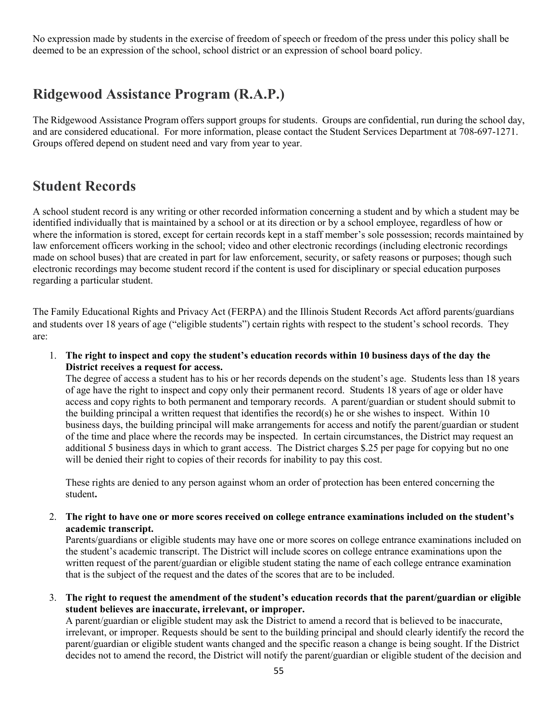No expression made by students in the exercise of freedom of speech or freedom of the press under this policy shall be deemed to be an expression of the school, school district or an expression of school board policy.

# **Ridgewood Assistance Program (R.A.P.)**

The Ridgewood Assistance Program offers support groups for students. Groups are confidential, run during the school day, and are considered educational. For more information, please contact the Student Services Department at 708-697-1271. Groups offered depend on student need and vary from year to year.

## **Student Records**

A school student record is any writing or other recorded information concerning a student and by which a student may be identified individually that is maintained by a school or at its direction or by a school employee, regardless of how or where the information is stored, except for certain records kept in a staff member's sole possession; records maintained by law enforcement officers working in the school; video and other electronic recordings (including electronic recordings made on school buses) that are created in part for law enforcement, security, or safety reasons or purposes; though such electronic recordings may become student record if the content is used for disciplinary or special education purposes regarding a particular student.

The Family Educational Rights and Privacy Act (FERPA) and the Illinois Student Records Act afford parents/guardians and students over 18 years of age ("eligible students") certain rights with respect to the student's school records. They are:

1. **The right to inspect and copy the student's education records within 10 business days of the day the District receives a request for access.**

The degree of access a student has to his or her records depends on the student's age. Students less than 18 years of age have the right to inspect and copy only their permanent record. Students 18 years of age or older have access and copy rights to both permanent and temporary records. A parent/guardian or student should submit to the building principal a written request that identifies the record(s) he or she wishes to inspect. Within 10 business days, the building principal will make arrangements for access and notify the parent/guardian or student of the time and place where the records may be inspected. In certain circumstances, the District may request an additional 5 business days in which to grant access. The District charges \$.25 per page for copying but no one will be denied their right to copies of their records for inability to pay this cost.

These rights are denied to any person against whom an order of protection has been entered concerning the student**.**

2. **The right to have one or more scores received on college entrance examinations included on the student's academic transcript.**

Parents/guardians or eligible students may have one or more scores on college entrance examinations included on the student's academic transcript. The District will include scores on college entrance examinations upon the written request of the parent/guardian or eligible student stating the name of each college entrance examination that is the subject of the request and the dates of the scores that are to be included.

3. **The right to request the amendment of the student's education records that the parent/guardian or eligible student believes are inaccurate, irrelevant, or improper.**

A parent/guardian or eligible student may ask the District to amend a record that is believed to be inaccurate, irrelevant, or improper. Requests should be sent to the building principal and should clearly identify the record the parent/guardian or eligible student wants changed and the specific reason a change is being sought. If the District decides not to amend the record, the District will notify the parent/guardian or eligible student of the decision and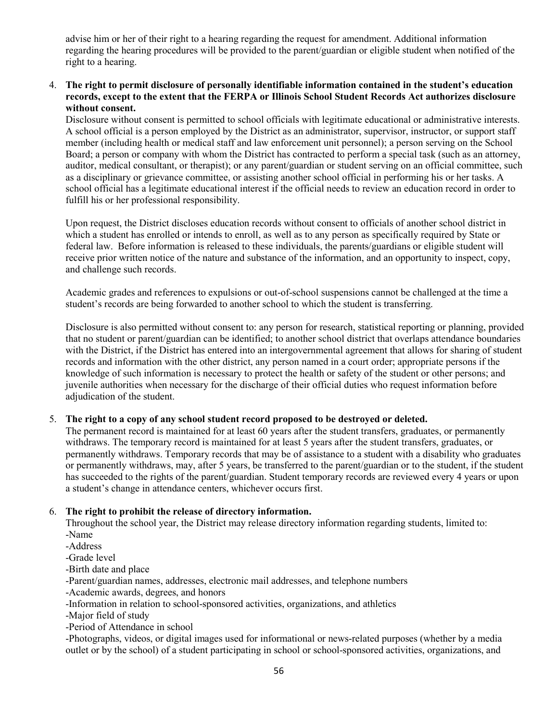advise him or her of their right to a hearing regarding the request for amendment. Additional information regarding the hearing procedures will be provided to the parent/guardian or eligible student when notified of the right to a hearing.

#### 4. **The right to permit disclosure of personally identifiable information contained in the student's education records, except to the extent that the FERPA or Illinois School Student Records Act authorizes disclosure without consent.**

Disclosure without consent is permitted to school officials with legitimate educational or administrative interests. A school official is a person employed by the District as an administrator, supervisor, instructor, or support staff member (including health or medical staff and law enforcement unit personnel); a person serving on the School Board; a person or company with whom the District has contracted to perform a special task (such as an attorney, auditor, medical consultant, or therapist); or any parent/guardian or student serving on an official committee, such as a disciplinary or grievance committee, or assisting another school official in performing his or her tasks. A school official has a legitimate educational interest if the official needs to review an education record in order to fulfill his or her professional responsibility.

Upon request, the District discloses education records without consent to officials of another school district in which a student has enrolled or intends to enroll, as well as to any person as specifically required by State or federal law. Before information is released to these individuals, the parents/guardians or eligible student will receive prior written notice of the nature and substance of the information, and an opportunity to inspect, copy, and challenge such records.

Academic grades and references to expulsions or out-of-school suspensions cannot be challenged at the time a student's records are being forwarded to another school to which the student is transferring.

Disclosure is also permitted without consent to: any person for research, statistical reporting or planning, provided that no student or parent/guardian can be identified; to another school district that overlaps attendance boundaries with the District, if the District has entered into an intergovernmental agreement that allows for sharing of student records and information with the other district, any person named in a court order; appropriate persons if the knowledge of such information is necessary to protect the health or safety of the student or other persons; and juvenile authorities when necessary for the discharge of their official duties who request information before adjudication of the student.

#### 5. **The right to a copy of any school student record proposed to be destroyed or deleted.**

The permanent record is maintained for at least 60 years after the student transfers, graduates, or permanently withdraws. The temporary record is maintained for at least 5 years after the student transfers, graduates, or permanently withdraws. Temporary records that may be of assistance to a student with a disability who graduates or permanently withdraws, may, after 5 years, be transferred to the parent/guardian or to the student, if the student has succeeded to the rights of the parent/guardian. Student temporary records are reviewed every 4 years or upon a student's change in attendance centers, whichever occurs first.

#### 6. **The right to prohibit the release of directory information.**

Throughout the school year, the District may release directory information regarding students, limited to: -Name

- -Address
- -Grade level
- -Birth date and place
- -Parent/guardian names, addresses, electronic mail addresses, and telephone numbers
- -Academic awards, degrees, and honors
- -Information in relation to school-sponsored activities, organizations, and athletics
- -Major field of study
- -Period of Attendance in school

-Photographs, videos, or digital images used for informational or news-related purposes (whether by a media outlet or by the school) of a student participating in school or school-sponsored activities, organizations, and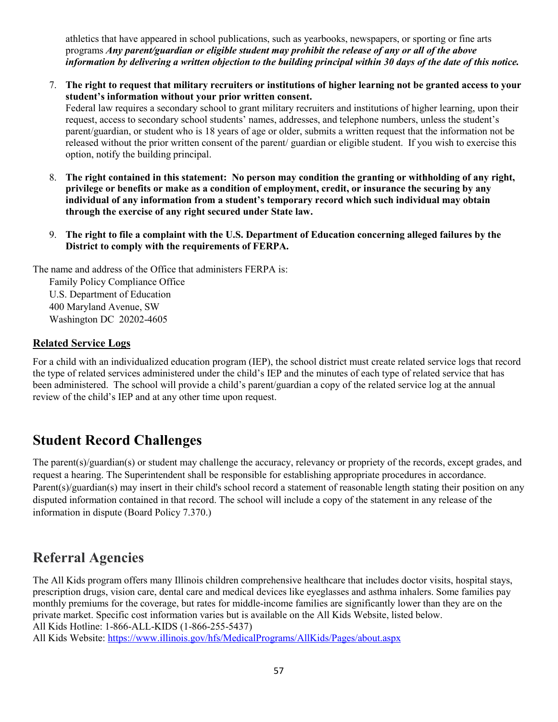athletics that have appeared in school publications, such as yearbooks, newspapers, or sporting or fine arts programs *Any parent/guardian or eligible student may prohibit the release of any or all of the above information by delivering a written objection to the building principal within 30 days of the date of this notice.*

7. **The right to request that military recruiters or institutions of higher learning not be granted access to your student's information without your prior written consent.**

Federal law requires a secondary school to grant military recruiters and institutions of higher learning, upon their request, access to secondary school students' names, addresses, and telephone numbers, unless the student's parent/guardian, or student who is 18 years of age or older, submits a written request that the information not be released without the prior written consent of the parent/ guardian or eligible student. If you wish to exercise this option, notify the building principal.

- 8. **The right contained in this statement: No person may condition the granting or withholding of any right, privilege or benefits or make as a condition of employment, credit, or insurance the securing by any individual of any information from a student's temporary record which such individual may obtain through the exercise of any right secured under State law.**
- 9. **The right to file a complaint with the U.S. Department of Education concerning alleged failures by the District to comply with the requirements of FERPA.**

The name and address of the Office that administers FERPA is:

Family Policy Compliance Office U.S. Department of Education 400 Maryland Avenue, SW Washington DC 20202-4605

## **Related Service Logs**

For a child with an individualized education program (IEP), the school district must create related service logs that record the type of related services administered under the child's IEP and the minutes of each type of related service that has been administered. The school will provide a child's parent/guardian a copy of the related service log at the annual review of the child's IEP and at any other time upon request.

# **Student Record Challenges**

The parent(s)/guardian(s) or student may challenge the accuracy, relevancy or propriety of the records, except grades, and request a hearing. The Superintendent shall be responsible for establishing appropriate procedures in accordance. Parent(s)/guardian(s) may insert in their child's school record a statement of reasonable length stating their position on any disputed information contained in that record. The school will include a copy of the statement in any release of the information in dispute (Board Policy 7.370.)

# **Referral Agencies**

The All Kids program offers many Illinois children comprehensive healthcare that includes doctor visits, hospital stays, prescription drugs, vision care, dental care and medical devices like eyeglasses and asthma inhalers. Some families pay monthly premiums for the coverage, but rates for middle-income families are significantly lower than they are on the private market. Specific cost information varies but is available on the All Kids Website, listed below. All Kids Hotline: 1-866-ALL-KIDS (1-866-255-5437)

All Kids Website:<https://www.illinois.gov/hfs/MedicalPrograms/AllKids/Pages/about.aspx>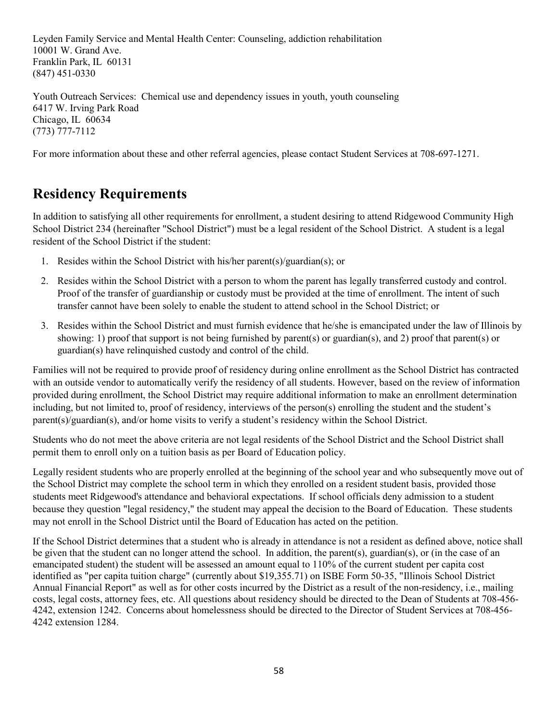Leyden Family Service and Mental Health Center: Counseling, addiction rehabilitation 10001 W. Grand Ave. Franklin Park, IL 60131 (847) 451-0330

Youth Outreach Services: Chemical use and dependency issues in youth, youth counseling 6417 W. Irving Park Road Chicago, IL 60634 (773) 777-7112

For more information about these and other referral agencies, please contact Student Services at 708-697-1271.

# **Residency Requirements**

In addition to satisfying all other requirements for enrollment, a student desiring to attend Ridgewood Community High School District 234 (hereinafter "School District") must be a legal resident of the School District. A student is a legal resident of the School District if the student:

- 1. Resides within the School District with his/her parent(s)/guardian(s); or
- 2. Resides within the School District with a person to whom the parent has legally transferred custody and control. Proof of the transfer of guardianship or custody must be provided at the time of enrollment. The intent of such transfer cannot have been solely to enable the student to attend school in the School District; or
- 3. Resides within the School District and must furnish evidence that he/she is emancipated under the law of Illinois by showing: 1) proof that support is not being furnished by parent(s) or guardian(s), and 2) proof that parent(s) or guardian(s) have relinquished custody and control of the child.

Families will not be required to provide proof of residency during online enrollment as the School District has contracted with an outside vendor to automatically verify the residency of all students. However, based on the review of information provided during enrollment, the School District may require additional information to make an enrollment determination including, but not limited to, proof of residency, interviews of the person(s) enrolling the student and the student's parent(s)/guardian(s), and/or home visits to verify a student's residency within the School District.

Students who do not meet the above criteria are not legal residents of the School District and the School District shall permit them to enroll only on a tuition basis as per Board of Education policy.

Legally resident students who are properly enrolled at the beginning of the school year and who subsequently move out of the School District may complete the school term in which they enrolled on a resident student basis, provided those students meet Ridgewood's attendance and behavioral expectations. If school officials deny admission to a student because they question "legal residency," the student may appeal the decision to the Board of Education. These students may not enroll in the School District until the Board of Education has acted on the petition.

If the School District determines that a student who is already in attendance is not a resident as defined above, notice shall be given that the student can no longer attend the school. In addition, the parent(s), guardian(s), or (in the case of an emancipated student) the student will be assessed an amount equal to 110% of the current student per capita cost identified as "per capita tuition charge" (currently about \$19,355.71) on ISBE Form 50-35, "Illinois School District Annual Financial Report" as well as for other costs incurred by the District as a result of the non-residency, i.e., mailing costs, legal costs, attorney fees, etc. All questions about residency should be directed to the Dean of Students at 708-456- 4242, extension 1242. Concerns about homelessness should be directed to the Director of Student Services at 708-456- 4242 extension 1284.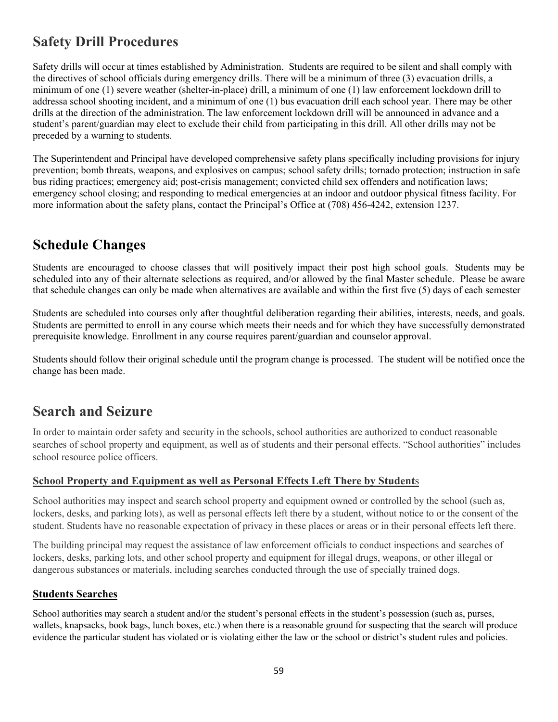# **Safety Drill Procedures**

Safety drills will occur at times established by Administration. Students are required to be silent and shall comply with the directives of school officials during emergency drills. There will be a minimum of three (3) evacuation drills, a minimum of one (1) severe weather (shelter-in-place) drill, a minimum of one (1) law enforcement lockdown drill to addressa school shooting incident, and a minimum of one (1) bus evacuation drill each school year. There may be other drills at the direction of the administration. The law enforcement lockdown drill will be announced in advance and a student's parent/guardian may elect to exclude their child from participating in this drill. All other drills may not be preceded by a warning to students.

The Superintendent and Principal have developed comprehensive safety plans specifically including provisions for injury prevention; bomb threats, weapons, and explosives on campus; school safety drills; tornado protection; instruction in safe bus riding practices; emergency aid; post-crisis management; convicted child sex offenders and notification laws; emergency school closing; and responding to medical emergencies at an indoor and outdoor physical fitness facility. For more information about the safety plans, contact the Principal's Office at (708) 456-4242, extension 1237.

# **Schedule Changes**

Students are encouraged to choose classes that will positively impact their post high school goals. Students may be scheduled into any of their alternate selections as required, and/or allowed by the final Master schedule. Please be aware that schedule changes can only be made when alternatives are available and within the first five (5) days of each semester

Students are scheduled into courses only after thoughtful deliberation regarding their abilities, interests, needs, and goals. Students are permitted to enroll in any course which meets their needs and for which they have successfully demonstrated prerequisite knowledge. Enrollment in any course requires parent/guardian and counselor approval.

Students should follow their original schedule until the program change is processed. The student will be notified once the change has been made.

# **Search and Seizure**

In order to maintain order safety and security in the schools, school authorities are authorized to conduct reasonable searches of school property and equipment, as well as of students and their personal effects. "School authorities" includes school resource police officers.

## **School Property and Equipment as well as Personal Effects Left There by Student**s

School authorities may inspect and search school property and equipment owned or controlled by the school (such as, lockers, desks, and parking lots), as well as personal effects left there by a student, without notice to or the consent of the student. Students have no reasonable expectation of privacy in these places or areas or in their personal effects left there.

The building principal may request the assistance of law enforcement officials to conduct inspections and searches of lockers, desks, parking lots, and other school property and equipment for illegal drugs, weapons, or other illegal or dangerous substances or materials, including searches conducted through the use of specially trained dogs.

## **Students Searches**

School authorities may search a student and/or the student's personal effects in the student's possession (such as, purses, wallets, knapsacks, book bags, lunch boxes, etc.) when there is a reasonable ground for suspecting that the search will produce evidence the particular student has violated or is violating either the law or the school or district's student rules and policies.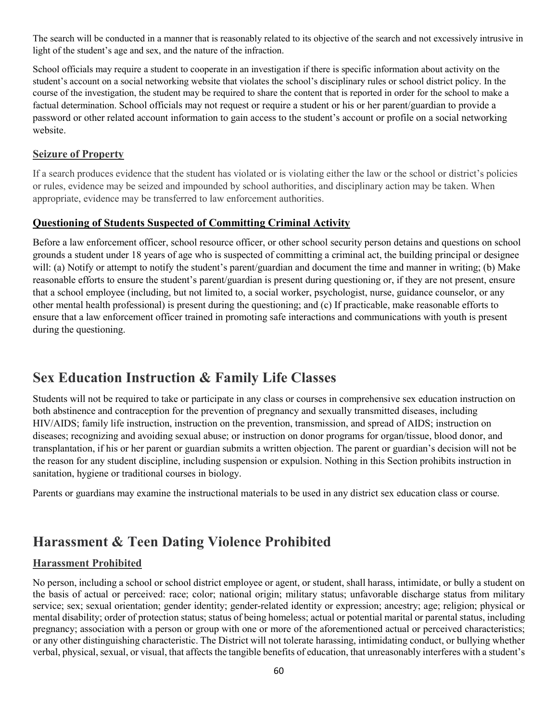The search will be conducted in a manner that is reasonably related to its objective of the search and not excessively intrusive in light of the student's age and sex, and the nature of the infraction.

School officials may require a student to cooperate in an investigation if there is specific information about activity on the student's account on a social networking website that violates the school's disciplinary rules or school district policy. In the course of the investigation, the student may be required to share the content that is reported in order for the school to make a factual determination. School officials may not request or require a student or his or her parent/guardian to provide a password or other related account information to gain access to the student's account or profile on a social networking website.

#### **Seizure of Property**

If a search produces evidence that the student has violated or is violating either the law or the school or district's policies or rules, evidence may be seized and impounded by school authorities, and disciplinary action may be taken. When appropriate, evidence may be transferred to law enforcement authorities.

## **Questioning of Students Suspected of Committing Criminal Activity**

Before a law enforcement officer, school resource officer, or other school security person detains and questions on school grounds a student under 18 years of age who is suspected of committing a criminal act, the building principal or designee will: (a) Notify or attempt to notify the student's parent/guardian and document the time and manner in writing; (b) Make reasonable efforts to ensure the student's parent/guardian is present during questioning or, if they are not present, ensure that a school employee (including, but not limited to, a social worker, psychologist, nurse, guidance counselor, or any other mental health professional) is present during the questioning; and (c) If practicable, make reasonable efforts to ensure that a law enforcement officer trained in promoting safe interactions and communications with youth is present during the questioning.

# **Sex Education Instruction & Family Life Classes**

Students will not be required to take or participate in any class or courses in comprehensive sex education instruction on both abstinence and contraception for the prevention of pregnancy and sexually transmitted diseases, including HIV/AIDS; family life instruction, instruction on the prevention, transmission, and spread of AIDS; instruction on diseases; recognizing and avoiding sexual abuse; or instruction on donor programs for organ/tissue, blood donor, and transplantation, if his or her parent or guardian submits a written objection. The parent or guardian's decision will not be the reason for any student discipline, including suspension or expulsion. Nothing in this Section prohibits instruction in sanitation, hygiene or traditional courses in biology.

Parents or guardians may examine the instructional materials to be used in any district sex education class or course.

# **Harassment & Teen Dating Violence Prohibited**

## **Harassment Prohibited**

No person, including a school or school district employee or agent, or student, shall harass, intimidate, or bully a student on the basis of actual or perceived: race; color; national origin; military status; unfavorable discharge status from military service; sex; sexual orientation; gender identity; gender-related identity or expression; ancestry; age; religion; physical or mental disability; order of protection status; status of being homeless; actual or potential marital or parental status, including pregnancy; association with a person or group with one or more of the aforementioned actual or perceived characteristics; or any other distinguishing characteristic. The District will not tolerate harassing, intimidating conduct, or bullying whether verbal, physical, sexual, or visual, that affects the tangible benefits of education, that unreasonably interferes with a student's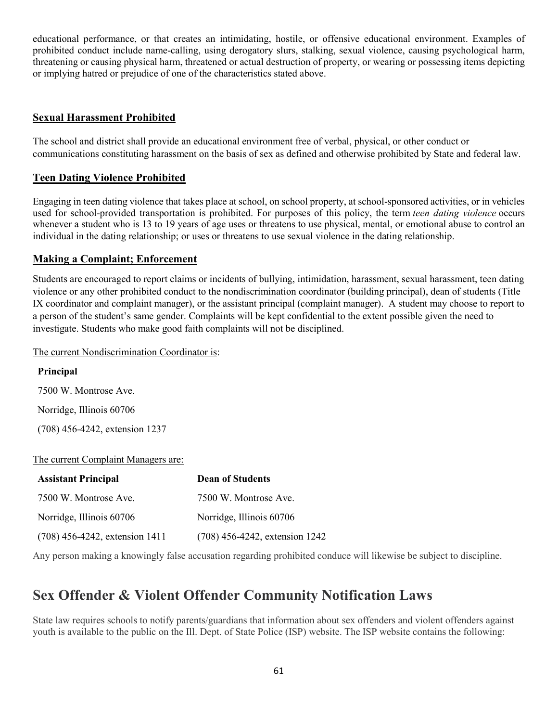educational performance, or that creates an intimidating, hostile, or offensive educational environment. Examples of prohibited conduct include name-calling, using derogatory slurs, stalking, sexual violence, causing psychological harm, threatening or causing physical harm, threatened or actual destruction of property, or wearing or possessing items depicting or implying hatred or prejudice of one of the characteristics stated above.

## **Sexual Harassment Prohibited**

The school and district shall provide an educational environment free of verbal, physical, or other conduct or communications constituting harassment on the basis of sex as defined and otherwise prohibited by State and federal law.

## **Teen Dating Violence Prohibited**

Engaging in teen dating violence that takes place at school, on school property, at school-sponsored activities, or in vehicles used for school-provided transportation is prohibited. For purposes of this policy, the term *teen dating violence* occurs whenever a student who is 13 to 19 years of age uses or threatens to use physical, mental, or emotional abuse to control an individual in the dating relationship; or uses or threatens to use sexual violence in the dating relationship.

## **Making a Complaint; Enforcement**

Students are encouraged to report claims or incidents of bullying, intimidation, harassment, sexual harassment, teen dating violence or any other prohibited conduct to the nondiscrimination coordinator (building principal), dean of students (Title IX coordinator and complaint manager), or the assistant principal (complaint manager). A student may choose to report to a person of the student's same gender. Complaints will be kept confidential to the extent possible given the need to investigate. Students who make good faith complaints will not be disciplined.

The current Nondiscrimination Coordinator is:

| Principal                           |
|-------------------------------------|
| 7500 W. Montrose Ave.               |
| Norridge, Illinois 60706            |
| (708) 456-4242, extension 1237      |
| The current Complaint Managers are: |

| <b>Assistant Principal</b>       | <b>Dean of Students</b>        |
|----------------------------------|--------------------------------|
| 7500 W. Montrose Ave.            | 7500 W. Montrose Ave.          |
| Norridge, Illinois 60706         | Norridge, Illinois 60706       |
| $(708)$ 456-4242, extension 1411 | (708) 456-4242, extension 1242 |
|                                  |                                |

Any person making a knowingly false accusation regarding prohibited conduce will likewise be subject to discipline.

# **Sex Offender & Violent Offender Community Notification Laws**

State law requires schools to notify parents/guardians that information about sex offenders and violent offenders against youth is available to the public on the Ill. Dept. of State Police (ISP) website. The ISP website contains the following: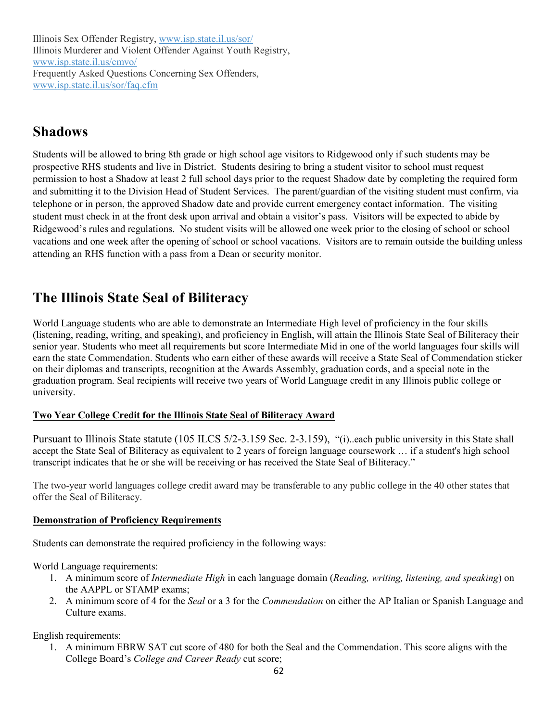Illinois Sex Offender Registry, [www.isp.state.il.us/sor/](http://www.isp.state.il.us/sor/) Illinois Murderer and Violent Offender Against Youth Registry, [www.isp.state.il.us/cmvo/](http://www.isp.state.il.us/cmvo/) Frequently Asked Questions Concerning Sex Offenders, [www.isp.state.il.us/sor/faq.cfm](http://www.isp.state.il.us/sor/faq.cfm)

# **Shadows**

Students will be allowed to bring 8th grade or high school age visitors to Ridgewood only if such students may be prospective RHS students and live in District. Students desiring to bring a student visitor to school must request permission to host a Shadow at least 2 full school days prior to the request Shadow date by completing the required form and submitting it to the Division Head of Student Services. The parent/guardian of the visiting student must confirm, via telephone or in person, the approved Shadow date and provide current emergency contact information. The visiting student must check in at the front desk upon arrival and obtain a visitor's pass. Visitors will be expected to abide by Ridgewood's rules and regulations. No student visits will be allowed one week prior to the closing of school or school vacations and one week after the opening of school or school vacations. Visitors are to remain outside the building unless attending an RHS function with a pass from a Dean or security monitor.

# **The Illinois State Seal of Biliteracy**

World Language students who are able to demonstrate an Intermediate High level of proficiency in the four skills (listening, reading, writing, and speaking), and proficiency in English, will attain the Illinois State Seal of Biliteracy their senior year. Students who meet all requirements but score Intermediate Mid in one of the world languages four skills will earn the state Commendation. Students who earn either of these awards will receive a State Seal of Commendation sticker on their diplomas and transcripts, recognition at the Awards Assembly, graduation cords, and a special note in the graduation program. Seal recipients will receive two years of World Language credit in any Illinois public college or university.

## **Two Year College Credit for the Illinois State Seal of Biliteracy Award**

Pursuant to Illinois State statute (105 ILCS 5/2-3.159 Sec. 2-3.159), "(i)..each public university in this State shall accept the State Seal of Biliteracy as equivalent to 2 years of foreign language coursework … if a student's high school transcript indicates that he or she will be receiving or has received the State Seal of Biliteracy."

The two-year world languages college credit award may be transferable to any public college in the 40 other states that offer the Seal of Biliteracy.

## **Demonstration of Proficiency Requirements**

Students can demonstrate the required proficiency in the following ways:

World Language requirements:

- 1. A minimum score of *Intermediate High* in each language domain (*Reading, writing, listening, and speaking*) on the AAPPL or STAMP exams;
- 2. A minimum score of 4 for the *Seal* or a 3 for the *Commendation* on either the AP Italian or Spanish Language and Culture exams.

English requirements:

1. A minimum EBRW SAT cut score of 480 for both the Seal and the Commendation. This score aligns with the College Board's *College and Career Ready* cut score;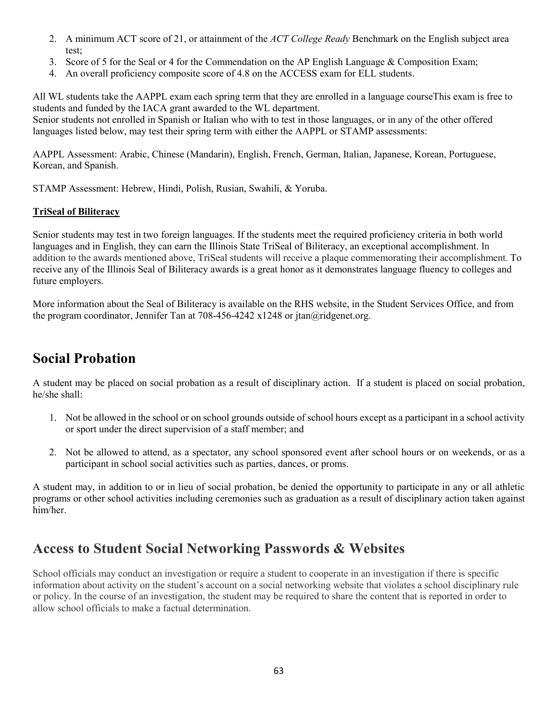- 2. A minimum ACT score of 21, or attainment of the *ACT College Ready* Benchmark on the English subject area test;
- 3. Score of 5 for the Seal or 4 for the Commendation on the AP English Language & Composition Exam;
- 4. An overall proficiency composite score of 4.8 on the ACCESS exam for ELL students.

All WL students take the AAPPL exam each spring term that they are enrolled in a language courseThis exam is free to students and funded by the IACA grant awarded to the WL department.

Senior students not enrolled in Spanish or Italian who with to test in those languages, or in any of the other offered languages listed below, may test their spring term with either the AAPPL or STAMP assessments:

AAPPL Assessment: Arabic, Chinese (Mandarin), English, French, German, Italian, Japanese, Korean, Portuguese, Korean, and Spanish.

STAMP Assessment: Hebrew, Hindi, Polish, Rusian, Swahili, & Yoruba.

#### **TriSeal of Biliteracy**

Senior students may test in two foreign languages. If the students meet the required proficiency criteria in both world languages and in English, they can earn the Illinois State TriSeal of Biliteracy, an exceptional accomplishment. In addition to the awards mentioned above, TriSeal students will receive a plaque commemorating their accomplishment. To receive any of the Illinois Seal of Biliteracy awards is a great honor as it demonstrates language fluency to colleges and future employers.

More information about the Seal of Biliteracy is available on the RHS website, in the Student Services Office, and from the program coordinator, Jennifer Tan at 708-456-4242 x1248 or jtan@ridgenet.org.

# **Social Probation**

A student may be placed on social probation as a result of disciplinary action. If a student is placed on social probation, he/she shall:

- 1. Not be allowed in the school or on school grounds outside of school hours except as a participant in a school activity or sport under the direct supervision of a staff member; and
- 2. Not be allowed to attend, as a spectator, any school sponsored event after school hours or on weekends, or as a participant in school social activities such as parties, dances, or proms.

A student may, in addition to or in lieu of social probation, be denied the opportunity to participate in any or all athletic programs or other school activities including ceremonies such as graduation as a result of disciplinary action taken against him/her.

# **Access to Student Social Networking Passwords & Websites**

School officials may conduct an investigation or require a student to cooperate in an investigation if there is specific information about activity on the student's account on a social networking website that violates a school disciplinary rule or policy. In the course of an investigation, the student may be required to share the content that is reported in order to allow school officials to make a factual determination.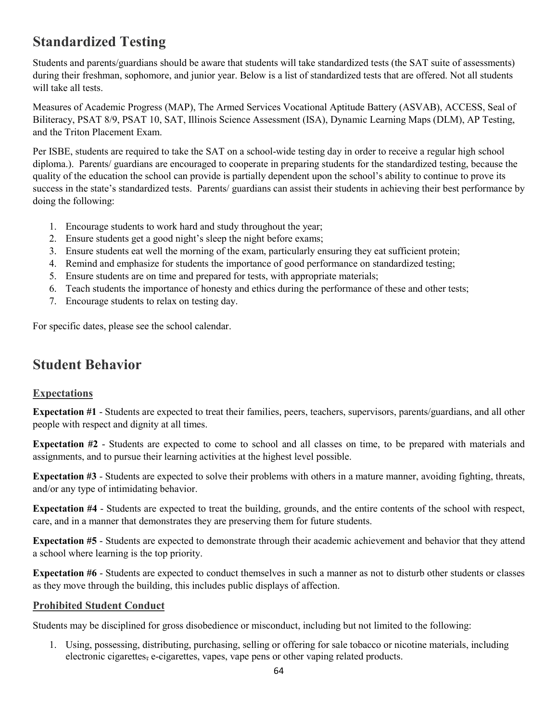# **Standardized Testing**

Students and parents/guardians should be aware that students will take standardized tests (the SAT suite of assessments) during their freshman, sophomore, and junior year. Below is a list of standardized tests that are offered. Not all students will take all tests.

Measures of Academic Progress (MAP), The Armed Services Vocational Aptitude Battery (ASVAB), ACCESS, Seal of Biliteracy, PSAT 8/9, PSAT 10, SAT, Illinois Science Assessment (ISA), Dynamic Learning Maps (DLM), AP Testing, and the Triton Placement Exam.

Per ISBE, students are required to take the SAT on a school-wide testing day in order to receive a regular high school diploma.). Parents/ guardians are encouraged to cooperate in preparing students for the standardized testing, because the quality of the education the school can provide is partially dependent upon the school's ability to continue to prove its success in the state's standardized tests. Parents/ guardians can assist their students in achieving their best performance by doing the following:

- 1. Encourage students to work hard and study throughout the year;
- 2. Ensure students get a good night's sleep the night before exams;
- 3. Ensure students eat well the morning of the exam, particularly ensuring they eat sufficient protein;
- 4. Remind and emphasize for students the importance of good performance on standardized testing;
- 5. Ensure students are on time and prepared for tests, with appropriate materials;
- 6. Teach students the importance of honesty and ethics during the performance of these and other tests;
- 7. Encourage students to relax on testing day.

For specific dates, please see the school calendar.

# **Student Behavior**

## **Expectations**

**Expectation #1** - Students are expected to treat their families, peers, teachers, supervisors, parents/guardians, and all other people with respect and dignity at all times.

**Expectation #2** - Students are expected to come to school and all classes on time, to be prepared with materials and assignments, and to pursue their learning activities at the highest level possible.

**Expectation #3** - Students are expected to solve their problems with others in a mature manner, avoiding fighting, threats, and/or any type of intimidating behavior.

**Expectation #4** - Students are expected to treat the building, grounds, and the entire contents of the school with respect, care, and in a manner that demonstrates they are preserving them for future students.

**Expectation #5** - Students are expected to demonstrate through their academic achievement and behavior that they attend a school where learning is the top priority.

**Expectation #6** - Students are expected to conduct themselves in such a manner as not to disturb other students or classes as they move through the building, this includes public displays of affection.

## **Prohibited Student Conduct**

Students may be disciplined for gross disobedience or misconduct, including but not limited to the following:

1. Using, possessing, distributing, purchasing, selling or offering for sale tobacco or nicotine materials, including electronic cigarettes, e-cigarettes, vapes, vape pens or other vaping related products.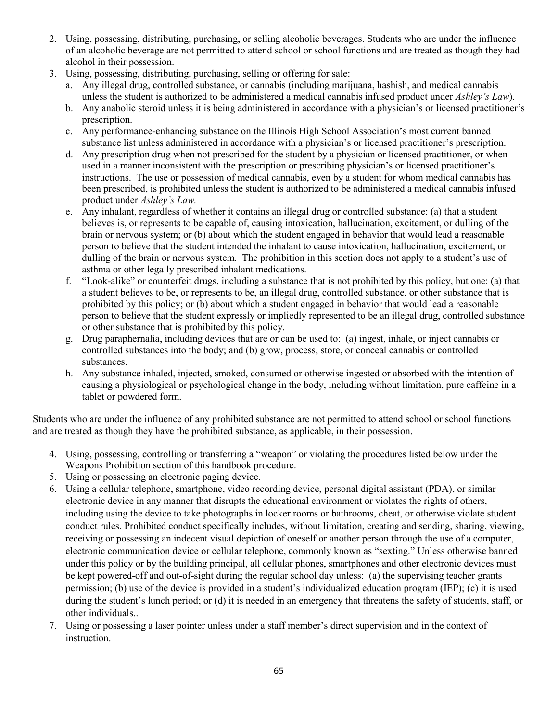- 2. Using, possessing, distributing, purchasing, or selling alcoholic beverages. Students who are under the influence of an alcoholic beverage are not permitted to attend school or school functions and are treated as though they had alcohol in their possession.
- 3. Using, possessing, distributing, purchasing, selling or offering for sale:
	- a. Any illegal drug, controlled substance, or cannabis (including marijuana, hashish, and medical cannabis unless the student is authorized to be administered a medical cannabis infused product under *Ashley's Law*).
	- b. Any anabolic steroid unless it is being administered in accordance with a physician's or licensed practitioner's prescription.
	- c. Any performance-enhancing substance on the Illinois High School Association's most current banned substance list unless administered in accordance with a physician's or licensed practitioner's prescription.
	- d. Any prescription drug when not prescribed for the student by a physician or licensed practitioner, or when used in a manner inconsistent with the prescription or prescribing physician's or licensed practitioner's instructions. The use or possession of medical cannabis, even by a student for whom medical cannabis has been prescribed, is prohibited unless the student is authorized to be administered a medical cannabis infused product under *Ashley's Law.*
	- e. Any inhalant, regardless of whether it contains an illegal drug or controlled substance: (a) that a student believes is, or represents to be capable of, causing intoxication, hallucination, excitement, or dulling of the brain or nervous system; or (b) about which the student engaged in behavior that would lead a reasonable person to believe that the student intended the inhalant to cause intoxication, hallucination, excitement, or dulling of the brain or nervous system. The prohibition in this section does not apply to a student's use of asthma or other legally prescribed inhalant medications.
	- f. "Look-alike" or counterfeit drugs, including a substance that is not prohibited by this policy, but one: (a) that a student believes to be, or represents to be, an illegal drug, controlled substance, or other substance that is prohibited by this policy; or (b) about which a student engaged in behavior that would lead a reasonable person to believe that the student expressly or impliedly represented to be an illegal drug, controlled substance or other substance that is prohibited by this policy.
	- g. Drug paraphernalia, including devices that are or can be used to: (a) ingest, inhale, or inject cannabis or controlled substances into the body; and (b) grow, process, store, or conceal cannabis or controlled substances.
	- h. Any substance inhaled, injected, smoked, consumed or otherwise ingested or absorbed with the intention of causing a physiological or psychological change in the body, including without limitation, pure caffeine in a tablet or powdered form.

Students who are under the influence of any prohibited substance are not permitted to attend school or school functions and are treated as though they have the prohibited substance, as applicable, in their possession.

- 4. Using, possessing, controlling or transferring a "weapon" or violating the procedures listed below under the Weapons Prohibition section of this handbook procedure.
- 5. Using or possessing an electronic paging device.
- 6. Using a cellular telephone, smartphone, video recording device, personal digital assistant (PDA), or similar electronic device in any manner that disrupts the educational environment or violates the rights of others, including using the device to take photographs in locker rooms or bathrooms, cheat, or otherwise violate student conduct rules. Prohibited conduct specifically includes, without limitation, creating and sending, sharing, viewing, receiving or possessing an indecent visual depiction of oneself or another person through the use of a computer, electronic communication device or cellular telephone, commonly known as "sexting." Unless otherwise banned under this policy or by the building principal, all cellular phones, smartphones and other electronic devices must be kept powered-off and out-of-sight during the regular school day unless: (a) the supervising teacher grants permission; (b) use of the device is provided in a student's individualized education program (IEP); (c) it is used during the student's lunch period; or (d) it is needed in an emergency that threatens the safety of students, staff, or other individuals..
- 7. Using or possessing a laser pointer unless under a staff member's direct supervision and in the context of instruction.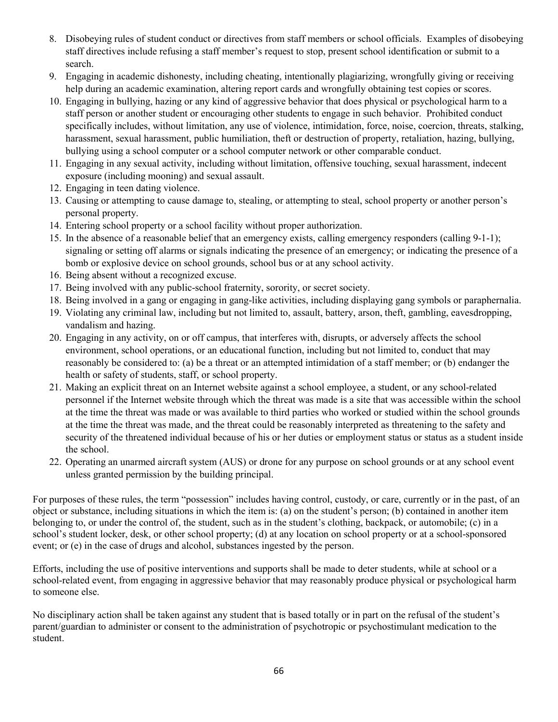- 8. Disobeying rules of student conduct or directives from staff members or school officials. Examples of disobeying staff directives include refusing a staff member's request to stop, present school identification or submit to a search.
- 9. Engaging in academic dishonesty, including cheating, intentionally plagiarizing, wrongfully giving or receiving help during an academic examination, altering report cards and wrongfully obtaining test copies or scores.
- 10. Engaging in bullying, hazing or any kind of aggressive behavior that does physical or psychological harm to a staff person or another student or encouraging other students to engage in such behavior. Prohibited conduct specifically includes, without limitation, any use of violence, intimidation, force, noise, coercion, threats, stalking, harassment, sexual harassment, public humiliation, theft or destruction of property, retaliation, hazing, bullying, bullying using a school computer or a school computer network or other comparable conduct.
- 11. Engaging in any sexual activity, including without limitation, offensive touching, sexual harassment, indecent exposure (including mooning) and sexual assault.
- 12. Engaging in teen dating violence.
- 13. Causing or attempting to cause damage to, stealing, or attempting to steal, school property or another person's personal property.
- 14. Entering school property or a school facility without proper authorization.
- 15. In the absence of a reasonable belief that an emergency exists, calling emergency responders (calling 9-1-1); signaling or setting off alarms or signals indicating the presence of an emergency; or indicating the presence of a bomb or explosive device on school grounds, school bus or at any school activity.
- 16. Being absent without a recognized excuse.
- 17. Being involved with any public-school fraternity, sorority, or secret society.
- 18. Being involved in a gang or engaging in gang-like activities, including displaying gang symbols or paraphernalia.
- 19. Violating any criminal law, including but not limited to, assault, battery, arson, theft, gambling, eavesdropping, vandalism and hazing.
- 20. Engaging in any activity, on or off campus, that interferes with, disrupts, or adversely affects the school environment, school operations, or an educational function, including but not limited to, conduct that may reasonably be considered to: (a) be a threat or an attempted intimidation of a staff member; or (b) endanger the health or safety of students, staff, or school property.
- 21. Making an explicit threat on an Internet website against a school employee, a student, or any school-related personnel if the Internet website through which the threat was made is a site that was accessible within the school at the time the threat was made or was available to third parties who worked or studied within the school grounds at the time the threat was made, and the threat could be reasonably interpreted as threatening to the safety and security of the threatened individual because of his or her duties or employment status or status as a student inside the school.
- 22. Operating an unarmed aircraft system (AUS) or drone for any purpose on school grounds or at any school event unless granted permission by the building principal.

For purposes of these rules, the term "possession" includes having control, custody, or care, currently or in the past, of an object or substance, including situations in which the item is: (a) on the student's person; (b) contained in another item belonging to, or under the control of, the student, such as in the student's clothing, backpack, or automobile; (c) in a school's student locker, desk, or other school property; (d) at any location on school property or at a school-sponsored event; or (e) in the case of drugs and alcohol, substances ingested by the person.

Efforts, including the use of positive interventions and supports shall be made to deter students, while at school or a school-related event, from engaging in aggressive behavior that may reasonably produce physical or psychological harm to someone else.

No disciplinary action shall be taken against any student that is based totally or in part on the refusal of the student's parent/guardian to administer or consent to the administration of psychotropic or psychostimulant medication to the student.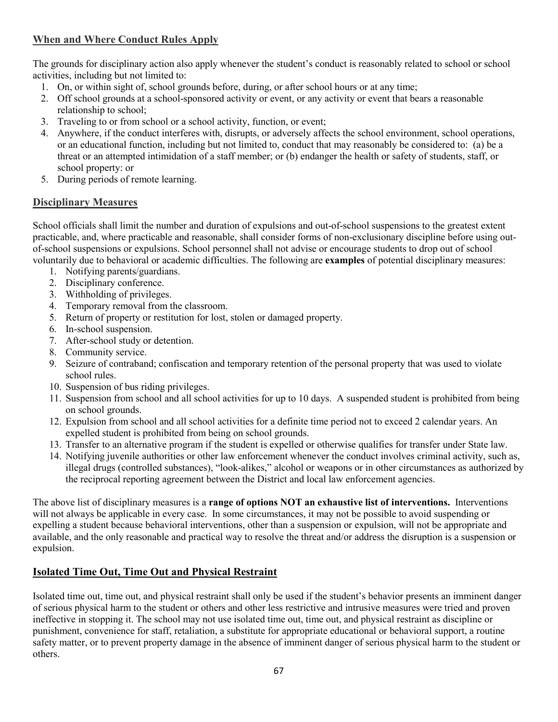## **When and Where Conduct Rules Apply**

The grounds for disciplinary action also apply whenever the student's conduct is reasonably related to school or school activities, including but not limited to:

- 1. On, or within sight of, school grounds before, during, or after school hours or at any time;
- 2. Off school grounds at a school-sponsored activity or event, or any activity or event that bears a reasonable relationship to school;
- 3. Traveling to or from school or a school activity, function, or event;
- 4. Anywhere, if the conduct interferes with, disrupts, or adversely affects the school environment, school operations, or an educational function, including but not limited to, conduct that may reasonably be considered to: (a) be a threat or an attempted intimidation of a staff member; or (b) endanger the health or safety of students, staff, or school property: or
- 5. During periods of remote learning.

## **Disciplinary Measures**

School officials shall limit the number and duration of expulsions and out-of-school suspensions to the greatest extent practicable, and, where practicable and reasonable, shall consider forms of non-exclusionary discipline before using outof-school suspensions or expulsions. School personnel shall not advise or encourage students to drop out of school voluntarily due to behavioral or academic difficulties. The following are **examples** of potential disciplinary measures:

- 1. Notifying parents/guardians.
- 2. Disciplinary conference.
- 3. Withholding of privileges.
- 4. Temporary removal from the classroom.
- 5. Return of property or restitution for lost, stolen or damaged property.
- 6. In-school suspension.
- 7. After-school study or detention.
- 8. Community service.
- 9. Seizure of contraband; confiscation and temporary retention of the personal property that was used to violate school rules.
- 10. Suspension of bus riding privileges.
- 11. Suspension from school and all school activities for up to 10 days. A suspended student is prohibited from being on school grounds.
- 12. Expulsion from school and all school activities for a definite time period not to exceed 2 calendar years. An expelled student is prohibited from being on school grounds.
- 13. Transfer to an alternative program if the student is expelled or otherwise qualifies for transfer under State law.
- 14. Notifying juvenile authorities or other law enforcement whenever the conduct involves criminal activity, such as, illegal drugs (controlled substances), "look-alikes," alcohol or weapons or in other circumstances as authorized by the reciprocal reporting agreement between the District and local law enforcement agencies.

The above list of disciplinary measures is a **range of options NOT an exhaustive list of interventions.** Interventions will not always be applicable in every case. In some circumstances, it may not be possible to avoid suspending or expelling a student because behavioral interventions, other than a suspension or expulsion, will not be appropriate and available, and the only reasonable and practical way to resolve the threat and/or address the disruption is a suspension or expulsion.

## **Isolated Time Out, Time Out and Physical Restraint**

Isolated time out, time out, and physical restraint shall only be used if the student's behavior presents an imminent danger of serious physical harm to the student or others and other less restrictive and intrusive measures were tried and proven ineffective in stopping it. The school may not use isolated time out, time out, and physical restraint as discipline or punishment, convenience for staff, retaliation, a substitute for appropriate educational or behavioral support, a routine safety matter, or to prevent property damage in the absence of imminent danger of serious physical harm to the student or others.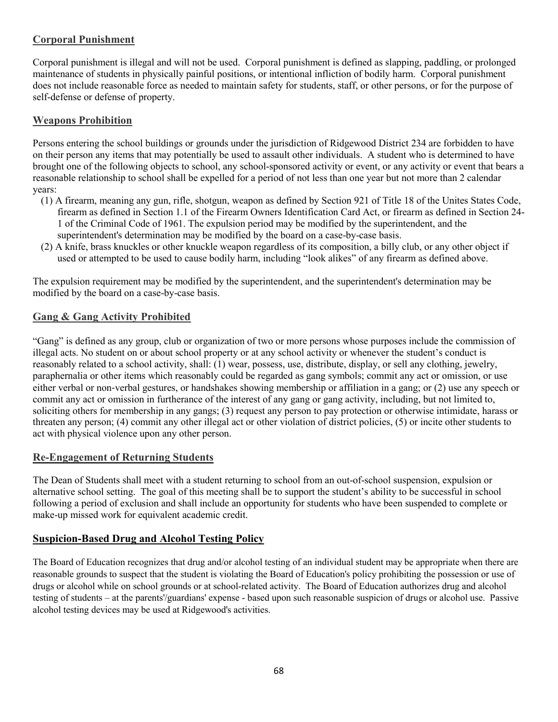## **Corporal Punishment**

Corporal punishment is illegal and will not be used. Corporal punishment is defined as slapping, paddling, or prolonged maintenance of students in physically painful positions, or intentional infliction of bodily harm. Corporal punishment does not include reasonable force as needed to maintain safety for students, staff, or other persons, or for the purpose of self-defense or defense of property.

## **Weapons Prohibition**

Persons entering the school buildings or grounds under the jurisdiction of Ridgewood District 234 are forbidden to have on their person any items that may potentially be used to assault other individuals. A student who is determined to have brought one of the following objects to school, any school-sponsored activity or event, or any activity or event that bears a reasonable relationship to school shall be expelled for a period of not less than one year but not more than 2 calendar years:

- (1) A firearm, meaning any gun, rifle, shotgun, weapon as defined by Section 921 of Title 18 of the Unites States Code, firearm as defined in Section 1.1 of the Firearm Owners Identification Card Act, or firearm as defined in Section 24- 1 of the Criminal Code of 1961. The expulsion period may be modified by the superintendent, and the superintendent's determination may be modified by the board on a case-by-case basis.
- (2) A knife, brass knuckles or other knuckle weapon regardless of its composition, a billy club, or any other object if used or attempted to be used to cause bodily harm, including "look alikes" of any firearm as defined above.

The expulsion requirement may be modified by the superintendent, and the superintendent's determination may be modified by the board on a case-by-case basis.

## **Gang & Gang Activity Prohibited**

"Gang" is defined as any group, club or organization of two or more persons whose purposes include the commission of illegal acts. No student on or about school property or at any school activity or whenever the student's conduct is reasonably related to a school activity, shall: (1) wear, possess, use, distribute, display, or sell any clothing, jewelry, paraphernalia or other items which reasonably could be regarded as gang symbols; commit any act or omission, or use either verbal or non‐verbal gestures, or handshakes showing membership or affiliation in a gang; or (2) use any speech or commit any act or omission in furtherance of the interest of any gang or gang activity, including, but not limited to, soliciting others for membership in any gangs; (3) request any person to pay protection or otherwise intimidate, harass or threaten any person; (4) commit any other illegal act or other violation of district policies, (5) or incite other students to act with physical violence upon any other person.

## **Re-Engagement of Returning Students**

The Dean of Students shall meet with a student returning to school from an out-of-school suspension, expulsion or alternative school setting. The goal of this meeting shall be to support the student's ability to be successful in school following a period of exclusion and shall include an opportunity for students who have been suspended to complete or make-up missed work for equivalent academic credit.

## **Suspicion-Based Drug and Alcohol Testing Policy**

The Board of Education recognizes that drug and/or alcohol testing of an individual student may be appropriate when there are reasonable grounds to suspect that the student is violating the Board of Education's policy prohibiting the possession or use of drugs or alcohol while on school grounds or at school-related activity. The Board of Education authorizes drug and alcohol testing of students – at the parents'/guardians' expense - based upon such reasonable suspicion of drugs or alcohol use. Passive alcohol testing devices may be used at Ridgewood's activities.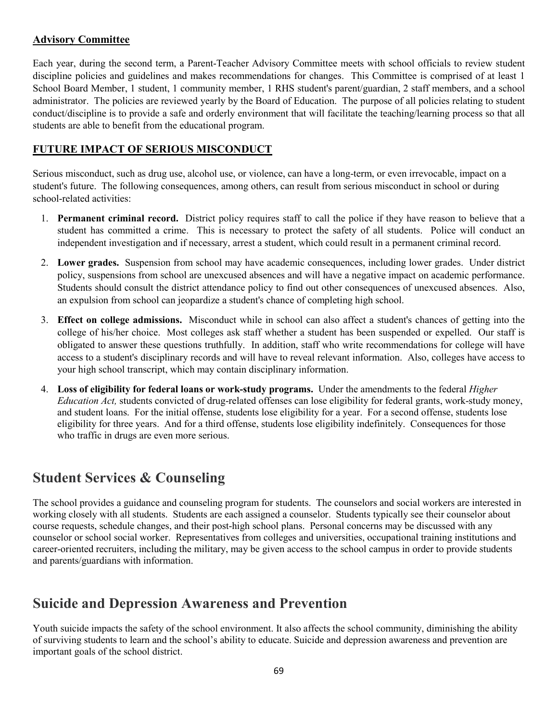## **Advisory Committee**

Each year, during the second term, a Parent-Teacher Advisory Committee meets with school officials to review student discipline policies and guidelines and makes recommendations for changes. This Committee is comprised of at least 1 School Board Member, 1 student, 1 community member, 1 RHS student's parent/guardian, 2 staff members, and a school administrator. The policies are reviewed yearly by the Board of Education. The purpose of all policies relating to student conduct/discipline is to provide a safe and orderly environment that will facilitate the teaching/learning process so that all students are able to benefit from the educational program.

## **FUTURE IMPACT OF SERIOUS MISCONDUCT**

Serious misconduct, such as drug use, alcohol use, or violence, can have a long-term, or even irrevocable, impact on a student's future. The following consequences, among others, can result from serious misconduct in school or during school-related activities:

- 1. **Permanent criminal record.** District policy requires staff to call the police if they have reason to believe that a student has committed a crime. This is necessary to protect the safety of all students. Police will conduct an independent investigation and if necessary, arrest a student, which could result in a permanent criminal record.
- 2. **Lower grades.** Suspension from school may have academic consequences, including lower grades. Under district policy, suspensions from school are unexcused absences and will have a negative impact on academic performance. Students should consult the district attendance policy to find out other consequences of unexcused absences. Also, an expulsion from school can jeopardize a student's chance of completing high school.
- 3. **Effect on college admissions.** Misconduct while in school can also affect a student's chances of getting into the college of his/her choice. Most colleges ask staff whether a student has been suspended or expelled. Our staff is obligated to answer these questions truthfully. In addition, staff who write recommendations for college will have access to a student's disciplinary records and will have to reveal relevant information. Also, colleges have access to your high school transcript, which may contain disciplinary information.
- 4. **Loss of eligibility for federal loans or work-study programs.** Under the amendments to the federal *Higher Education Act,* students convicted of drug-related offenses can lose eligibility for federal grants, work-study money, and student loans. For the initial offense, students lose eligibility for a year. For a second offense, students lose eligibility for three years. And for a third offense, students lose eligibility indefinitely. Consequences for those who traffic in drugs are even more serious.

# **Student Services & Counseling**

The school provides a guidance and counseling program for students. The counselors and social workers are interested in working closely with all students. Students are each assigned a counselor. Students typically see their counselor about course requests, schedule changes, and their post-high school plans. Personal concerns may be discussed with any counselor or school social worker. Representatives from colleges and universities, occupational training institutions and career-oriented recruiters, including the military, may be given access to the school campus in order to provide students and parents/guardians with information.

# **Suicide and Depression Awareness and Prevention**

Youth suicide impacts the safety of the school environment. It also affects the school community, diminishing the ability of surviving students to learn and the school's ability to educate. Suicide and depression awareness and prevention are important goals of the school district.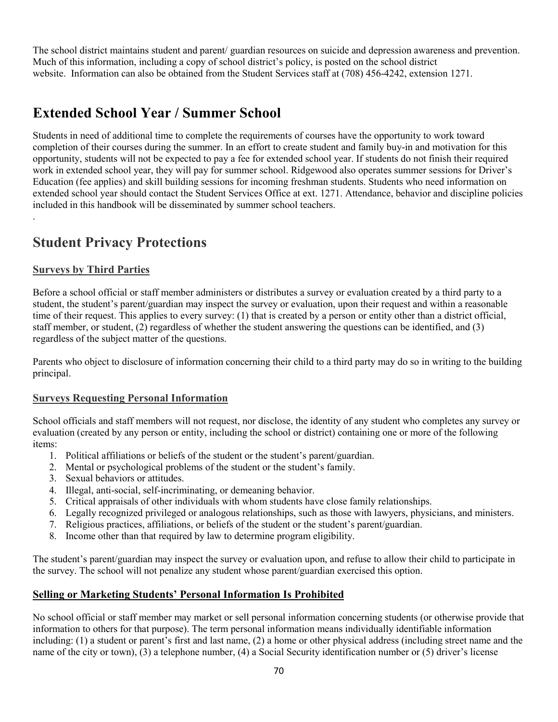The school district maintains student and parent/ guardian resources on suicide and depression awareness and prevention. Much of this information, including a copy of school district's policy, is posted on the school district website. Information can also be obtained from the Student Services staff at (708) 456-4242, extension 1271.

# **Extended School Year / Summer School**

Students in need of additional time to complete the requirements of courses have the opportunity to work toward completion of their courses during the summer. In an effort to create student and family buy-in and motivation for this opportunity, students will not be expected to pay a fee for extended school year. If students do not finish their required work in extended school year, they will pay for summer school. Ridgewood also operates summer sessions for Driver's Education (fee applies) and skill building sessions for incoming freshman students. Students who need information on extended school year should contact the Student Services Office at ext. 1271. Attendance, behavior and discipline policies included in this handbook will be disseminated by summer school teachers.

# **Student Privacy Protections**

## **Surveys by Third Parties**

.

Before a school official or staff member administers or distributes a survey or evaluation created by a third party to a student, the student's parent/guardian may inspect the survey or evaluation, upon their request and within a reasonable time of their request. This applies to every survey: (1) that is created by a person or entity other than a district official, staff member, or student, (2) regardless of whether the student answering the questions can be identified, and (3) regardless of the subject matter of the questions.

Parents who object to disclosure of information concerning their child to a third party may do so in writing to the building principal.

## **Surveys Requesting Personal Information**

School officials and staff members will not request, nor disclose, the identity of any student who completes any survey or evaluation (created by any person or entity, including the school or district) containing one or more of the following items:

- 1. Political affiliations or beliefs of the student or the student's parent/guardian.
- 2. Mental or psychological problems of the student or the student's family.
- 3. Sexual behaviors or attitudes.
- 4. Illegal, anti-social, self-incriminating, or demeaning behavior.
- 5. Critical appraisals of other individuals with whom students have close family relationships.
- 6. Legally recognized privileged or analogous relationships, such as those with lawyers, physicians, and ministers.
- 7. Religious practices, affiliations, or beliefs of the student or the student's parent/guardian.
- 8. Income other than that required by law to determine program eligibility.

The student's parent/guardian may inspect the survey or evaluation upon, and refuse to allow their child to participate in the survey. The school will not penalize any student whose parent/guardian exercised this option.

## **Selling or Marketing Students' Personal Information Is Prohibited**

No school official or staff member may market or sell personal information concerning students (or otherwise provide that information to others for that purpose). The term personal information means individually identifiable information including: (1) a student or parent's first and last name, (2) a home or other physical address (including street name and the name of the city or town), (3) a telephone number, (4) a Social Security identification number or (5) driver's license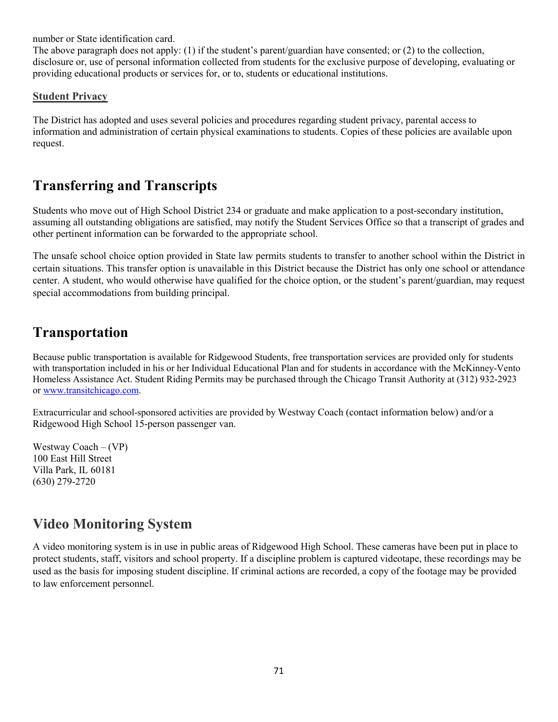number or State identification card.

The above paragraph does not apply: (1) if the student's parent/guardian have consented; or (2) to the collection, disclosure or, use of personal information collected from students for the exclusive purpose of developing, evaluating or providing educational products or services for, or to, students or educational institutions.

## **Student Privacy**

The District has adopted and uses several policies and procedures regarding student privacy, parental access to information and administration of certain physical examinations to students. Copies of these policies are available upon request.

# **Transferring and Transcripts**

Students who move out of High School District 234 or graduate and make application to a post-secondary institution, assuming all outstanding obligations are satisfied, may notify the Student Services Office so that a transcript of grades and other pertinent information can be forwarded to the appropriate school.

The unsafe school choice option provided in State law permits students to transfer to another school within the District in certain situations. This transfer option is unavailable in this District because the District has only one school or attendance center. A student, who would otherwise have qualified for the choice option, or the student's parent/guardian, may request special accommodations from building principal.

# **Transportation**

Because public transportation is available for Ridgewood Students, free transportation services are provided only for students with transportation included in his or her Individual Educational Plan and for students in accordance with the McKinney-Vento Homeless Assistance Act. Student Riding Permits may be purchased through the Chicago Transit Authority at (312) 932-2923 or [www.transitchicago.com.](http://www.transitchicago.com/)

Extracurricular and school-sponsored activities are provided by Westway Coach (contact information below) and/or a Ridgewood High School 15-person passenger van.

Westway Coach  $-(VP)$ 100 East Hill Street Villa Park, IL 60181 (630) 279-2720

# **Video Monitoring System**

A video monitoring system is in use in public areas of Ridgewood High School. These cameras have been put in place to protect students, staff, visitors and school property. If a discipline problem is captured videotape, these recordings may be used as the basis for imposing student discipline. If criminal actions are recorded, a copy of the footage may be provided to law enforcement personnel.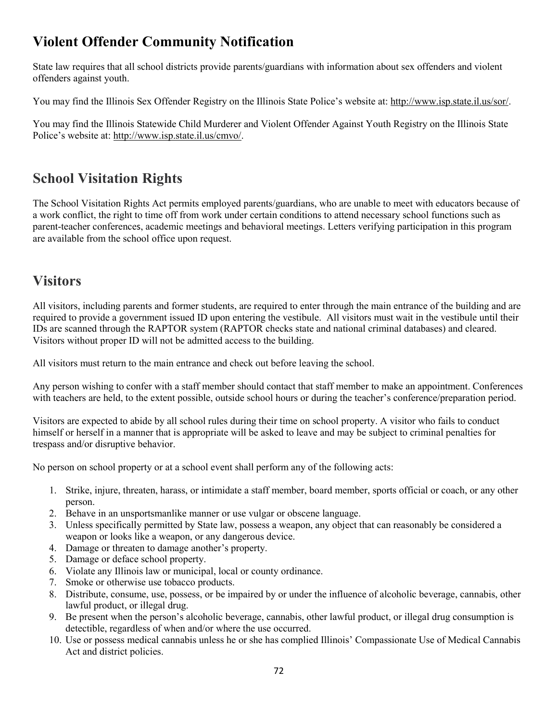# **Violent Offender Community Notification**

State law requires that all school districts provide parents/guardians with information about sex offenders and violent offenders against youth.

You may find the Illinois Sex Offender Registry on the Illinois State Police's website at: [http://www.isp.state.il.us/sor/.](http://www.isp.state.il.us/sor/)

You may find the Illinois Statewide Child Murderer and Violent Offender Against Youth Registry on the Illinois State Police's website at: [http://www.isp.state.il.us/cmvo/.](http://www.isp.state.il.us/cmvo/)

# **School Visitation Rights**

The School Visitation Rights Act permits employed parents/guardians, who are unable to meet with educators because of a work conflict, the right to time off from work under certain conditions to attend necessary school functions such as parent-teacher conferences, academic meetings and behavioral meetings. Letters verifying participation in this program are available from the school office upon request.

# **Visitors**

All visitors, including parents and former students, are required to enter through the main entrance of the building and are required to provide a government issued ID upon entering the vestibule. All visitors must wait in the vestibule until their IDs are scanned through the RAPTOR system (RAPTOR checks state and national criminal databases) and cleared. Visitors without proper ID will not be admitted access to the building.

All visitors must return to the main entrance and check out before leaving the school.

Any person wishing to confer with a staff member should contact that staff member to make an appointment. Conferences with teachers are held, to the extent possible, outside school hours or during the teacher's conference/preparation period.

Visitors are expected to abide by all school rules during their time on school property. A visitor who fails to conduct himself or herself in a manner that is appropriate will be asked to leave and may be subject to criminal penalties for trespass and/or disruptive behavior.

No person on school property or at a school event shall perform any of the following acts:

- 1. Strike, injure, threaten, harass, or intimidate a staff member, board member, sports official or coach, or any other person.
- 2. Behave in an unsportsmanlike manner or use vulgar or obscene language.
- 3. Unless specifically permitted by State law, possess a weapon, any object that can reasonably be considered a weapon or looks like a weapon, or any dangerous device.
- 4. Damage or threaten to damage another's property.
- 5. Damage or deface school property.
- 6. Violate any Illinois law or municipal, local or county ordinance.
- 7. Smoke or otherwise use tobacco products.
- 8. Distribute, consume, use, possess, or be impaired by or under the influence of alcoholic beverage, cannabis, other lawful product, or illegal drug.
- 9. Be present when the person's alcoholic beverage, cannabis, other lawful product, or illegal drug consumption is detectible, regardless of when and/or where the use occurred.
- 10. Use or possess medical cannabis unless he or she has complied Illinois' Compassionate Use of Medical Cannabis Act and district policies.